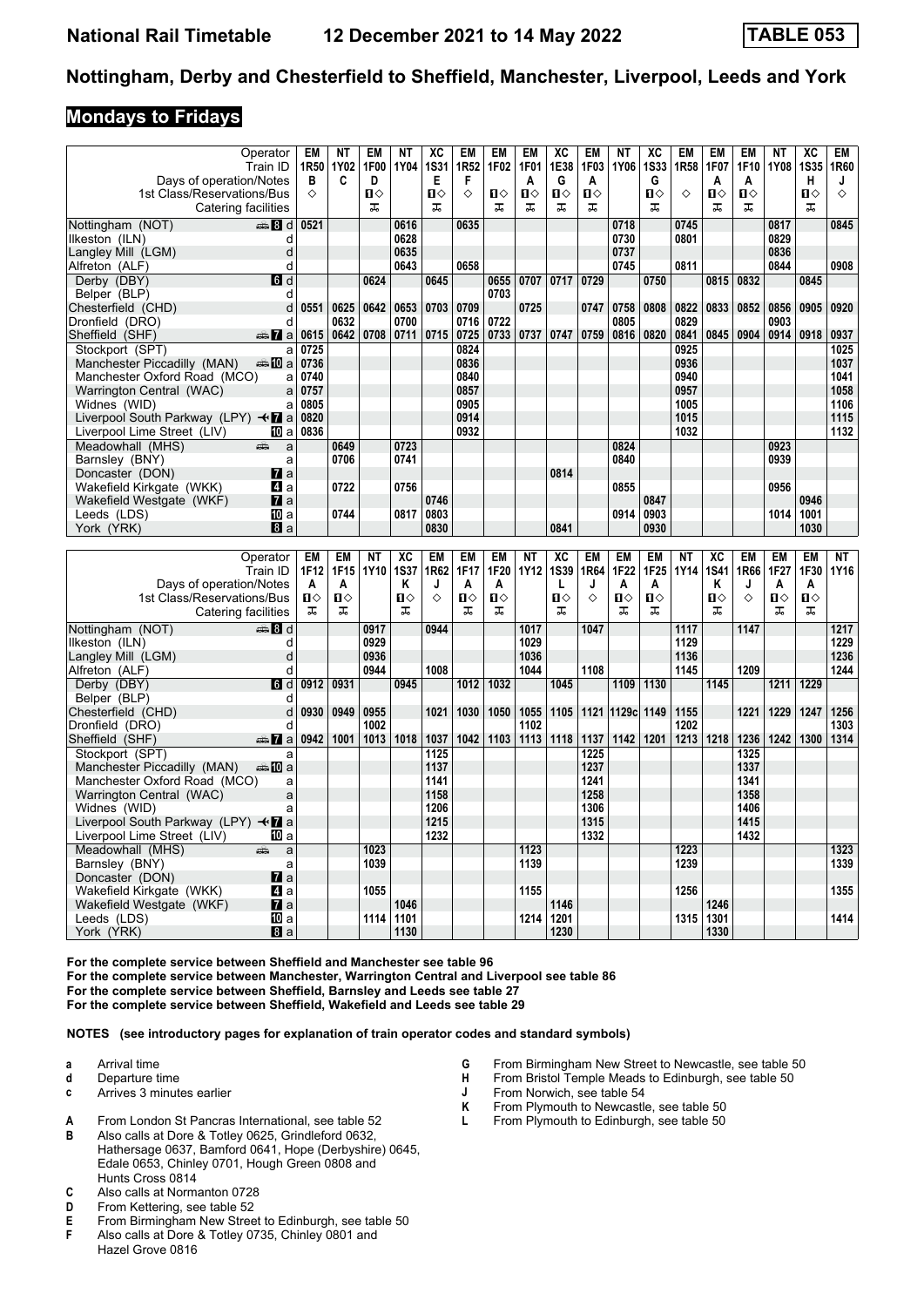#### **Mondays to Fridays**

| Operator                                  | EM                     | <b>NT</b>           | EM           | <b>NT</b>   | XC           | <b>EM</b>        | EM           | <b>EM</b>   | XC           | <b>EM</b>    | <b>NT</b>    | XC                                                | <b>EM</b> | <b>EM</b>    | <b>EM</b> | <b>NT</b>     | XC             | EM        |
|-------------------------------------------|------------------------|---------------------|--------------|-------------|--------------|------------------|--------------|-------------|--------------|--------------|--------------|---------------------------------------------------|-----------|--------------|-----------|---------------|----------------|-----------|
| Train ID                                  | 1R50                   | 1Y02                | 1F00         | 1Y04        | <b>1S31</b>  | 1R <sub>52</sub> | 1F02         | <b>1F01</b> | 1E38         | 1F03         | 1Y06         | <b>1S33</b>                                       | 1R58      | 1F07         | 1F10      | <b>1Y08</b>   | <b>1S35</b>    | 1R60      |
| Days of operation/Notes                   | в                      | C                   | D            |             | Е            | F                |              | A           | G            | A            |              | G                                                 |           | A            | Α         |               | н              | J         |
| 1st Class/Reservations/Bus                | ♦                      |                     | $\mathbf{u}$ |             | $\mathbf{u}$ | ♦                | $\mathbf{u}$ | $\Pi$       | $\mathbf{u}$ | $\mathbf{u}$ |              | $\Pi$                                             | ♦         | $\mathbf{u}$ | $\Pi$     |               | $\mathbf{u}$   | ♦         |
| Catering facilities                       |                        |                     | ᠼ            |             | ᠼ            |                  | ᠼ            | ᠼ           | ᠼ            | ᠼ            |              | ᠼ                                                 |           | ᠼ            | ᠼ         |               | ᠼ              |           |
|                                           |                        |                     |              |             |              |                  |              |             |              |              |              |                                                   |           |              |           |               |                |           |
| Nottingham (NOT)<br>en 8 d                | 0521                   |                     |              | 0616        |              | 0635             |              |             |              |              | 0718         |                                                   | 0745      |              |           | 0817          |                | 0845      |
| Ilkeston (ILN)                            | d                      |                     |              | 0628        |              |                  |              |             |              |              | 0730         |                                                   | 0801      |              |           | 0829          |                |           |
| Langley Mill (LGM)                        |                        |                     |              | 0635        |              |                  |              |             |              |              | 0737         |                                                   |           |              |           | 0836          |                |           |
| Alfreton (ALF)                            | d                      |                     |              | 0643        |              | 0658             |              |             |              |              | 0745         |                                                   | 0811      |              |           | 0844          |                | 0908      |
| Derby (DBY)                               | d                      |                     | 0624         |             | 0645         |                  | 0655         | 0707        | 0717         | 0729         |              | 0750                                              |           | 0815         | 0832      |               | 0845           |           |
| Belper (BLP)                              | d                      |                     |              |             |              |                  | 0703         |             |              |              |              |                                                   |           |              |           |               |                |           |
| Chesterfield (CHD)                        | 0551<br>d              | 0625                | 0642         | 0653        | 0703         | 0709             |              | 0725        |              | 0747         | 0758         | 0808                                              | 0822      | 0833         | 0852      | 0856          | 0905           | 0920      |
| Dronfield (DRO)                           | d                      | 0632                |              | 0700        |              | 0716             | 0722         |             |              |              | 0805         |                                                   | 0829      |              |           | 0903          |                |           |
| Sheffield (SHF)<br>$\frac{1}{2}$ a        | 0615                   | 0642                | 0708         | 0711        | 0715         | 0725             | 0733         | 0737        | 0747         | 0759         | 0816         | 0820                                              | 0841      | 0845         | 0904      | 0914          | 0918           | 0937      |
| Stockport (SPT)                           | 0725<br>a              |                     |              |             |              | 0824             |              |             |              |              |              |                                                   | 0925      |              |           |               |                | 1025      |
| Manchester Piccadilly (MAN)<br>anna maill | 0736                   |                     |              |             |              | 0836             |              |             |              |              |              |                                                   | 0936      |              |           |               |                | 1037      |
| Manchester Oxford Road (MCO)              | 0740<br>a              |                     |              |             |              | 0840             |              |             |              |              |              |                                                   | 0940      |              |           |               |                | 1041      |
| Warrington Central (WAC)                  | 0757<br>a              |                     |              |             |              | 0857             |              |             |              |              |              |                                                   | 0957      |              |           |               |                | 1058      |
| Widnes (WID)                              | 0805                   |                     |              |             |              | 0905             |              |             |              |              |              |                                                   | 1005      |              |           |               |                | 1106      |
|                                           | a<br>0820              |                     |              |             |              | 0914             |              |             |              |              |              |                                                   |           |              |           |               |                |           |
| Liverpool South Parkway (LPY) <b>+7</b> a |                        |                     |              |             |              |                  |              |             |              |              |              |                                                   | 1015      |              |           |               |                | 1115      |
| Liverpool Lime Street (LIV)               | 0836<br>III a          |                     |              |             |              | 0932             |              |             |              |              |              |                                                   | 1032      |              |           |               |                | 1132      |
| Meadowhall (MHS)<br>æ                     | a                      | 0649                |              | 0723        |              |                  |              |             |              |              | 0824         |                                                   |           |              |           | 0923          |                |           |
| Barnsley (BNY)                            | a                      | 0706                |              | 0741        |              |                  |              |             |              |              | 0840         |                                                   |           |              |           | 0939          |                |           |
| Doncaster (DON)                           | $\mathbf{z}$ a         |                     |              |             |              |                  |              |             | 0814         |              |              |                                                   |           |              |           |               |                |           |
| Wakefield Kirkgate (WKK)                  | 41 a                   | 0722                |              | 0756        |              |                  |              |             |              |              | 0855         |                                                   |           |              |           | 0956          |                |           |
| Wakefield Westgate (WKF)                  | $\mathbf{z}$ a         |                     |              |             | 0746         |                  |              |             |              |              |              | 0847                                              |           |              |           |               | 0946           |           |
| Leeds (LDS)                               | Юa                     | 0744                |              | 0817        | 0803         |                  |              |             |              |              | 0914         | 0903                                              |           |              |           | 1014          | 1001           |           |
| York (YRK)                                | a                      |                     |              |             | 0830         |                  |              |             | 0841         |              |              | 0930                                              |           |              |           |               | 1030           |           |
|                                           |                        |                     |              |             |              |                  |              |             |              |              |              |                                                   |           |              |           |               |                |           |
| Operator                                  | <b>EM</b>              | <b>EM</b>           | <b>NT</b>    | XC          | <b>EM</b>    | <b>EM</b>        | <b>EM</b>    | <b>NT</b>   | XC           | <b>EM</b>    | <b>EM</b>    | <b>EM</b>                                         | <b>NT</b> | XC           | EM        | <b>EM</b>     | <b>EM</b>      | <b>NT</b> |
| Train ID                                  | 1F12                   | 1F15                | 1Y10         | <b>1S37</b> | 1R62         | 1F17             | 1F20         | <b>1Y12</b> | <b>1S39</b>  | 1R64         | 1F22         | 1F25                                              | 1Y14      | <b>1S41</b>  | 1R66      | 1F27          | 1F30           | 1Y16      |
| Days of operation/Notes                   | А                      | A                   |              | Κ           | J            | A                | A            |             | L            | J            | A            | A                                                 |           | Κ            | J         | A             | A              |           |
| 1st Class/Reservations/Bus                | $\Pi$                  | $\mathbf{u}$        |              | Ⅱ◇          | ♦            | $\mathbf{u}$     | $\mathbf{u}$ |             | $\mathbf{u}$ | ♦            | $\mathbf{u}$ | Ⅱ◇                                                |           | $\mathbf{u}$ | ♦         | П⇔            | $\blacksquare$ |           |
| Catering facilities                       | ᠼ                      | ᠼ                   |              | ᠼ           |              | ᅚ                | ᠼ            |             | ᠼ            |              | ᠼ            | ᠼ                                                 |           | ᠼ            |           | ᠼ             | ᠼ              |           |
|                                           |                        |                     |              |             |              |                  |              |             |              |              |              |                                                   |           |              |           |               |                |           |
| Nottingham (NOT)<br>es 8 d                |                        |                     | 0917         |             | 0944         |                  |              | 1017        |              | 1047         |              |                                                   | 1117      |              | 1147      |               |                | 1217      |
| Ilkeston (ILN)                            | d                      |                     | 0929         |             |              |                  |              | 1029        |              |              |              |                                                   | 1129      |              |           |               |                | 1229      |
| Langley Mill (LGM)                        | d                      |                     | 0936         |             |              |                  |              | 1036        |              |              |              |                                                   | 1136      |              |           |               |                | 1236      |
| Alfreton (ALF)                            | d                      |                     | 0944         |             | 1008         |                  |              | 1044        |              | 1108         |              |                                                   | 1145      |              | 1209      |               |                | 1244      |
| Derby (DBY)                               | $\blacksquare$<br>0912 | 0931                |              | 0945        |              | 1012             | 1032         |             | 1045         |              | 1109         | 1130                                              |           | 1145         |           | 1211          | 1229           |           |
| Belper (BLP)                              | d                      |                     |              |             |              |                  |              |             |              |              |              |                                                   |           |              |           |               |                |           |
| Chostorfial (CUD)                         |                        | $0.20 \times 0.000$ |              |             |              |                  |              |             |              |              |              | 1021 1030 1050 1055 1105 1105 1021 1030 1100 1155 |           |              |           | $1224$ $1220$ | 1247           | 125C      |

| Belper (BLP)                                    |                               |             |               |               |      |      |      |      |           |      |                                   |      |      |      |      |      |      |      |
|-------------------------------------------------|-------------------------------|-------------|---------------|---------------|------|------|------|------|-----------|------|-----------------------------------|------|------|------|------|------|------|------|
| Chesterfield (CHD)                              | d l                           | 0930   0949 | 0955          |               | 1021 | 1030 | 1050 |      |           |      | 1055   1105   1121   1129c   1149 |      | 1155 |      | 1221 | 1229 | 1247 | 1256 |
| Dronfield (DRO)                                 |                               |             | 1002          |               |      |      |      | 1102 |           |      |                                   |      | 1202 |      |      |      |      | 1303 |
| Sheffield (SHF)                                 | $\frac{1}{2}$ a   0942   1001 |             |               | $1013$   1018 | 1037 | 1042 | 1103 |      | 1113 1118 | 1137 | 1142                              | 1201 | 1213 | 1218 | 1236 | 1242 | 1300 | 1314 |
| Stockport (SPT)                                 |                               |             |               |               | 1125 |      |      |      |           | 1225 |                                   |      |      |      | 1325 |      |      |      |
| Manchester Piccadilly (MAN)                     | an≞10ia                       |             |               |               | 1137 |      |      |      |           | 1237 |                                   |      |      |      | 1337 |      |      |      |
| Manchester Oxford Road (MCO)                    | a                             |             |               |               | 1141 |      |      |      |           | 1241 |                                   |      |      |      | 1341 |      |      |      |
| Warrington Central (WAC)                        | a                             |             |               |               | 1158 |      |      |      |           | 1258 |                                   |      |      |      | 1358 |      |      |      |
| Widnes (WID)                                    |                               |             |               |               | 1206 |      |      |      |           | 1306 |                                   |      |      |      | 1406 |      |      |      |
| Liverpool South Parkway (LPY) $\triangleleft$ a |                               |             |               |               | 1215 |      |      |      |           | 1315 |                                   |      |      |      | 1415 |      |      |      |
| Liverpool Lime Street (LIV)                     | 100 a                         |             |               |               | 1232 |      |      |      |           | 1332 |                                   |      |      |      | 1432 |      |      |      |
| Meadowhall (MHS)                                | and a set of<br>a             |             | 1023          |               |      |      |      | 1123 |           |      |                                   |      | 1223 |      |      |      |      | 1323 |
| Barnsley (BNY)                                  |                               |             | 1039          |               |      |      |      | 1139 |           |      |                                   |      | 1239 |      |      |      |      | 1339 |
| Doncaster (DON)                                 | $\mathbf{z}$ a                |             |               |               |      |      |      |      |           |      |                                   |      |      |      |      |      |      |      |
| Wakefield Kirkgate (WKK)                        | 41 a                          |             | 1055          |               |      |      |      | 1155 |           |      |                                   |      | 1256 |      |      |      |      | 1355 |
| Wakefield Westgate (WKF)                        | $\mathbf{z}$ a                |             |               | 1046          |      |      |      |      | 1146      |      |                                   |      |      | 1246 |      |      |      |      |
| Leeds (LDS)                                     | 10 a                          |             | $1114$   1101 |               |      |      |      | 1214 | 1201      |      |                                   |      | 1315 | 1301 |      |      |      | 1414 |
| York (YRK)                                      | 8a                            |             |               | 1130          |      |      |      |      | 1230      |      |                                   |      |      | 1330 |      |      |      |      |

**For the complete service between Sheffield and Manchester see table For the complete service between Manchester, Warrington Central and Liverpool see table For the complete service between Sheffield, Barnsley and Leeds see table 2**

**For the complete service between Sheffield, Wakefield and Leeds see table 2**

**NOTES (see introductory pages for explanation of train operator codes and standard symbols)**

**a** Arrival time

- **d** Departure time
- **c** Arrives 3 minutes earlier
- **A** From London St Pancras International, see table 52<br>**B** Also calls at Dore & Totley 0625 Grindleford 0632
- Also calls at Dore & Totley 0625, Grindleford 0632, Hathersage 0637, Bamford 0641, Hope (Derbyshire) 0645, Edale 0653, Chinley 0701, Hough Green 0808 and Hunts Cross 0814
- **C** Also calls at Normanton 0728
- 
- **D** From Kettering, see table 52<br>**E** From Birmingham New Stree **E** From Birmingham New Street to Edinburgh, see table 50<br>**F** Also calls at Dore & Totley 0735 Chinley 0801 and
- Also calls at Dore & Totley 0735, Chinley 0801 and Hazel Grove 0816
- **6** From Birmingham New Street to Newcastle, see table 50<br>**H** From Bristol Temple Meads to Edinburgh, see table 50
- **+** From Bristol Temple Meads to Edinburgh, see table 50<br>**J** From Norwich, see table 54
- **-** From Norwich, see table 54<br>**K** From Plymouth to Newcastle
- **K** From Plymouth to Newcastle, see table 50<br>**L** From Plymouth to Edinburgh, see table 50
- From Plymouth to Edinburgh, see table 50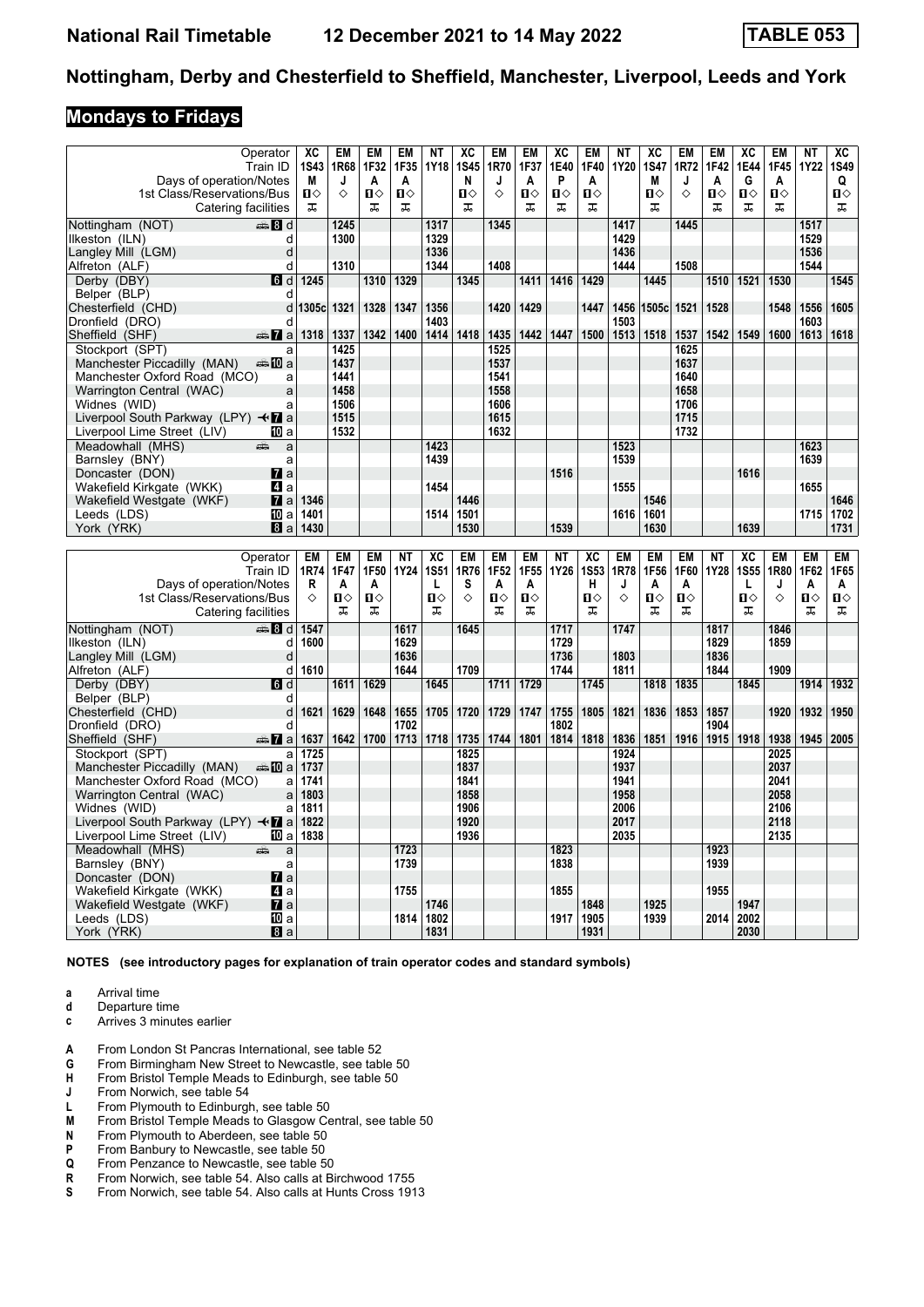### **Mondays to Fridays**

|                                                                     | Operator         | XC         | <b>EM</b> | EM           | EM   | <b>NT</b>    | ХC          | EM               | <b>EM</b>    | XC           | EM           | ΝT        | XC           | EM        | EM           | XC           | <b>EM</b>    | <b>NT</b>      | ХC           |
|---------------------------------------------------------------------|------------------|------------|-----------|--------------|------|--------------|-------------|------------------|--------------|--------------|--------------|-----------|--------------|-----------|--------------|--------------|--------------|----------------|--------------|
|                                                                     | Train ID         | 1S43       | 1R68      | 1F32         | 1F35 | 1Y18         | <b>1S45</b> | 1R70             | 1F37         | 1E40         | 1F40         | 1Y20      | <b>1S47</b>  | 1R72      | 1F42         | 1E44         | 1F45         | 1Y22           | 1S49         |
| Days of operation/Notes                                             |                  | М          | J         | A            | A    |              | N           | J                | A            | P            | A            |           | M            | J         | A            | G            | A            |                | Q            |
| 1st Class/Reservations/Bus                                          |                  | Ⅱ♦         | ♦         | $\mathbf{u}$ | Ⅱ◇   |              | Ω⇔          | ♦                | $\mathbf{u}$ | $\mathbf{u}$ | $\mathbf{u}$ |           | $\mathbf{u}$ | ♦         | $\mathbf{u}$ | $\mathbf{u}$ | $\mathbf{u}$ |                | $\mathbf{u}$ |
| Catering facilities                                                 |                  | ᠼ          |           | ᠼ            | ᠼ    |              | ᠼ           |                  | ᠼ            | ᠼ            | ᠼ            |           | ᠼ            |           | ᠼ            | ᠼ            | ᠼ            |                | ᠼ            |
| Nottingham (NOT)                                                    | en 8 d           |            | 1245      |              |      | 1317         |             | 1345             |              |              |              | 1417      |              | 1445      |              |              |              | 1517           |              |
| Ilkeston (ILN)                                                      | d                |            | 1300      |              |      | 1329         |             |                  |              |              |              | 1429      |              |           |              |              |              | 1529           |              |
| Langley Mill (LGM)                                                  | d                |            |           |              |      | 1336         |             |                  |              |              |              | 1436      |              |           |              |              |              | 1536           |              |
| Alfreton (ALF)                                                      | d                |            | 1310      |              |      | 1344         |             | 1408             |              |              |              | 1444      |              | 1508      |              |              |              | 1544           |              |
| Derby (DBY)                                                         | 6d               | 1245       |           | 1310         | 1329 |              | 1345        |                  | 1411         | 1416         | 1429         |           | 1445         |           | 1510         | 1521         | 1530         |                | 1545         |
| Belper (BLP)                                                        | d                |            |           |              |      |              |             |                  |              |              |              |           |              |           |              |              |              |                |              |
| Chesterfield (CHD)                                                  | d                | 1305c 1321 |           | 1328         | 1347 | 1356         |             | 1420             | 1429         |              | 1447         | 1456      | 1505c        | 1521      | 1528         |              | 1548         | 1556           | 1605         |
| Dronfield (DRO)                                                     | d                |            |           |              |      | 1403         |             |                  |              |              |              | 1503      |              |           |              |              |              | 1603           |              |
| Sheffield (SHF)                                                     | <del>⊯</del> ∎a  | 1318       | 1337      | 1342         | 1400 | 1414         | 1418        | 1435             | 1442         | 1447         | 1500         | 1513      | 1518         | 1537      |              | 1542 1549    | 1600         | 1613           | 1618         |
| Stockport (SPT)                                                     | a                |            | 1425      |              |      |              |             | 1525             |              |              |              |           |              | 1625      |              |              |              |                |              |
| Manchester Piccadilly (MAN)                                         | ⊯⇒Ma             |            | 1437      |              |      |              |             | 1537             |              |              |              |           |              | 1637      |              |              |              |                |              |
| Manchester Oxford Road (MCO)                                        | a                |            | 1441      |              |      |              |             | 1541             |              |              |              |           |              | 1640      |              |              |              |                |              |
| Warrington Central (WAC)                                            | a                |            | 1458      |              |      |              |             | 1558             |              |              |              |           |              | 1658      |              |              |              |                |              |
| Widnes (WID)                                                        | a                |            | 1506      |              |      |              |             | 1606             |              |              |              |           |              | 1706      |              |              |              |                |              |
| Liverpool South Parkway (LPY) $\triangleleft \mathbf{\mathbf{Z}}$ a |                  |            | 1515      |              |      |              |             | 1615             |              |              |              |           |              | 1715      |              |              |              |                |              |
| Liverpool Lime Street (LIV)                                         | 10 a             |            | 1532      |              |      |              |             | 1632             |              |              |              |           |              | 1732      |              |              |              |                |              |
| Meadowhall (MHS)                                                    | din 1<br>a       |            |           |              |      | 1423         |             |                  |              |              |              | 1523      |              |           |              |              |              | 1623           |              |
| Barnsley (BNY)                                                      | a                |            |           |              |      | 1439         |             |                  |              |              |              | 1539      |              |           |              |              |              | 1639           |              |
| Doncaster (DON)                                                     | $\mathbf{z}$ a   |            |           |              |      |              |             |                  |              | 1516         |              |           |              |           |              | 1616         |              |                |              |
| Wakefield Kirkgate (WKK)                                            | 4 a              |            |           |              |      | 1454         |             |                  |              |              |              | 1555      |              |           |              |              |              | 1655           |              |
| Wakefield Westgate (WKF)                                            | $\mathbf{z}$ a   | 1346       |           |              |      |              | 1446        |                  |              |              |              |           | 1546         |           |              |              |              |                | 1646         |
| Leeds (LDS)                                                         | 10 a             | 1401       |           |              |      | 1514         | 1501        |                  |              |              |              | 1616      | 1601         |           |              |              |              | 1715           | 1702         |
| York (YRK)                                                          | 8a               | 1430       |           |              |      |              | 1530        |                  |              | 1539         |              |           | 1630         |           |              | 1639         |              |                | 1731         |
|                                                                     |                  |            |           |              |      |              |             |                  |              |              |              |           |              |           |              |              |              |                |              |
|                                                                     |                  |            |           |              |      |              |             |                  |              |              |              |           |              |           |              |              |              |                |              |
|                                                                     | Operator         | EM         | EM        | EM           | NΤ   | XC           | EM          | EM               | EM           | <b>NT</b>    | XC           | <b>EM</b> | <b>EM</b>    | <b>EM</b> | ΝT           | XC           | <b>EM</b>    | <b>EM</b>      | EM           |
|                                                                     | Train ID         | 1R74       | 1F47      | 1F50         | 1Y24 | <b>1S51</b>  | 1R76        | 1F <sub>52</sub> | 1F55         | 1Y26         | <b>1S53</b>  | 1R78      | 1F56         | 1F60      | 1Y28         | <b>1S55</b>  | 1R80         | 1F62           | 1F65         |
| Days of operation/Notes                                             |                  | R          | A         | A            |      | L            | s           | A                | A            |              | н            | J         | A            | A         |              | L            | J            | A              | A            |
| 1st Class/Reservations/Bus                                          |                  | ♦          | Ⅱ◇        | $\mathbf{u}$ |      | $\mathbf{u}$ | ♦           | $\mathbf{u}$     | П⇔           |              | $\mathbf{u}$ | ♦         | $\mathbf{u}$ | п         |              | $\mathbf{u}$ | ♦            | $\blacksquare$ | $\mathbf{u}$ |
| Catering facilities                                                 |                  |            | ᠼ         | ᠼ            |      | ᠼ            |             | ᠼ                | 工            |              | ま            |           | ᠼ            | 工         |              | ᠼ            |              | ᠼ              | ᠼ            |
| Nottingham (NOT)                                                    | ⊯‱ Bld           | 1547       |           |              | 1617 |              | 1645        |                  |              | 1717         |              | 1747      |              |           | 1817         |              | 1846         |                |              |
| llkeston (ILN)                                                      | d                | 1600       |           |              | 1629 |              |             |                  |              | 1729         |              |           |              |           | 1829         |              | 1859         |                |              |
| Langley Mill (LGM)                                                  | d                |            |           |              | 1636 |              |             |                  |              | 1736         |              | 1803      |              |           | 1836         |              |              |                |              |
| Alfreton (ALF)                                                      | d                | 1610       |           |              | 1644 |              | 1709        |                  |              | 1744         |              | 1811      |              |           | 1844         |              | 1909         |                |              |
| Derby (DBY)                                                         | $\blacksquare$   |            | 1611      | 1629         |      | 1645         |             | 1711             | 1729         |              | 1745         |           | 1818         | 1835      |              | 1845         |              | 1914           | 1932         |
| Belper (BLP)                                                        | d                |            |           |              |      |              |             |                  |              |              |              |           |              |           |              |              |              |                |              |
| Chesterfield (CHD)                                                  | d                | 1621       | 1629      | 1648         | 1655 | 1705         | 1720        | 1729             | 1747         | 1755         | 1805         | 1821      | 1836         | 1853      | 1857         |              | 1920         | 1932           | 1950         |
| Dronfield (DRO)                                                     | d                |            |           |              | 1702 |              |             |                  |              | 1802         |              |           |              |           | 1904         |              |              |                |              |
| Sheffield (SHF)                                                     | $\frac{1}{2}$ a  | 1637       | 1642      | 1700         | 1713 | 1718         | 1735        | 1744             | 1801         | 1814         | 1818         | 1836      | 1851         | 1916      |              | 1915 1918    | 1938         | 1945           | 2005         |
| Stockport (SPT)                                                     | a                | 1725       |           |              |      |              | 1825        |                  |              |              |              | 1924      |              |           |              |              | 2025         |                |              |
| Manchester Piccadilly (MAN)                                         | dan <b>in</b> al | 1737       |           |              |      |              | 1837        |                  |              |              |              | 1937      |              |           |              |              | 2037         |                |              |
| Manchester Oxford Road (MCO)                                        | a                | 1741       |           |              |      |              | 1841        |                  |              |              |              | 1941      |              |           |              |              | 2041         |                |              |
| Warrington Central (WAC)                                            | a                | 1803       |           |              |      |              | 1858        |                  |              |              |              | 1958      |              |           |              |              | 2058         |                |              |
| Widnes (WID)                                                        | a                | 1811       |           |              |      |              | 1906        |                  |              |              |              | 2006      |              |           |              |              | 2106         |                |              |
| Liverpool South Parkway (LPY) $\triangleleft \mathbf{Z}$ a          |                  | 1822       |           |              |      |              | 1920        |                  |              |              |              | 2017      |              |           |              |              | 2118         |                |              |
| Liverpool Lime Street (LIV)                                         | 10 a             | 1838       |           |              |      |              | 1936        |                  |              |              |              | 2035      |              |           |              |              | 2135         |                |              |
| Meadowhall (MHS)                                                    | añ,<br>a         |            |           |              | 1723 |              |             |                  |              | 1823         |              |           |              |           | 1923         |              |              |                |              |
| Barnsley (BNY)                                                      | a                |            |           |              | 1739 |              |             |                  |              | 1838         |              |           |              |           | 1939         |              |              |                |              |
| Doncaster (DON)                                                     | <b>7</b> a       |            |           |              |      |              |             |                  |              |              |              |           |              |           |              |              |              |                |              |
| Wakefield Kirkgate (WKK)                                            | ZI a             |            |           |              | 1755 |              |             |                  |              | 1855         |              |           |              |           | 1955         |              |              |                |              |
| Wakefield Westgate (WKF)                                            | <b>7</b> a       |            |           |              |      | 1746         |             |                  |              |              | 1848         |           | 1925         |           |              | 1947         |              |                |              |
| Leeds (LDS)<br>York (YRK)                                           | [顶 a<br>8a       |            |           |              | 1814 | 1802<br>1831 |             |                  |              | 1917         | 1905<br>1931 |           | 1939         |           | 2014         | 2002<br>2030 |              |                |              |

**NOTES (see introductory pages for explanation of train operator codes and standard symbols)**

**a** Arrival time<br>**d** Departure t

**d** Departure time **c** Arrives 3 minutes earlier

- **4** From London St Pancras International, see table 52<br>**G** From Birmingham New Street to Newcastle, see tab
- **6** From Birmingham New Street to Newcastle, see table 50<br>**H** From Bristol Temple Meads to Edinburgh, see table 50
- **+** From Bristol Temple Meads to Edinburgh, see table 50<br> **4** From Norwich, see table 54
- From Norwich, see table 54
- **L** From Plymouth to Edinburgh, see table 50<br>**M** From Bristol Temple Meads to Glasgow Connect From Plymouth to Aberdeen, see table 50
- From Bristol Temple Meads to Glasgow Central, see table 50
- **N** From Plymouth to Aberdeen, see table 50<br>**P** From Banbury to Newcastle, see table 50
- **P** From Banbury to Newcastle, see table 50<br>**Q** From Penzance to Newcastle, see table 5
- **4** From Penzance to Newcastle, see table 50<br>**R** From Norwich, see table 54. Also calls at Bi
- **R** From Norwich, see table 54. Also calls at Birchwood 1755<br>**S** From Norwich. see table 54. Also calls at Hunts Cross 191 From Norwich, see table 54. Also calls at Hunts Cross 1913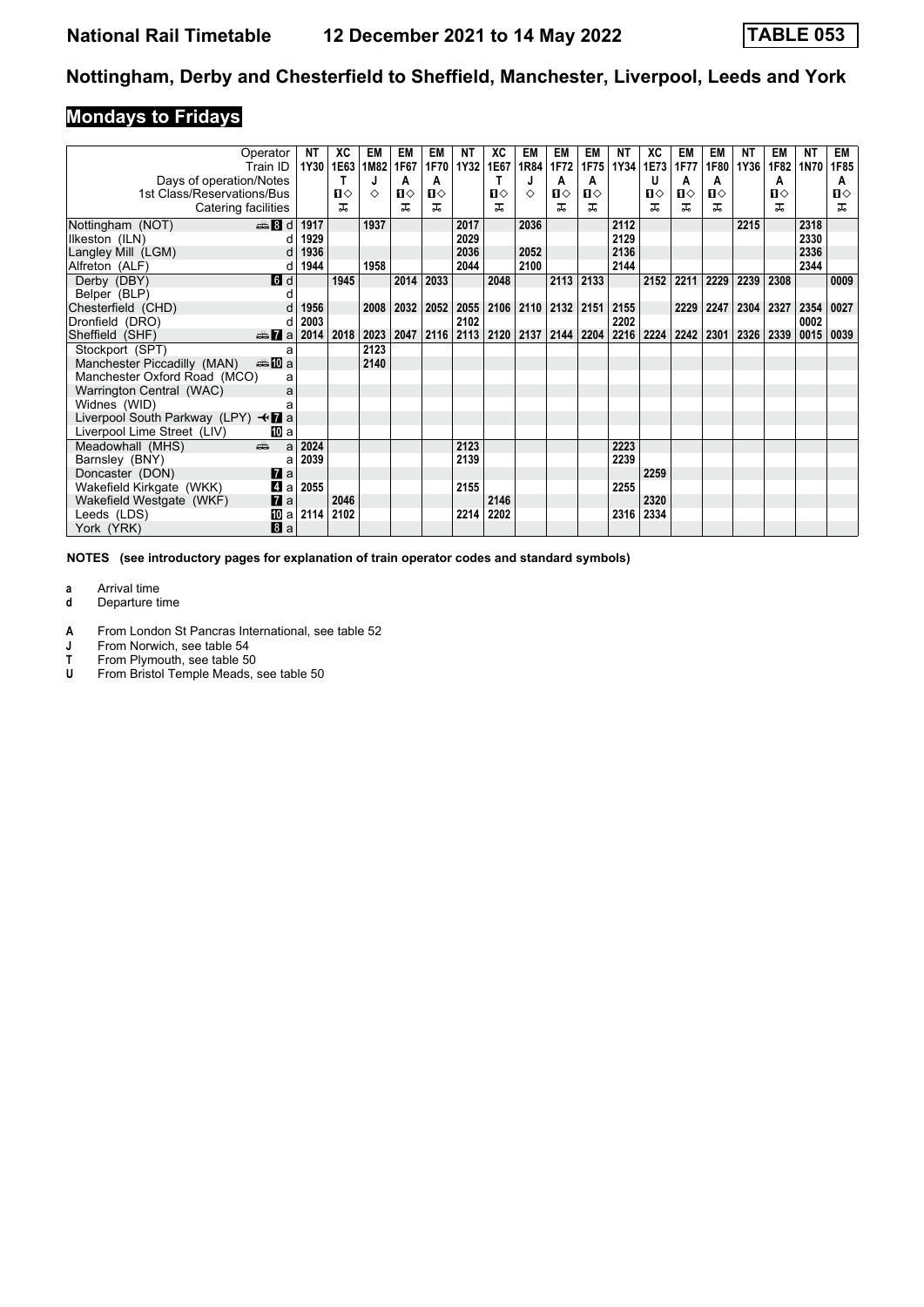# **Mondays to Fridays**

|                                                 | Operator<br>Train ID | <b>NT</b><br>1Y30 | ХC<br>1E63 | EM<br>1M82 | EM<br>1F67 | EM<br>1F70 | ΝT<br><b>1Y32</b> | ХC<br>1E67   | EM<br>1R84 | EM<br>1F72 | EM<br>1F75     | NΤ<br>1Y34 | ХC<br>1E73 | EM<br>1F77 | EM<br>1F80 | ΝT<br>1Y36 | EM<br>1F82 | NΤ<br>1N70 | EM<br>1F85   |
|-------------------------------------------------|----------------------|-------------------|------------|------------|------------|------------|-------------------|--------------|------------|------------|----------------|------------|------------|------------|------------|------------|------------|------------|--------------|
| Days of operation/Notes                         |                      |                   | т          |            | A          | A          |                   | т            |            | A          | A              |            | u          | A          | A          |            | A          |            | A            |
| 1st Class/Reservations/Bus                      |                      |                   | Ⅱ♦         | ♦          | ப⇔         | П⇔         |                   | $\mathbf{u}$ | ♦          | Ⅱ◇         | $\mathbf{u}$   |            | п⇔         | Ⅱ◇         | Ⅱ♦         |            | п⇔         |            | $\mathbf{n}$ |
| Catering facilities                             |                      |                   | ᠼ          |            | ᅚ          | ᅚ          |                   | ᅚ            |            |            | ㅈ              |            | ㅈ          | ᠼ          | ᠼ          |            | ᅚ          |            | ㅈ            |
| Nottingham (NOT)                                | $\frac{1}{2}$ 8 d    | 1917              |            | 1937       |            |            | 2017              |              | 2036       |            |                | 2112       |            |            |            | 2215       |            | 2318       |              |
| Ilkeston (ILN)                                  |                      | 1929              |            |            |            |            | 2029              |              |            |            |                | 2129       |            |            |            |            |            | 2330       |              |
| Langley Mill (LGM)                              |                      | 1936              |            |            |            |            | 2036              |              | 2052       |            |                | 2136       |            |            |            |            |            | 2336       |              |
| Alfreton (ALF)                                  | d                    | 1944              |            | 1958       |            |            | 2044              |              | 2100       |            |                | 2144       |            |            |            |            |            | 2344       |              |
| Derby (DBY)                                     | 6d                   |                   | 1945       |            | 2014       | 2033       |                   | 2048         |            | 2113       | 2133           |            | 2152       | 2211       | 2229       | 2239       | 2308       |            | 0009         |
| Belper (BLP)                                    |                      |                   |            |            |            |            |                   |              |            |            |                |            |            |            |            |            |            |            |              |
| Chesterfield (CHD)                              |                      | 1956              |            | 2008       | 2032       | 2052       | 2055              | 2106         |            |            | 2110 2132 2151 | 2155       |            | 2229       | 2247       | 2304       | 2327       | 2354       | 0027         |
| Dronfield (DRO)                                 | d                    | 2003              |            |            |            |            | 2102              |              |            |            |                | 2202       |            |            |            |            |            | 0002       |              |
| Sheffield (SHF)                                 | <del>⊯</del> ∎a      | 2014              | 2018       | 2023       | 2047       | 2116       | 2113              | 2120         | 2137       | 2144       | 2204           | 2216       | 2224       | 2242       | 2301       | 2326       | 2339       | 0015       | 0039         |
| Stockport (SPT)                                 | a                    |                   |            | 2123       |            |            |                   |              |            |            |                |            |            |            |            |            |            |            |              |
| Manchester Piccadilly (MAN)                     | ⊯ 100 a              |                   |            | 2140       |            |            |                   |              |            |            |                |            |            |            |            |            |            |            |              |
| Manchester Oxford Road (MCO)                    | a                    |                   |            |            |            |            |                   |              |            |            |                |            |            |            |            |            |            |            |              |
| Warrington Central (WAC)                        | a                    |                   |            |            |            |            |                   |              |            |            |                |            |            |            |            |            |            |            |              |
| Widnes (WID)                                    |                      |                   |            |            |            |            |                   |              |            |            |                |            |            |            |            |            |            |            |              |
| Liverpool South Parkway (LPY) $\triangleleft$ a |                      |                   |            |            |            |            |                   |              |            |            |                |            |            |            |            |            |            |            |              |
| Liverpool Lime Street (LIV)                     | 10 a                 |                   |            |            |            |            |                   |              |            |            |                |            |            |            |            |            |            |            |              |
| Meadowhall (MHS)                                | aîn<br>a             | 2024              |            |            |            |            | 2123              |              |            |            |                | 2223       |            |            |            |            |            |            |              |
| Barnsley (BNY)                                  | a                    | 2039              |            |            |            |            | 2139              |              |            |            |                | 2239       |            |            |            |            |            |            |              |
| Doncaster (DON)                                 | $\mathbf{7}$ a       |                   |            |            |            |            |                   |              |            |            |                |            | 2259       |            |            |            |            |            |              |
| Wakefield Kirkgate (WKK)                        | 41 a                 | 2055              |            |            |            |            | 2155              |              |            |            |                | 2255       |            |            |            |            |            |            |              |
| Wakefield Westgate (WKF)                        | $\mathbf{z}$ a       |                   | 2046       |            |            |            |                   | 2146         |            |            |                |            | 2320       |            |            |            |            |            |              |
| Leeds (LDS)                                     | [10] a               | 2114              | 2102       |            |            |            | 2214              | 2202         |            |            |                | 2316       | 2334       |            |            |            |            |            |              |
| York (YRK)                                      | 8a                   |                   |            |            |            |            |                   |              |            |            |                |            |            |            |            |            |            |            |              |

**NOTES (see introductory pages for explanation of train operator codes and standard symbols)**

**a** Arrival time<br>**d** Departure t

**d** Departure time

**A** From London St Pancras International, see table 52<br>**J** From Norwich, see table 54

**J** From Norwich, see table 54<br>T From Plymouth, see table 50

**T** From Plymouth, see table 50<br>**U** From Bristol Temple Meads, s

From Bristol Temple Meads, see table 50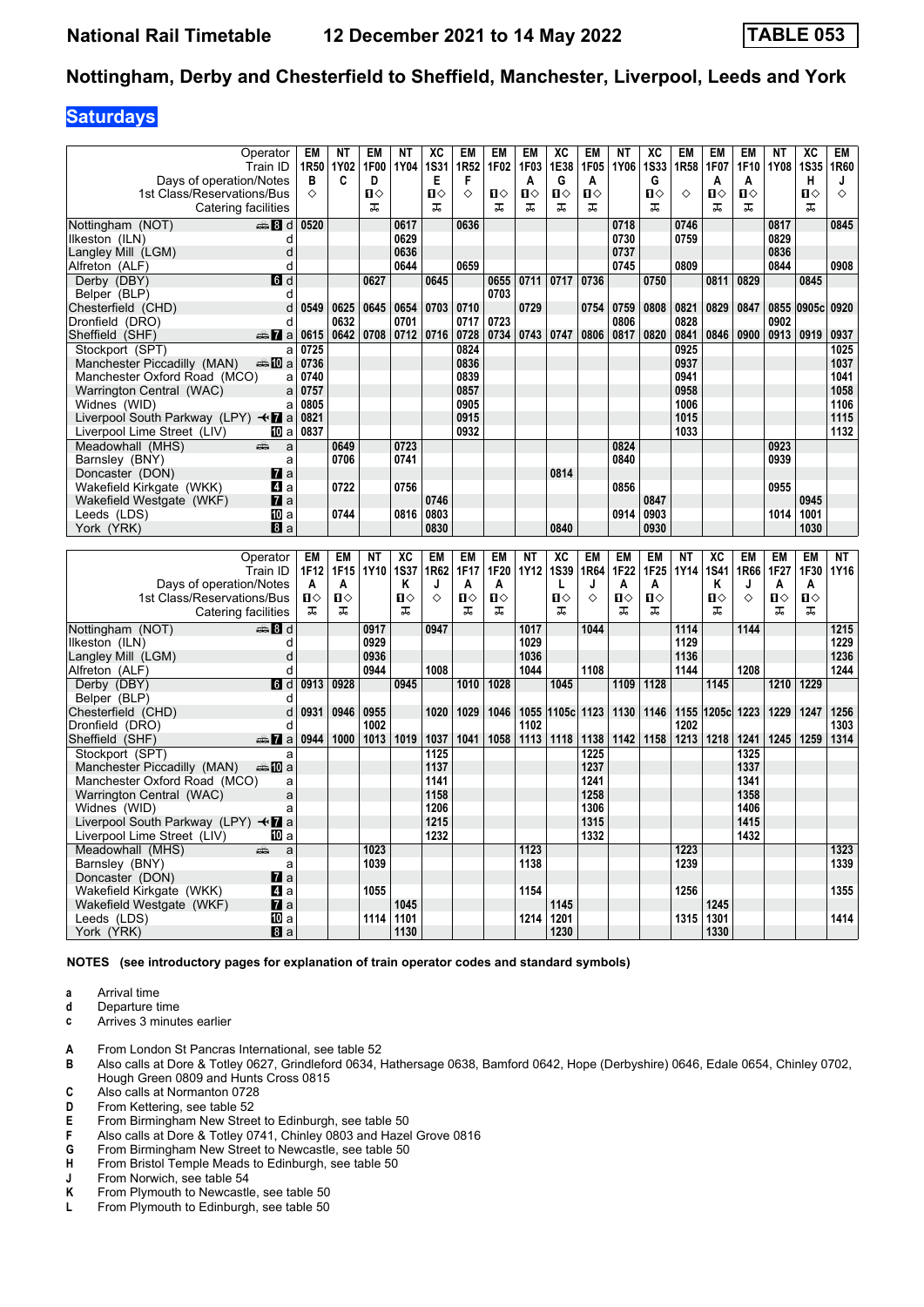#### **Saturdays**

|                                                      | Operator                                                                                                                                                                                                                                         | <b>EM</b> | <b>NT</b> | <b>EM</b>    | <b>NT</b>   | XC           | <b>EM</b>        | <b>EM</b>    | EM           | XC              | EM           | <b>NT</b> | XC           | <b>EM</b> | EM           | EM           | <b>NT</b>   | XC             | EM        |
|------------------------------------------------------|--------------------------------------------------------------------------------------------------------------------------------------------------------------------------------------------------------------------------------------------------|-----------|-----------|--------------|-------------|--------------|------------------|--------------|--------------|-----------------|--------------|-----------|--------------|-----------|--------------|--------------|-------------|----------------|-----------|
|                                                      | Train ID                                                                                                                                                                                                                                         | 1R50      | 1Y02      | 1F00         | 1Y04        | <b>1S31</b>  | 1R <sub>52</sub> | 1F02         | 1F03         | 1E38            | 1F05         | 1Y06      | <b>1S33</b>  | 1R58      | 1F07         | 1F10         | 1Y08        | <b>1S35</b>    | 1R60      |
| Days of operation/Notes                              |                                                                                                                                                                                                                                                  | в         | C         | D            |             | Е            | F                |              | A            | G               | A            |           | G            |           | A            | A            |             | н              | J         |
| 1st Class/Reservations/Bus                           |                                                                                                                                                                                                                                                  | ♦         |           | $\mathbf{u}$ |             | $\mathbf{u}$ | ♦                | $\mathbf{u}$ | $\mathbf{u}$ | $\mathbf{u}$    | $\mathbf{u}$ |           | $\mathbf{u}$ | ♦         | $\mathbf{u}$ | $\mathbf{u}$ |             | $\blacksquare$ | ♦         |
|                                                      | Catering facilities                                                                                                                                                                                                                              |           |           | ᠼ            |             | ᠼ            |                  | ᠼ            | ᠼ            | ᠼ               | ᠼ            |           | ᠼ            |           | ᠼ            | ᠼ            |             | ᠼ              |           |
| Nottingham (NOT)                                     | ا 16 ه <del>س</del> ته                                                                                                                                                                                                                           | 0520      |           |              | 0617        |              | 0636             |              |              |                 |              | 0718      |              | 0746      |              |              | 0817        |                | 0845      |
| llkeston (ILN)                                       | d                                                                                                                                                                                                                                                |           |           |              | 0629        |              |                  |              |              |                 |              | 0730      |              | 0759      |              |              | 0829        |                |           |
| Langley Mill (LGM)                                   | d                                                                                                                                                                                                                                                |           |           |              | 0636        |              |                  |              |              |                 |              | 0737      |              |           |              |              | 0836        |                |           |
| Alfreton (ALF)                                       | d                                                                                                                                                                                                                                                |           |           |              | 0644        |              | 0659             |              |              |                 |              | 0745      |              | 0809      |              |              | 0844        |                | 0908      |
| Derby (DBY)                                          | 6d                                                                                                                                                                                                                                               |           |           | 0627         |             | 0645         |                  | 0655         | 0711         | 0717            | 0736         |           | 0750         |           | 0811         | 0829         |             | 0845           |           |
| Belper (BLP)                                         | d                                                                                                                                                                                                                                                |           |           |              |             |              |                  | 0703         |              |                 |              |           |              |           |              |              |             |                |           |
| Chesterfield (CHD)                                   | d                                                                                                                                                                                                                                                | 0549      | 0625      | 0645         | 0654        | 0703         | 0710             |              | 0729         |                 | 0754         | 0759      | 0808         | 0821      | 0829         | 0847         |             | 0855 0905c     | 0920      |
| Dronfield (DRO)                                      | d                                                                                                                                                                                                                                                |           | 0632      |              | 0701        |              | 0717             | 0723         |              |                 |              | 0806      |              | 0828      |              |              | 0902        |                |           |
| Sheffield (SHF)                                      | $\triangle$ $\blacksquare$ a                                                                                                                                                                                                                     | 0615      | 0642      | 0708         | 0712        | 0716         | 0728             | 0734         | 0743 0747    |                 | 0806         | 0817      | 0820         | 0841      | 0846         | 0900         | 0913   0919 |                | 0937      |
| Stockport (SPT)                                      | a                                                                                                                                                                                                                                                | 0725      |           |              |             |              | 0824             |              |              |                 |              |           |              | 0925      |              |              |             |                | 1025      |
| Manchester Piccadilly (MAN)                          | da <b>10</b> a                                                                                                                                                                                                                                   | 0736      |           |              |             |              | 0836             |              |              |                 |              |           |              | 0937      |              |              |             |                | 1037      |
| Manchester Oxford Road (MCO)                         | a                                                                                                                                                                                                                                                | 0740      |           |              |             |              | 0839             |              |              |                 |              |           |              | 0941      |              |              |             |                | 1041      |
| Warrington Central (WAC)                             | a                                                                                                                                                                                                                                                | 0757      |           |              |             |              | 0857             |              |              |                 |              |           |              | 0958      |              |              |             |                | 1058      |
| Widnes (WID)                                         | a                                                                                                                                                                                                                                                | 0805      |           |              |             |              | 0905             |              |              |                 |              |           |              | 1006      |              |              |             |                | 1106      |
| Liverpool South Parkway (LPY) $\triangleleft$ a      |                                                                                                                                                                                                                                                  | 0821      |           |              |             |              | 0915             |              |              |                 |              |           |              | 1015      |              |              |             |                | 1115      |
| Liverpool Lime Street (LIV)                          | 10 a                                                                                                                                                                                                                                             | 0837      |           |              |             |              | 0932             |              |              |                 |              |           |              | 1033      |              |              |             |                | 1132      |
| Meadowhall (MHS)                                     | a<br>æ                                                                                                                                                                                                                                           |           | 0649      |              | 0723        |              |                  |              |              |                 |              | 0824      |              |           |              |              | 0923        |                |           |
| Barnsley (BNY)                                       | a                                                                                                                                                                                                                                                |           | 0706      |              | 0741        |              |                  |              |              |                 |              | 0840      |              |           |              |              | 0939        |                |           |
| Doncaster (DON)                                      | $\mathbf{z}$ a                                                                                                                                                                                                                                   |           |           |              |             |              |                  |              |              | 0814            |              |           |              |           |              |              |             |                |           |
| Wakefield Kirkgate (WKK)                             | 4 a                                                                                                                                                                                                                                              |           | 0722      |              | 0756        |              |                  |              |              |                 |              | 0856      |              |           |              |              | 0955        |                |           |
| Wakefield Westgate (WKF)                             | $\mathbf{z}$ a                                                                                                                                                                                                                                   |           |           |              |             | 0746         |                  |              |              |                 |              |           | 0847         |           |              |              |             | 0945           |           |
| Leeds (LDS)                                          | TO a                                                                                                                                                                                                                                             |           | 0744      |              | 0816        | 0803         |                  |              |              |                 |              | 0914      | 0903         |           |              |              | 1014        | 1001           |           |
| York (YRK)                                           | 8a                                                                                                                                                                                                                                               |           |           |              |             | 0830         |                  |              |              | 0840            |              |           | 0930         |           |              |              |             | 1030           |           |
|                                                      |                                                                                                                                                                                                                                                  |           |           |              |             |              |                  |              |              |                 |              |           |              |           |              |              |             |                |           |
|                                                      | Operator                                                                                                                                                                                                                                         | EM        | <b>EM</b> | <b>NT</b>    | XC          | EM           | <b>EM</b>        | <b>EM</b>    | <b>NT</b>    | $\overline{AC}$ | EM           | <b>EM</b> | EM           | <b>NT</b> | XC           | EM           | EM          | EM             | <b>NT</b> |
|                                                      | Train ID                                                                                                                                                                                                                                         | 1F12      | 1F15      | 1Y10         | <b>1S37</b> | 1R62         | 1F17             | 1F20         | 1Y12         | <b>1S39</b>     | 1R64         | 1F22      | 1F25         | 1Y14      | <b>1S41</b>  | 1R66         | 1F27        | 1F30           | 1Y16      |
| Days of operation/Notes                              |                                                                                                                                                                                                                                                  | A         | A         |              | Κ           | J            | A                | A            |              | L               | J            | A         | A            |           | Κ            | J            | A           | A              |           |
| 1st Class/Reservations/Bus                           |                                                                                                                                                                                                                                                  | Ω⇔        | п         |              | Ⅱ◇          | ♦            | Π                | Ⅱ◇           |              | п               | ♦            | Ⅱ◇        | Ⅱ◇           |           | Ω            |              |             |                |           |
|                                                      | Catering facilities                                                                                                                                                                                                                              | ᠼ         | ᠼ         |              |             |              |                  |              |              |                 |              |           |              |           |              |              |             |                |           |
|                                                      |                                                                                                                                                                                                                                                  |           |           |              |             |              |                  |              |              |                 |              |           |              |           |              | ♦            | п⇔          | О              |           |
| Nottingham (NOT)                                     |                                                                                                                                                                                                                                                  |           |           |              | ᠼ           |              | ᠼ                | ᠼ            |              | ᠼ               |              | ᠼ         | ᠼ            |           | ᠼ            |              | ᅚ           | ᠼ              |           |
|                                                      | de and a set of a set of a set of a set of a set of a set of a set of a set of a set of a set of a set of a set of $\mathbb{R}^n$ of a set of $\mathbb{R}^n$ of a set of $\mathbb{R}^n$ of a set of $\mathbb{R}^n$ of a set of $\mathbb{R}^n$ of |           |           | 0917         |             | 0947         |                  |              | 1017         |                 | 1044         |           |              | 1114      |              | 1144         |             |                | 1215      |
| Ilkeston (ILN)                                       | d                                                                                                                                                                                                                                                |           |           | 0929         |             |              |                  |              | 1029         |                 |              |           |              | 1129      |              |              |             |                | 1229      |
| Langley Mill (LGM)                                   | d                                                                                                                                                                                                                                                |           |           | 0936         |             |              |                  |              | 1036         |                 |              |           |              | 1136      |              |              |             |                | 1236      |
| Alfreton (ALF)                                       | d                                                                                                                                                                                                                                                |           |           | 0944         |             | 1008         |                  |              | 1044         |                 | 1108         |           |              | 1144      |              | 1208         |             |                | 1244      |
| Derby (DBY)                                          | 6d                                                                                                                                                                                                                                               | 0913      | 0928      |              | 0945        |              | 1010             | 1028         |              | 1045            |              | 1109      | 1128         |           | 1145         |              | 1210        | 1229           |           |
| Belper (BLP)                                         | d                                                                                                                                                                                                                                                |           |           |              |             |              |                  |              |              |                 |              |           |              |           |              |              |             |                |           |
| Chesterfield (CHD)                                   | d                                                                                                                                                                                                                                                | 0931      | 0946      | 0955         |             | 1020         | 1029             | 1046         | 1055         | 1105c           | 1123         | 1130      | 1146         | 1155      | 1205c 1223   |              | 1229        | 1247           | 1256      |
| Dronfield (DRO)                                      | d                                                                                                                                                                                                                                                |           |           | 1002         |             |              |                  |              | 1102         |                 |              |           |              | 1202      |              |              |             |                | 1303      |
| Sheffield (SHF)                                      | dan <b>Ma</b>                                                                                                                                                                                                                                    | 0944      | 1000      | 1013         | 1019        | 1037         | 1041             | 1058         | 1113         | 1118            | 1138         | 1142      | 1158         | 1213      | 1218         | 1241         | 1245        | 1259           | 1314      |
| Stockport (SPT)                                      | a                                                                                                                                                                                                                                                |           |           |              |             | 1125         |                  |              |              |                 | 1225         |           |              |           |              | 1325         |             |                |           |
| Manchester Piccadilly (MAN)                          | dannan ma                                                                                                                                                                                                                                        |           |           |              |             | 1137         |                  |              |              |                 | 1237         |           |              |           |              | 1337         |             |                |           |
| Manchester Oxford Road (MCO)                         | a                                                                                                                                                                                                                                                |           |           |              |             | 1141         |                  |              |              |                 | 1241         |           |              |           |              | 1341         |             |                |           |
| Warrington Central (WAC)                             | a                                                                                                                                                                                                                                                |           |           |              |             | 1158         |                  |              |              |                 | 1258         |           |              |           |              | 1358         |             |                |           |
| Widnes (WID)                                         | a                                                                                                                                                                                                                                                |           |           |              |             | 1206         |                  |              |              |                 | 1306         |           |              |           |              | 1406         |             |                |           |
| Liverpool South Parkway (LPY) <b>+7</b> a            |                                                                                                                                                                                                                                                  |           |           |              |             | 1215         |                  |              |              |                 | 1315         |           |              |           |              | 1415         |             |                |           |
| Liverpool Lime Street (LIV)                          | 100 a                                                                                                                                                                                                                                            |           |           |              |             | 1232         |                  |              |              |                 | 1332         |           |              |           |              | 1432         |             |                |           |
| Meadowhall (MHS)                                     | a<br>æ                                                                                                                                                                                                                                           |           |           | 1023         |             |              |                  |              | 1123         |                 |              |           |              | 1223      |              |              |             |                | 1323      |
| Barnsley (BNY)                                       | a                                                                                                                                                                                                                                                |           |           | 1039         |             |              |                  |              | 1138         |                 |              |           |              | 1239      |              |              |             |                | 1339      |
| Doncaster (DON)                                      | $\mathbf{z}$ a                                                                                                                                                                                                                                   |           |           |              |             |              |                  |              |              |                 |              |           |              |           |              |              |             |                |           |
| Wakefield Kirkgate (WKK)<br>Wakefield Westgate (WKF) | 4 a<br><b>7</b> Ia                                                                                                                                                                                                                               |           |           | 1055         | 1045        |              |                  |              | 1154         | 1145            |              |           |              | 1256      | 1245         |              |             |                | 1355      |

**NOTES (see introductory pages for explanation of train operator codes and standard symbols)**

York (YRK) **1330 1200 1200 1230 1230 1230 1230** 

**a** Arrival time<br>**d** Departure t

**d** Departure time **c** Arrives 3 minutes earlier

**A** From London St Pancras International, see table 52<br>**B** Also calls at Dore & Totley 0627. Grindleford 0634. **B** 

Also calls at Dore & Totley 0627, Grindleford 0634, Hathersage 0638, Bamford 0642, Hope (Derbyshire) 0646, Edale 0654, Chinley 0702, Hough Green 0809 and Hunts Cross 0815

 Leeds (LDS) a **1114 1101 1214 1201 1315 1301 1414**

**C** Also calls at Normanton 0728<br>**D** From Kettering, see table 52

- **D** From Kettering, see table 52<br>**E** From Birmingham New Stree<br>**F** Also calls at Dore & Totley 0 From Birmingham New Street to Edinburgh, see table 50
- **F** Also calls at Dore & Totley 0741, Chinley 0803 and Hazel Grove 0816<br>**G** From Birmingham New Street to Newcastle, see table 50
- **6** From Birmingham New Street to Newcastle, see table 50<br>**H** From Bristol Temple Meads to Edinburgh, see table 50
- **+** From Bristol Temple Meads to Edinburgh, see table 50<br>**J** From Norwich, see table 54
- **-** From Norwich, see table 54<br>**K** From Plymouth to Newcastl
- From Plymouth to Newcastle, see table 50
- **L** From Plymouth to Edinburgh, see table 50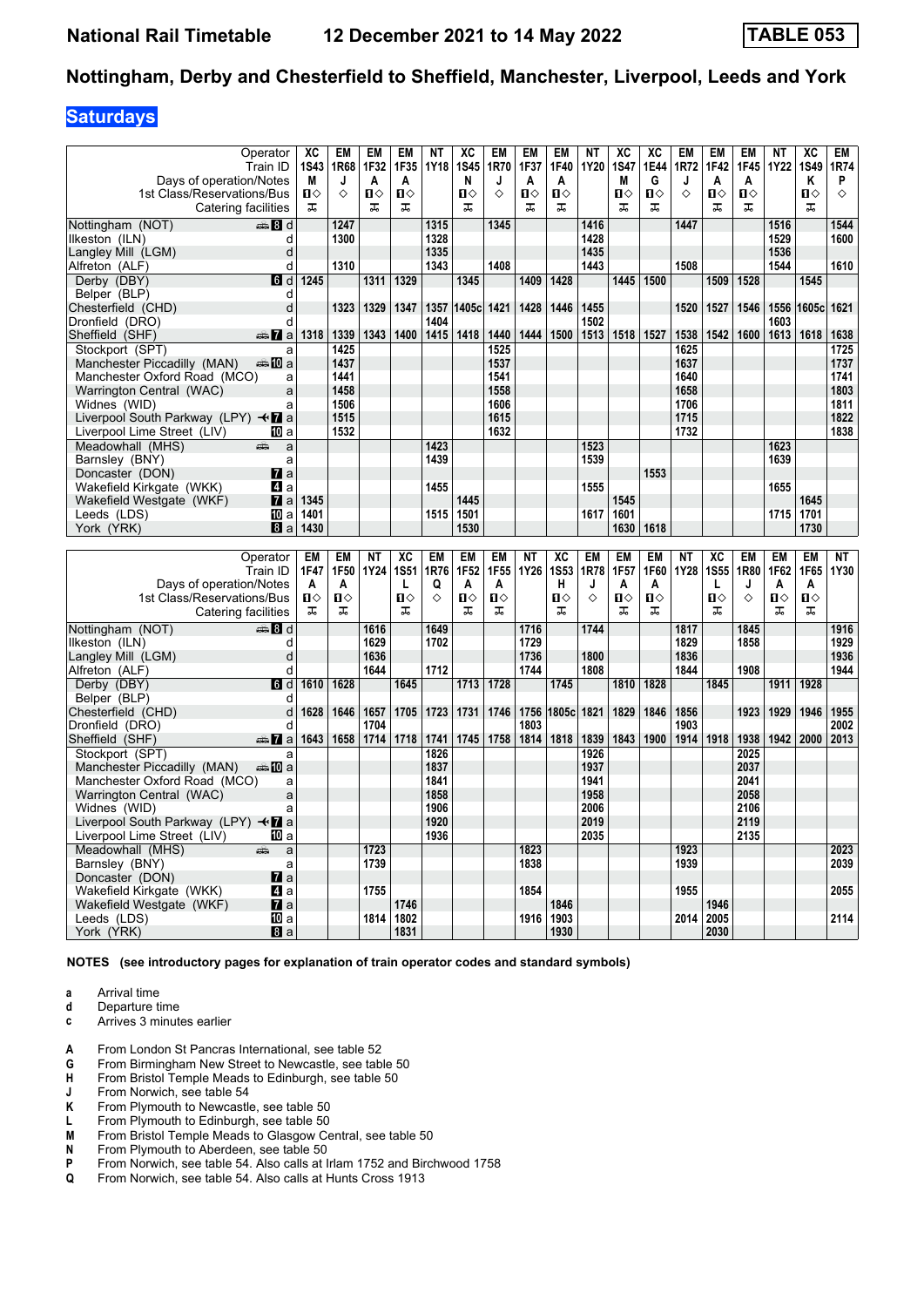### **Saturdays**

|                                                                     | Operator        | XC           | EM        | EM           | <b>EM</b>    | <b>NT</b> | XC           | <b>EM</b>    | EM           | EM           | NΤ        | XC             | XC           | EM        | <b>EM</b>    | <b>EM</b>    | <b>NT</b>    | XC             | <b>EM</b>  |
|---------------------------------------------------------------------|-----------------|--------------|-----------|--------------|--------------|-----------|--------------|--------------|--------------|--------------|-----------|----------------|--------------|-----------|--------------|--------------|--------------|----------------|------------|
|                                                                     | Train ID        | 1S43         | 1R68      | 1F32         | 1F35         | 1Y18      | <b>1S45</b>  | 1R70         | 1F37         | 1F40         | 1Y20      | <b>1S47</b>    | 1E44         | 1R72      | 1F42         | 1F45         | <b>1Y22</b>  | 1S49           | 1R74       |
| Days of operation/Notes                                             |                 | М            | J         | A            | A            |           | N            | J            | A            | A            |           | M              | G            | J         | A            | A            |              | Κ              | P          |
| 1st Class/Reservations/Bus                                          |                 | $\mathbf{u}$ | ◇         | $\mathbf{u}$ | $\mathbf{u}$ |           | $\mathbf{u}$ | ♦            | $\mathbf{u}$ | $\mathbf{u}$ |           | $\blacksquare$ | $\mathbf{u}$ | ♦         | $\mathbf{u}$ | $\mathbf{u}$ |              | $\blacksquare$ | $\Diamond$ |
| Catering facilities                                                 |                 | ᠼ            |           | ᠼ            | ᠼ            |           | ᠼ            |              | ᠼ            | ᠼ            |           | ᠼ              | ᠼ            |           | ᠼ            | ᠼ            |              | ᠼ              |            |
| Nottingham (NOT)                                                    | den and         |              | 1247      |              |              | 1315      |              | 1345         |              |              | 1416      |                |              | 1447      |              |              | 1516         |                | 1544       |
| Ilkeston (ILN)                                                      | d               |              | 1300      |              |              | 1328      |              |              |              |              | 1428      |                |              |           |              |              | 1529         |                | 1600       |
| Langley Mill (LGM)                                                  | d               |              |           |              |              | 1335      |              |              |              |              | 1435      |                |              |           |              |              | 1536         |                |            |
| Alfreton (ALF)                                                      | d               |              | 1310      |              |              | 1343      |              | 1408         |              |              | 1443      |                |              | 1508      |              |              | 1544         |                | 1610       |
| Derby (DBY)                                                         | d               | 1245         |           | 1311         | 1329         |           | 1345         |              | 1409         | 1428         |           | 1445           | 1500         |           | 1509         | 1528         |              | 1545           |            |
| Belper (BLP)                                                        | d               |              |           |              |              |           |              |              |              |              |           |                |              |           |              |              |              |                |            |
| Chesterfield (CHD)                                                  | d               |              | 1323      | 1329         | 1347         | 1357      | 1405c 1421   |              | 1428         | 1446         | 1455      |                |              | 1520      | 1527         | 1546         | 1556         | 1605c 1621     |            |
| Dronfield (DRO)                                                     | d               |              |           |              |              | 1404      |              |              |              |              | 1502      |                |              |           |              |              | 1603         |                |            |
| Sheffield (SHF)                                                     | <del>⊯</del> 7a | 1318         | 1339      | 1343         | 1400         | 1415      | 1418         | 1440         | 1444         | 1500         | 1513      | 1518           | 1527         | 1538      | 1542         | 1600         | 1613         | 1618           | 1638       |
| Stockport (SPT)                                                     | a               |              | 1425      |              |              |           |              | 1525         |              |              |           |                |              | 1625      |              |              |              |                | 1725       |
| Manchester Piccadilly (MAN)                                         | a‱⊾MT a         |              | 1437      |              |              |           |              | 1537         |              |              |           |                |              | 1637      |              |              |              |                | 1737       |
| Manchester Oxford Road (MCO)                                        | a               |              | 1441      |              |              |           |              | 1541         |              |              |           |                |              | 1640      |              |              |              |                | 1741       |
| Warrington Central (WAC)                                            | a               |              | 1458      |              |              |           |              | 1558         |              |              |           |                |              | 1658      |              |              |              |                | 1803       |
| Widnes (WID)                                                        | a               |              | 1506      |              |              |           |              | 1606         |              |              |           |                |              | 1706      |              |              |              |                | 1811       |
| Liverpool South Parkway (LPY) $\triangleleft$ a                     |                 |              | 1515      |              |              |           |              | 1615         |              |              |           |                |              | 1715      |              |              |              |                | 1822       |
| Liverpool Lime Street (LIV)                                         | ID a            |              | 1532      |              |              |           |              | 1632         |              |              |           |                |              | 1732      |              |              |              |                | 1838       |
| Meadowhall (MHS)                                                    | a<br>æ          |              |           |              |              | 1423      |              |              |              |              | 1523      |                |              |           |              |              | 1623         |                |            |
| Barnslev (BNY)                                                      | a               |              |           |              |              | 1439      |              |              |              |              | 1539      |                |              |           |              |              | 1639         |                |            |
| Doncaster (DON)                                                     | $\mathbf{z}$ a  |              |           |              |              |           |              |              |              |              |           |                | 1553         |           |              |              |              |                |            |
| Wakefield Kirkgate (WKK)                                            | 41 a            |              |           |              |              | 1455      |              |              |              |              | 1555      |                |              |           |              |              | 1655         |                |            |
| Wakefield Westgate (WKF)                                            | $\mathbf{z}$ a  | 1345         |           |              |              |           | 1445         |              |              |              |           | 1545           |              |           |              |              |              | 1645           |            |
| Leeds (LDS)                                                         | 100 a           | 1401         |           |              |              | 1515      | 1501         |              |              |              | 1617      | 1601           |              |           |              |              | 1715         | 1701           |            |
| York (YRK)                                                          | 8a              | 1430         |           |              |              |           | 1530         |              |              |              |           | 1630           | 1618         |           |              |              |              | 1730           |            |
|                                                                     |                 |              |           |              |              |           |              |              |              |              |           |                |              |           |              |              |              |                |            |
|                                                                     |                 |              |           |              |              |           |              |              |              |              |           |                |              |           |              |              |              |                |            |
|                                                                     | Operator        | <b>EM</b>    | <b>EM</b> | <b>NT</b>    | XC           | <b>EM</b> | <b>EM</b>    | <b>EM</b>    | <b>NT</b>    | XC           | <b>EM</b> | <b>EM</b>      | <b>EM</b>    | <b>NT</b> | XC           | <b>EM</b>    | <b>EM</b>    | <b>EM</b>      | <b>NT</b>  |
|                                                                     | Train ID        | 1F47         | 1F50      | 1Y24         | <b>1S51</b>  | 1R76      | 1F52         | 1F55         | 1Y26         | <b>1S53</b>  | 1R78      | 1F57           | 1F60         | 1Y28      | <b>1S55</b>  | 1R80         | 1F62         | 1F65           | 1Y30       |
| Days of operation/Notes                                             |                 | A            | A         |              | L            | Q         | A            | A            |              | н            | J         | A              | A            |           | L            | J            | A            | A              |            |
| 1st Class/Reservations/Bus                                          |                 | $\mathbf{u}$ | П⇔        |              | $\Pi$        | ♦         | $\mathbf{u}$ | $\mathbf{u}$ |              | $\mathbf{u}$ | ♦         | $\mathbf{u}$   | $\mathbf{u}$ |           | п⇔           | ♦            | $\mathbf{u}$ | $\mathbf{u}$   |            |
| Catering facilities                                                 |                 | ᠼ            | ᅚ         |              | ᠼ            |           | ᠼ            | ᠼ            |              | ᠼ            |           | ᠼ              | ᠼ            |           | ᠼ            |              | ᅚ            | ᠼ              |            |
| Nottingham (NOT)                                                    | den and         |              |           | 1616         |              | 1649      |              |              | 1716         |              | 1744      |                |              | 1817      |              | 1845         |              |                | 1916       |
| Ilkeston (ILN)                                                      | d               |              |           | 1629         |              | 1702      |              |              | 1729         |              |           |                |              | 1829      |              | 1858         |              |                | 1929       |
| Langley Mill (LGM)                                                  | d               |              |           | 1636         |              |           |              |              | 1736         |              | 1800      |                |              | 1836      |              |              |              |                | 1936       |
| Alfreton (ALF)                                                      | d               |              |           | 1644         |              | 1712      |              |              | 1744         |              | 1808      |                |              | 1844      |              | 1908         |              |                | 1944       |
| Derby (DBY)                                                         | G d             | 1610         | 1628      |              | 1645         |           | 1713         | 1728         |              | 1745         |           | 1810           | 1828         |           | 1845         |              | 1911         | 1928           |            |
| Belper (BLP)                                                        | d               |              |           |              |              |           |              |              |              |              |           |                |              |           |              |              |              |                |            |
| Chesterfield (CHD)                                                  | d               | 1628         | 1646      | 1657         | 1705         | 1723      | 1731         | 1746         | 1756         | 1805c        | 1821      | 1829           | 1846         | 1856      |              | 1923         | 1929         | 1946           | 1955       |
| Dronfield (DRO)                                                     | d               |              |           | 1704         |              |           |              |              | 1803         |              |           |                |              | 1903      |              |              |              |                | 2002       |
| Sheffield (SHF)                                                     | <del>⊯</del> Па | 1643         | 1658      | 1714         | 1718         | 1741      | 1745         | 1758         | 1814         | 1818         | 1839      | 1843           | 1900         | 1914      | 1918         | 1938         | 1942         | 2000           | 2013       |
| Stockport (SPT)                                                     | a               |              |           |              |              | 1826      |              |              |              |              | 1926      |                |              |           |              | 2025         |              |                |            |
| Manchester Piccadilly (MAN)                                         | ⊯‱ ll a         |              |           |              |              | 1837      |              |              |              |              | 1937      |                |              |           |              | 2037         |              |                |            |
| Manchester Oxford Road (MCO)                                        | a               |              |           |              |              | 1841      |              |              |              |              | 1941      |                |              |           |              | 2041         |              |                |            |
| Warrington Central (WAC)                                            | a               |              |           |              |              | 1858      |              |              |              |              | 1958      |                |              |           |              | 2058         |              |                |            |
| Widnes (WID)                                                        | a               |              |           |              |              | 1906      |              |              |              |              | 2006      |                |              |           |              | 2106         |              |                |            |
| Liverpool South Parkway (LPY) $\triangleleft \mathbf{\mathbf{Z}}$ a |                 |              |           |              |              | 1920      |              |              |              |              | 2019      |                |              |           |              | 2119         |              |                |            |
| Liverpool Lime Street (LIV)                                         | IO a            |              |           |              |              | 1936      |              |              |              |              | 2035      |                |              |           |              | 2135         |              |                |            |
| Meadowhall (MHS)                                                    | a<br>ей         |              |           | 1723         |              |           |              |              | 1823         |              |           |                |              | 1923      |              |              |              |                | 2023       |
| Barnsley (BNY)                                                      | a               |              |           | 1739         |              |           |              |              | 1838         |              |           |                |              | 1939      |              |              |              |                | 2039       |
| Doncaster (DON)                                                     | $\mathbf{z}$ a  |              |           |              |              |           |              |              |              |              |           |                |              |           |              |              |              |                |            |
| Wakefield Kirkgate (WKK)                                            | ZI a            |              |           | 1755         |              |           |              |              | 1854         |              |           |                |              | 1955      |              |              |              |                | 2055       |
| Wakefield Westgate (WKF)                                            | $\mathbf{z}$ a  |              |           |              | 1746         |           |              |              |              | 1846         |           |                |              |           | 1946         |              |              |                |            |
| Leeds (LDS)<br>York (YRK)                                           | 吅 a<br>8a       |              |           | 1814         | 1802<br>1831 |           |              |              | 1916         | 1903<br>1930 |           |                |              | 2014      | 2005<br>2030 |              |              |                | 2114       |

**NOTES (see introductory pages for explanation of train operator codes and standard symbols)**

**a** Arrival time<br>**d** Departure t

**d** Departure time **c** Arrives 3 minutes earlier

**4** From London St Pancras International, see table 52<br>**G** From Birmingham New Street to Newcastle, see tab

- **6** From Birmingham New Street to Newcastle, see table 50 **H** From Bristol Temple Meads to Edinburgh, see table 50
- **+** From Bristol Temple Meads to Edinburgh, see table 50<br> **4** From Norwich, see table 54
- **J** From Norwich, see table 54<br>**K** From Plymouth to Newcastle
- From Plymouth to Newcastle, see table 50
- **L** From Plymouth to Edinburgh, see table 50<br>**M** From Bristol Temple Meads to Glasgow Ce
- **0** From Bristol Temple Meads to Glasgow Central, see table 50<br>**N** From Plymouth to Aberdeen, see table 50
- **N** From Plymouth to Aberdeen, see table 50<br>**P** From Norwich, see table 54. Also calls at I
- **P** From Norwich, see table 54. Also calls at Irlam 1752 and Birchwood 1758<br>**Q** From Norwich, see table 54. Also calls at Hunts Cross 1913
- From Norwich, see table 54. Also calls at Hunts Cross 1913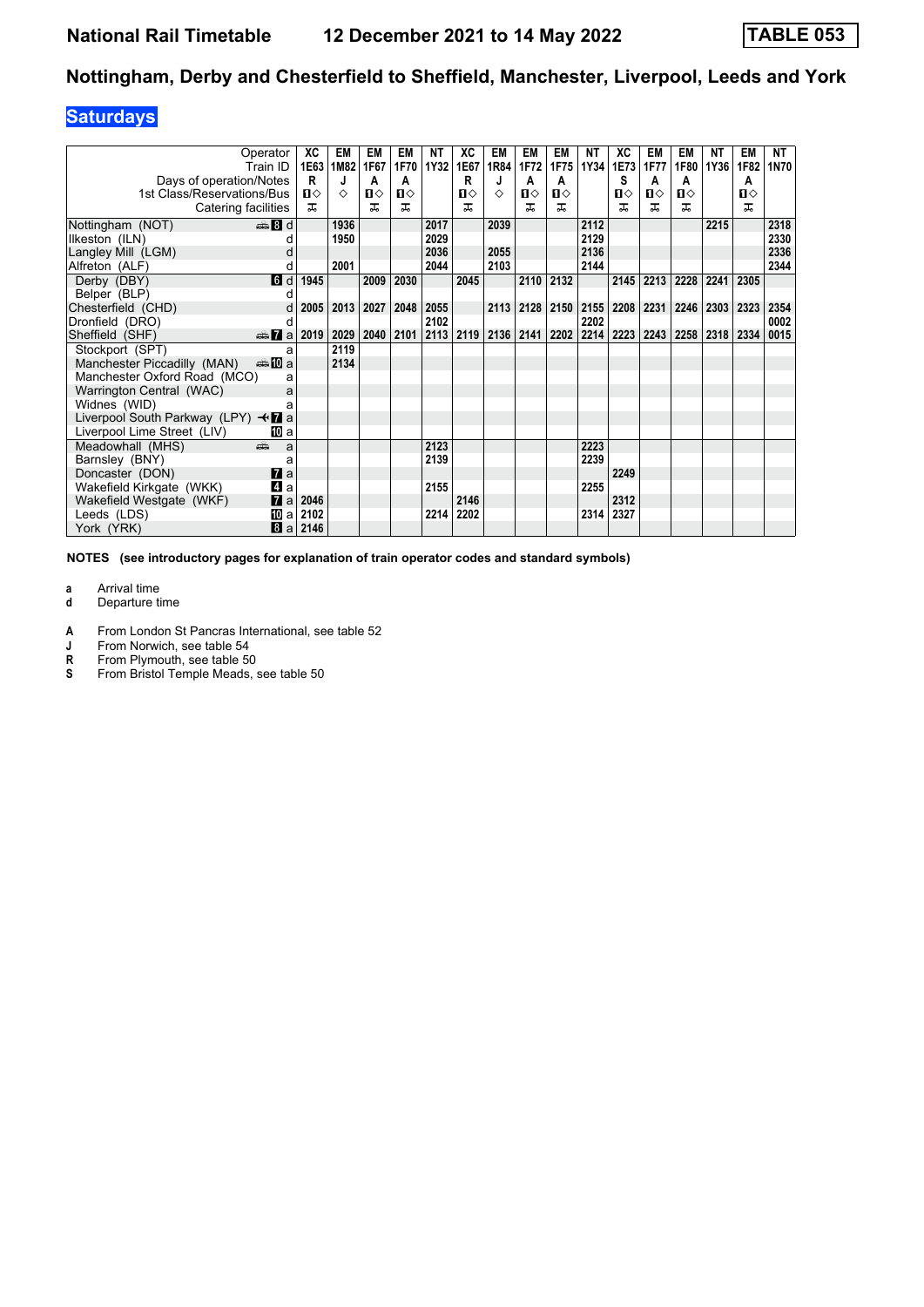### **Saturdays**

|                                                 | Operator<br>Train ID | XC<br>1E63   | EM<br>1M82 | EM<br>1F67   | EM<br>1F70   | <b>NT</b><br>1Y32 | XC<br>  1E67 | EM<br>1R84 | EM<br>1F72 | EM<br>1F75 | <b>NT</b><br>1Y34 | XC<br>1E73 | EM<br>1F77 | EM<br>1F80 | ΝT<br>1Y36 | EM<br>1F82 | NT<br>1N70 |
|-------------------------------------------------|----------------------|--------------|------------|--------------|--------------|-------------------|--------------|------------|------------|------------|-------------------|------------|------------|------------|------------|------------|------------|
| Days of operation/Notes                         |                      | R            | J          | A            | A            |                   | R            | J          | A          | A          |                   | S          | A          | A          |            | A          |            |
| 1st Class/Reservations/Bus                      |                      | $\mathbf{u}$ | ♦          | $\mathbf{n}$ | $\mathbf{u}$ |                   | П⇔           | ♦          | П⇔         | п⇔         |                   | ื่ ଘ       | Ⅱ◇         | 0          |            | О          |            |
| Catering facilities                             |                      | ᠼ            |            | ᇁ            | 굾            |                   | ᅚ            |            | ㅈ          | ᠼ          |                   | ᅚ          | ᠼ          | ᅚ          |            | ᅚ          |            |
| Nottingham (NOT)                                | $\frac{1}{2}$ 8 d    |              | 1936       |              |              | 2017              |              | 2039       |            |            | 2112              |            |            |            | 2215       |            | 2318       |
| Ilkeston (ILN)                                  |                      |              | 1950       |              |              | 2029              |              |            |            |            | 2129              |            |            |            |            |            | 2330       |
| Langley Mill (LGM)                              |                      |              |            |              |              | 2036              |              | 2055       |            |            | 2136              |            |            |            |            |            | 2336       |
| Alfreton (ALF)                                  |                      |              | 2001       |              |              | 2044              |              | 2103       |            |            | 2144              |            |            |            |            |            | 2344       |
| Derby (DBY)                                     | <b>d</b> d           | 1945         |            | 2009         | 2030         |                   | 2045         |            | 2110       | 2132       |                   | 2145       | 2213       | 2228       | 2241       | 2305       |            |
| Belper (BLP)                                    |                      |              |            |              |              |                   |              |            |            |            |                   |            |            |            |            |            |            |
| Chesterfield (CHD)                              |                      | 2005         | 2013       | 2027         | 2048         | 2055              |              | 2113       | 2128       | 2150       | 2155              | 2208       | 2231       | 2246       | 2303       | 2323       | 2354       |
| Dronfield (DRO)                                 | d                    |              |            |              |              | 2102              |              |            |            |            | 2202              |            |            |            |            |            | 0002       |
| Sheffield (SHF)                                 | $\oplus$ 7 a 2019    |              | 2029       | 2040         | 2101         | 2113              |              | 2119 2136  | 2141       | 2202       | 2214              | 2223       | 2243       | 2258       | 2318       | 2334       | 0015       |
| Stockport (SPT)                                 | a                    |              | 2119       |              |              |                   |              |            |            |            |                   |            |            |            |            |            |            |
| Manchester Piccadilly (MAN)                     | anno manda           |              | 2134       |              |              |                   |              |            |            |            |                   |            |            |            |            |            |            |
| Manchester Oxford Road (MCO)                    | a                    |              |            |              |              |                   |              |            |            |            |                   |            |            |            |            |            |            |
| Warrington Central (WAC)                        | a                    |              |            |              |              |                   |              |            |            |            |                   |            |            |            |            |            |            |
| Widnes (WID)                                    |                      |              |            |              |              |                   |              |            |            |            |                   |            |            |            |            |            |            |
| Liverpool South Parkway (LPY) $\triangleleft$ a |                      |              |            |              |              |                   |              |            |            |            |                   |            |            |            |            |            |            |
| Liverpool Lime Street (LIV)                     | IO a                 |              |            |              |              |                   |              |            |            |            |                   |            |            |            |            |            |            |
| Meadowhall (MHS)                                | dia 1<br>a           |              |            |              |              | 2123              |              |            |            |            | 2223              |            |            |            |            |            |            |
| Barnsley (BNY)                                  | a                    |              |            |              |              | 2139              |              |            |            |            | 2239              |            |            |            |            |            |            |
| Doncaster (DON)                                 | $\mathbf{z}$ a       |              |            |              |              |                   |              |            |            |            |                   | 2249       |            |            |            |            |            |
| Wakefield Kirkgate (WKK)                        | 41 a                 |              |            |              |              | 2155              |              |            |            |            | 2255              |            |            |            |            |            |            |
| Wakefield Westgate (WKF)                        | 7<br>a               | 2046         |            |              |              |                   | 2146         |            |            |            |                   | 2312       |            |            |            |            |            |
| Leeds (LDS)                                     | 吅 a                  | 2102         |            |              |              | 2214              | 2202         |            |            |            | 2314              | 2327       |            |            |            |            |            |
| York (YRK)                                      | 8                    | $a$ 2146     |            |              |              |                   |              |            |            |            |                   |            |            |            |            |            |            |

**NOTES (see introductory pages for explanation of train operator codes and standard symbols)**

**a** Arrival time<br>**d** Departure t

**d** Departure time

**4** From London St Pancras International, see table 52<br>**J** From Norwich, see table 54

**J** From Norwich, see table 54<br>**R** From Plymouth, see table 50

**R** From Plymouth, see table 50<br>**S** From Bristol Temple Meads, s

From Bristol Temple Meads, see table 50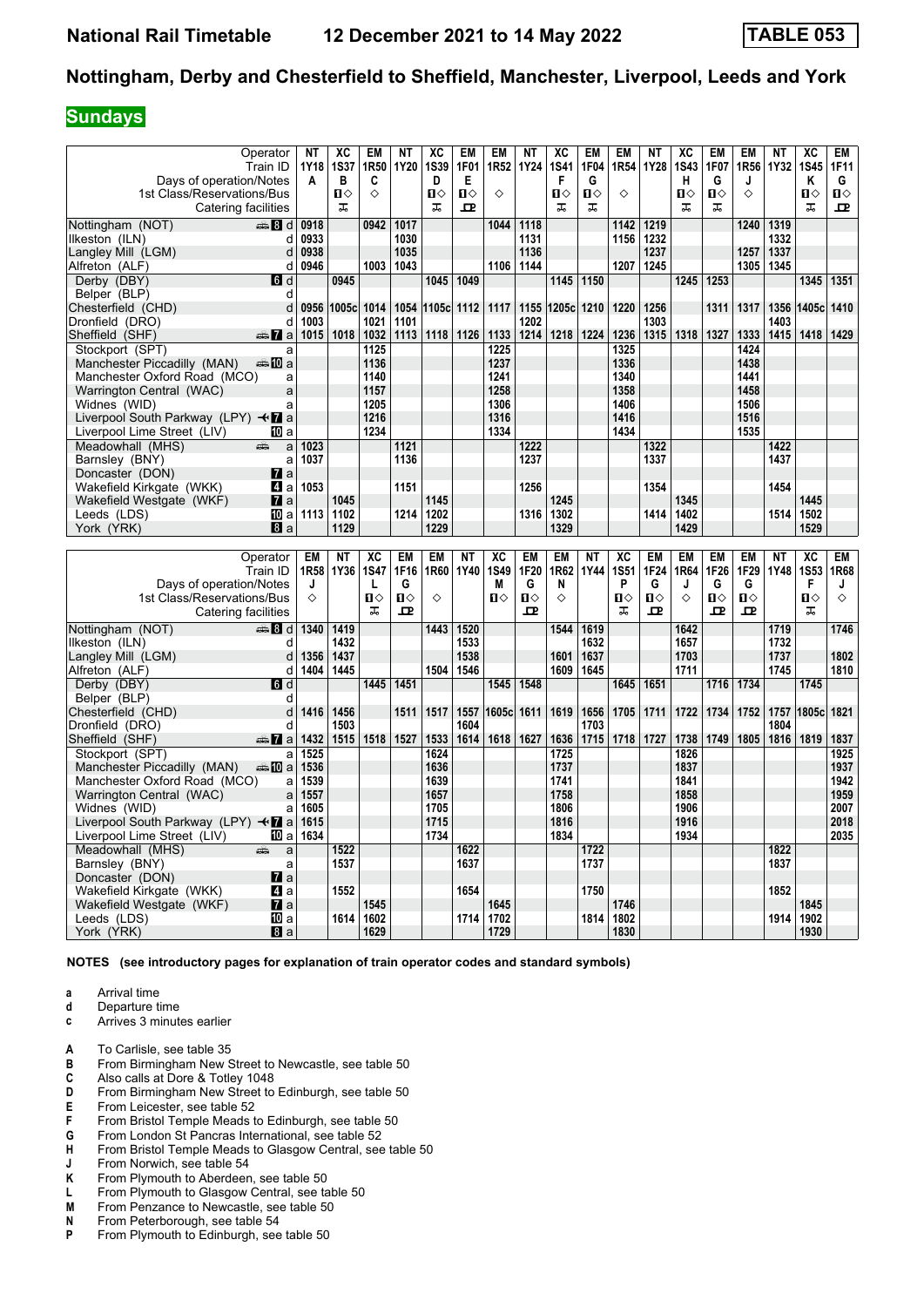#### **Sundays**

|                                                                     | Operator            | NΤ   | XC           | EM              | NΤ           | XC           | EM           | <b>EM</b>        | <b>NT</b>    | XC           | <b>EM</b>    | <b>EM</b>       | <b>NT</b>    | XC           | <b>EM</b>    | EM           | ΝT           | XC                     | <b>EM</b>    |
|---------------------------------------------------------------------|---------------------|------|--------------|-----------------|--------------|--------------|--------------|------------------|--------------|--------------|--------------|-----------------|--------------|--------------|--------------|--------------|--------------|------------------------|--------------|
|                                                                     | Train ID            | 1Y18 | <b>1S37</b>  | 1R50            | 1Y20         | <b>1S39</b>  | 1F01         | 1R <sub>52</sub> | <b>1Y24</b>  | <b>1S41</b>  | 1F04         | 1R54            | 1Y28         | <b>1S43</b>  | 1F07         | 1R56         | 1Y32         | <b>1S45</b>            | 1F11         |
| Days of operation/Notes                                             |                     | A    | в            | C               |              | D            | Е            |                  |              | F            | G            |                 |              | н            | G            | J            |              | Κ                      | G            |
| 1st Class/Reservations/Bus                                          |                     |      | $\mathbf{u}$ | ♦               |              | $\mathbf{u}$ | $\mathbf{u}$ | ♦                |              | $\mathbf{u}$ | $\mathbf{u}$ | ♦               |              | $\mathbf{u}$ | $\mathbf{u}$ | ♦            |              | $\mathbf{u}$           | $\mathbf{u}$ |
|                                                                     | Catering facilities |      | ᠼ            |                 |              | ᠼ            | $\mathbf{p}$ |                  |              | ᠼ            | ᠼ            |                 |              | ᠼ            | ᠼ            |              |              | ᠼ                      | ᅭ            |
| Nottingham (NOT)                                                    | <b>4 8 d</b>        | 0918 |              | 0942            | 1017         |              |              | 1044             | 1118         |              |              | 1142            | 1219         |              |              | 1240         | 1319         |                        |              |
| llkeston (ILN)                                                      | d                   | 0933 |              |                 | 1030         |              |              |                  | 1131         |              |              | 1156            | 1232         |              |              |              | 1332         |                        |              |
| Langley Mill (LGM)                                                  | d                   | 0938 |              |                 | 1035         |              |              |                  | 1136         |              |              |                 | 1237         |              |              | 1257         | 1337         |                        |              |
| Alfreton (ALF)                                                      | d                   | 0946 |              | 1003            | 1043         |              |              | 1106 1144        |              |              |              | 1207            | 1245         |              |              | 1305         | 1345         |                        |              |
| Derby (DBY)                                                         | 6d                  |      | 0945         |                 |              | 1045         | 1049         |                  |              | 1145         | 1150         |                 |              | 1245         | 1253         |              |              | 1345                   | 1351         |
| Belper (BLP)                                                        | d                   |      |              |                 |              |              |              |                  |              |              |              |                 |              |              |              |              |              |                        |              |
|                                                                     |                     |      |              |                 |              |              |              |                  |              |              |              |                 |              |              |              |              |              |                        |              |
| Chesterfield (CHD)                                                  | d                   | 0956 | 1005c 1014   |                 | 1054         | 1105c 1112   |              | 1117             | 1155         | 1205c 1210   |              | 1220            | 1256         |              | 1311         | 1317         | 1356         | 1405c 1410             |              |
| Dronfield (DRO)                                                     | d                   | 1003 |              | 1021            | 1101         |              |              |                  | 1202         |              |              |                 | 1303         |              |              |              | 1403         |                        |              |
| Sheffield (SHF)                                                     | <del>∰</del> 7a     | 1015 | 1018         | 1032            | 1113         | 1118         | 1126         | 1133             | 1214         | 1218         | 1224         | 1236            | 1315         | 1318         | 1327         | 1333         | 1415         | 1418                   | 1429         |
| Stockport (SPT)                                                     | a                   |      |              | 1125            |              |              |              | 1225             |              |              |              | 1325            |              |              |              | 1424         |              |                        |              |
| Manchester Piccadilly (MAN)                                         | a‱⊾MT a             |      |              | 1136            |              |              |              | 1237             |              |              |              | 1336            |              |              |              | 1438         |              |                        |              |
| Manchester Oxford Road (MCO)                                        | a                   |      |              | 1140            |              |              |              | 1241             |              |              |              | 1340            |              |              |              | 1441         |              |                        |              |
| Warrington Central (WAC)                                            | a                   |      |              | 1157            |              |              |              | 1258             |              |              |              | 1358            |              |              |              | 1458         |              |                        |              |
| Widnes (WID)                                                        | a                   |      |              | 1205            |              |              |              | 1306             |              |              |              | 1406            |              |              |              | 1506         |              |                        |              |
| Liverpool South Parkway (LPY) $\triangleleft \mathbf{\mathbf{Z}}$ a |                     |      |              | 1216            |              |              |              | 1316             |              |              |              | 1416            |              |              |              | 1516         |              |                        |              |
| Liverpool Lime Street (LIV)                                         | <b>ID</b> a         |      |              | 1234            |              |              |              | 1334             |              |              |              | 1434            |              |              |              | 1535         |              |                        |              |
| Meadowhall (MHS)                                                    | a<br>æ              | 1023 |              |                 | 1121         |              |              |                  | 1222         |              |              |                 | 1322         |              |              |              | 1422         |                        |              |
| Barnsley (BNY)                                                      | a                   | 1037 |              |                 | 1136         |              |              |                  | 1237         |              |              |                 | 1337         |              |              |              | 1437         |                        |              |
| Doncaster (DON)                                                     | $\mathbf{z}$ a      |      |              |                 |              |              |              |                  |              |              |              |                 |              |              |              |              |              |                        |              |
| Wakefield Kirkgate (WKK)                                            | 41 a                | 1053 |              |                 | 1151         |              |              |                  | 1256         |              |              |                 | 1354         |              |              |              | 1454         |                        |              |
| Wakefield Westgate (WKF)                                            | $\mathbf{z}$ a      |      | 1045         |                 |              | 1145         |              |                  |              | 1245         |              |                 |              | 1345         |              |              |              | 1445                   |              |
| Leeds (LDS)                                                         | 10 a                | 1113 | 1102         |                 | 1214         | 1202         |              |                  | 1316         | 1302         |              |                 | 1414         | 1402         |              |              | 1514         | 1502                   |              |
| York (YRK)                                                          | 8a                  |      | 1129         |                 |              | 1229         |              |                  |              | 1329         |              |                 |              | 1429         |              |              |              | 1529                   |              |
|                                                                     |                     |      |              |                 |              |              |              |                  |              |              |              |                 |              |              |              |              |              |                        |              |
|                                                                     |                     |      |              |                 |              |              |              |                  |              |              |              |                 |              |              |              |              |              |                        |              |
|                                                                     |                     |      |              |                 |              |              |              |                  |              |              |              |                 |              |              |              |              |              |                        |              |
|                                                                     | Operator            | EM   | <b>NT</b>    | $\overline{AC}$ | <b>EM</b>    | <b>EM</b>    | <b>NT</b>    | $\overline{AC}$  | <b>EM</b>    | <b>EM</b>    | <b>NT</b>    | $\overline{AC}$ | <b>EM</b>    | <b>EM</b>    | <b>EM</b>    | <b>EM</b>    | NT           | $\overline{\text{xc}}$ | EM           |
|                                                                     | Train ID            |      | 1R58 1Y36    | <b>1S47</b>     | 1F16         | 1R60         | 1Y40         | 1S49             | 1F20         | 1R62         | 1Y44         | <b>1S51</b>     | 1F24         | 1R64         | 1F26         | 1F29         | 1Y48         | <b>1S53</b>            | 1R68         |
| Days of operation/Notes                                             |                     | J    |              | L               | G            |              |              | M                | G            | N            |              | P               | G            | J            | G            | G            |              | F                      | J            |
| 1st Class/Reservations/Bus                                          |                     | ♦    |              | $\mathbf{u}$    | $\mathbf{u}$ | $\Diamond$   |              | $\mathbf{u}$     | $\mathbf{u}$ | ♦            |              | Ⅱ♦              | $\mathbf{u}$ | ♦            | $\mathbf{u}$ | $\mathbf{u}$ |              | $\blacksquare$         | ♦            |
|                                                                     | Catering facilities |      |              | ᠼ               | 고            |              |              |                  | ᅭ            |              |              | ᠼ               | 고            |              | 고            | $\mathbf{p}$ |              | ᠼ                      |              |
| Nottingham (NOT)                                                    | <b>● 8 d</b>        | 1340 | 1419         |                 |              | 1443         | 1520         |                  |              | 1544         | 1619         |                 |              | 1642         |              |              | 1719         |                        | 1746         |
| llkeston (ILN)                                                      | d                   |      | 1432         |                 |              |              | 1533         |                  |              |              | 1632         |                 |              | 1657         |              |              | 1732         |                        |              |
| Langley Mill (LGM)                                                  | d                   | 1356 | 1437         |                 |              |              | 1538         |                  |              | 1601         | 1637         |                 |              | 1703         |              |              | 1737         |                        | 1802         |
| Alfreton (ALF)                                                      | d                   | 1404 | 1445         |                 |              | 1504         | 1546         |                  |              | 1609         | 1645         |                 |              | 1711         |              |              | 1745         |                        | 1810         |
| Derby (DBY)                                                         | <b>G</b> d          |      |              | 1445            | 1451         |              |              | 1545             | 1548         |              |              | 1645            | 1651         |              | 1716 1734    |              |              | 1745                   |              |
|                                                                     |                     |      |              |                 |              |              |              |                  |              |              |              |                 |              |              |              |              |              |                        |              |
| Belper (BLP)                                                        | d<br>d              |      |              |                 |              |              |              |                  |              |              |              |                 |              |              |              |              |              |                        |              |
| Chesterfield (CHD)                                                  | d                   | 1416 | 1456<br>1503 |                 | 1511         | 1517         | 1557<br>1604 | 1605c 1611       |              | 1619         | 1656<br>1703 | 1705            | 1711         | 1722         | 1734         | 1752         | 1757<br>1804 | 1805cl                 | 1821         |
| Dronfield (DRO)                                                     |                     |      |              |                 |              |              |              |                  |              |              |              |                 |              |              |              |              |              |                        |              |
| Sheffield (SHF)                                                     | $\frac{1}{2}$ a     | 1432 | $1515$ 1518  |                 | 1527         | 1533         | 1614         | 1618             | 1627         | 1636         | 1715         | 1718            | 1727         | 1738         | 1749         | 1805         | 1816         | 1819                   | 1837         |
| Stockport (SPT)                                                     | a                   | 1525 |              |                 |              | 1624         |              |                  |              | 1725         |              |                 |              | 1826         |              |              |              |                        | 1925         |
| Manchester Piccadilly (MAN)                                         | an≗Mia.             | 1536 |              |                 |              | 1636         |              |                  |              | 1737         |              |                 |              | 1837         |              |              |              |                        | 1937         |
| Manchester Oxford Road (MCO)                                        | a                   | 1539 |              |                 |              | 1639         |              |                  |              | 1741         |              |                 |              | 1841         |              |              |              |                        | 1942         |
| Warrington Central (WAC)                                            | a                   | 1557 |              |                 |              | 1657         |              |                  |              | 1758         |              |                 |              | 1858         |              |              |              |                        | 1959         |
| Widnes (WID)                                                        | a                   | 1605 |              |                 |              | 1705         |              |                  |              | 1806         |              |                 |              | 1906         |              |              |              |                        | 2007         |
| Liverpool South Parkway (LPY) $\triangleleft$ a                     |                     | 1615 |              |                 |              | 1715         |              |                  |              | 1816         |              |                 |              | 1916         |              |              |              |                        | 2018         |
| Liverpool Lime Street (LIV)                                         | 10 a                | 1634 |              |                 |              | 1734         |              |                  |              | 1834         |              |                 |              | 1934         |              |              |              |                        | 2035         |
| Meadowhall (MHS)                                                    | æ<br>a              |      | 1522         |                 |              |              | 1622         |                  |              |              | 1722         |                 |              |              |              |              | 1822         |                        |              |
| Barnsley (BNY)                                                      | a                   |      | 1537         |                 |              |              | 1637         |                  |              |              | 1737         |                 |              |              |              |              | 1837         |                        |              |
| Doncaster (DON)                                                     | $\mathbf{z}$ a      |      |              |                 |              |              |              |                  |              |              |              |                 |              |              |              |              |              |                        |              |
| Wakefield Kirkgate (WKK)                                            | 4 a                 |      | 1552         |                 |              |              | 1654         |                  |              |              | 1750         |                 |              |              |              |              | 1852         |                        |              |
| Wakefield Westgate (WKF)                                            | <b>7</b> a          |      |              | 1545            |              |              |              | 1645             |              |              |              | 1746            |              |              |              |              |              | 1845                   |              |
| Leeds (LDS)<br>York (YRK)                                           | 10 a<br>Bl a        |      | 1614         | 1602<br>1629    |              |              | 1714         | 1702<br>1729     |              |              | 1814         | 1802<br>1830    |              |              |              |              | 1914         | 1902<br>1930           |              |

**NOTES (see introductory pages for explanation of train operator codes and standard symbols)**

- **a** Arrival time<br>**d** Departure t
- **d** Departure time **c** Arrives 3 minutes earlier
- **A** To Carlisle, see table 35<br>**B** From Birmingham New S
- **B** From Birmingham New Street to Newcastle, see table 50 C Also calls at Dore & Totley 1048
- **C** Also calls at Dore & Totley 1048<br>**D** From Birmingham New Street to
- **D** From Birmingham New Street to Edinburgh, see table 50<br>**E** From Leicester, see table 52
- **E** From Leicester, see table 52<br>**F** From Bristol Temple Meads t
- **F** From Bristol Temple Meads to Edinburgh, see table 50<br>**G** From London St Pancras International, see table 52
- **6** From London St Pancras International, see table 52<br>**H** From Bristol Temple Meads to Glasgow Central, see
- **+** From Bristol Temple Meads to Glasgow Central, see table 50<br>**J** From Norwich, see table 54
- **J** From Norwich, see table 54<br>**K** From Plymouth to Aberdeen
- **K** From Plymouth to Aberdeen, see table 50<br>**L** From Plymouth to Glasgow Central, see ta
- From Plymouth to Glasgow Central, see table 50
- **0** From Penzance to Newcastle, see table 50<br>**N** From Peterborough, see table 54
- **N** From Peterborough, see table 54 From Plymouth to Edinburgh, see table 50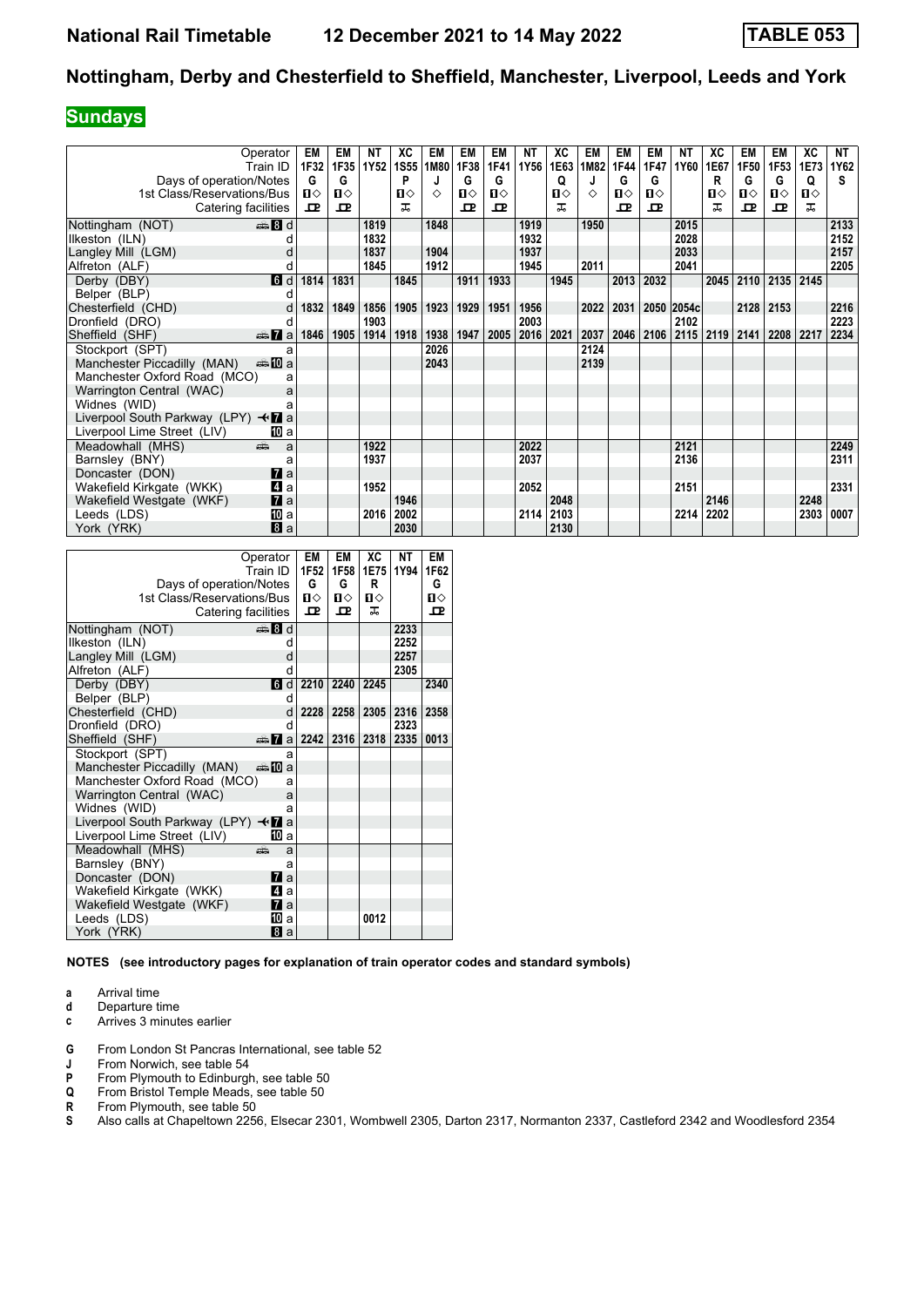#### **Sundays**

|                                    | Operator<br>Train ID | EM<br>1F32 | EM<br>1F35 | NT<br><b>1Y52</b> | ХC<br><b>1S55</b> | EM<br>1M80 | EM<br>1F38   | EM<br>1F41   | NT<br>1Y56 | ХC<br>1E63 | EM<br>1M82 | EM<br>1F44 | EM<br>1F47 | NT<br>1Y60 | XC<br>1E67 | EM<br>1F50   | EM<br>1F <sub>53</sub> | ХC<br>1E73   | NT<br>1Y62 |
|------------------------------------|----------------------|------------|------------|-------------------|-------------------|------------|--------------|--------------|------------|------------|------------|------------|------------|------------|------------|--------------|------------------------|--------------|------------|
| Days of operation/Notes            |                      | G          | G          |                   | P                 |            | G            | G            |            | Q          |            | G          | G          |            | R          | G            | G                      | Q            | s          |
| 1st Class/Reservations/Bus         |                      | п⇔         | ப⇔         |                   | ப⇔                | ♦          | ்ப           | $\mathbf{u}$ |            | п⇔         | ♦          | п⇔         | ப⇔         |            | п⇔         | ்ப           | $\mathbf{n}$           | $\mathbf{u}$ |            |
| Catering facilities                |                      | 굔          | ᅭ          |                   | ㅈ                 |            | $\mathbf{p}$ | 굔            |            | ᇁ          |            | ᇁ          | 고          |            | ᠼ          | $\mathbf{P}$ | 굔                      | ㅈ            |            |
| Nottingham (NOT)                   | es 8 d               |            |            | 1819              |                   | 1848       |              |              | 1919       |            | 1950       |            |            | 2015       |            |              |                        |              | 2133       |
| Ilkeston (ILN)                     |                      |            |            | 1832              |                   |            |              |              | 1932       |            |            |            |            | 2028       |            |              |                        |              | 2152       |
| Langley Mill (LGM)                 |                      |            |            | 1837              |                   | 1904       |              |              | 1937       |            |            |            |            | 2033       |            |              |                        |              | 2157       |
| Alfreton (ALF)                     |                      |            |            | 1845              |                   | 1912       |              |              | 1945       |            | 2011       |            |            | 2041       |            |              |                        |              | 2205       |
| Derby (DBY)                        | d                    | 1814       | 1831       |                   | 1845              |            | 1911         | 1933         |            | 1945       |            | 2013       | 2032       |            | 2045       | 2110         | 2135 2145              |              |            |
| Belper (BLP)                       |                      |            |            |                   |                   |            |              |              |            |            |            |            |            |            |            |              |                        |              |            |
| Chesterfield (CHD)                 | d                    | 1832       | 1849       | 1856              | 1905              | 1923       | 1929         | 1951         | 1956       |            | 2022       | 2031       |            | 2050 2054c |            | 2128         | 2153                   |              | 2216       |
| Dronfield (DRO)                    | d                    |            |            | 1903              |                   |            |              |              | 2003       |            |            |            |            | 2102       |            |              |                        |              | 2223       |
| Sheffield (SHF)                    | $\oplus$ 7 a         | 1846       | 1905       | 1914              | 1918              | 1938       | 1947         | 2005         | 2016       | 2021       | 2037       | 2046       | 2106       | 2115       | 2119       | 2141         | 2208                   | 2217         | 2234       |
| Stockport (SPT)                    | a                    |            |            |                   |                   | 2026       |              |              |            |            | 2124       |            |            |            |            |              |                        |              |            |
| Manchester Piccadilly (MAN)        | <del>美</del> 100 a   |            |            |                   |                   | 2043       |              |              |            |            | 2139       |            |            |            |            |              |                        |              |            |
| Manchester Oxford Road (MCO)       | a                    |            |            |                   |                   |            |              |              |            |            |            |            |            |            |            |              |                        |              |            |
| Warrington Central (WAC)           | a                    |            |            |                   |                   |            |              |              |            |            |            |            |            |            |            |              |                        |              |            |
| Widnes (WID)                       |                      |            |            |                   |                   |            |              |              |            |            |            |            |            |            |            |              |                        |              |            |
| Liverpool South Parkway (LPY) <■ a |                      |            |            |                   |                   |            |              |              |            |            |            |            |            |            |            |              |                        |              |            |
| Liverpool Lime Street (LIV)        | 吅 a                  |            |            |                   |                   |            |              |              |            |            |            |            |            |            |            |              |                        |              |            |
| Meadowhall (MHS)                   | añ.<br>a             |            |            | 1922              |                   |            |              |              | 2022       |            |            |            |            | 2121       |            |              |                        |              | 2249       |
| Barnsley (BNY)                     | a                    |            |            | 1937              |                   |            |              |              | 2037       |            |            |            |            | 2136       |            |              |                        |              | 2311       |
| Doncaster (DON)                    | $\mathbf{z}$ a       |            |            |                   |                   |            |              |              |            |            |            |            |            |            |            |              |                        |              |            |
| Wakefield Kirkgate (WKK)           | 4<br>a               |            |            | 1952              |                   |            |              |              | 2052       |            |            |            |            | 2151       |            |              |                        |              | 2331       |
| Wakefield Westgate (WKF)           | $\mathbf{z}$ a       |            |            |                   | 1946              |            |              |              |            | 2048       |            |            |            |            | 2146       |              |                        | 2248         |            |
| Leeds (LDS)                        | [[] a                |            |            | 2016              | 2002              |            |              |              | 2114       | 2103       |            |            |            | 2214       | 2202       |              |                        | 2303         | 0007       |
| York (YRK)                         | a                    |            |            |                   | 2030              |            |              |              |            | 2130       |            |            |            |            |            |              |                        |              |            |

|                                                 | Operator           | EM           | EM           | ХC           | NΤ   | EM           |
|-------------------------------------------------|--------------------|--------------|--------------|--------------|------|--------------|
|                                                 | Train ID.          | 1F52         | 1F58         | 1E75         | 1Y94 | 1F62         |
| Days of operation/Notes                         |                    | G            | G            | R            |      | G            |
| 1st Class/Reservations/Bus                      |                    | $\mathbf{n}$ | п⇔           | $\mathbf{n}$ |      | $\mathbf{u}$ |
| Catering facilities                             |                    | 고            | $\mathbf{p}$ | ᠼ            |      | $\mathbf{P}$ |
| Nottingham (NOT)                                | de andre           |              |              |              | 2233 |              |
| Ilkeston (ILN)                                  | d                  |              |              |              | 2252 |              |
| Langley Mill (LGM)                              | d                  |              |              |              | 2257 |              |
| Alfreton (ALF)                                  | d                  |              |              |              | 2305 |              |
| Derby (DBY)                                     | 6d                 | 2210         | 2240         | 2245         |      | 2340         |
| Belper (BLP)                                    | d                  |              |              |              |      |              |
| Chesterfield (CHD)                              | d                  | 2228         | 2258         | 2305         | 2316 | 2358         |
| Dronfield (DRO)                                 | d                  |              |              |              | 2323 |              |
| Sheffield (SHF)                                 | $\mathbb{Z}$<br> a | 2242         | 2316         | 2318         | 2335 | 0013         |
| Stockport (SPT)                                 | a                  |              |              |              |      |              |
| Manchester Piccadilly (MAN)                     | a‱⊾MT a            |              |              |              |      |              |
| Manchester Oxford Road (MCO)                    | a                  |              |              |              |      |              |
| Warrington Central (WAC)                        | a                  |              |              |              |      |              |
| Widnes (WID)                                    | a                  |              |              |              |      |              |
| Liverpool South Parkway (LPY) $\triangleleft$ 7 | a                  |              |              |              |      |              |
| Liverpool Lime Street (LIV)                     | T0 a               |              |              |              |      |              |
| Meadowhall (MHS)                                | æ<br>a             |              |              |              |      |              |
| Barnsley (BNY)                                  | a                  |              |              |              |      |              |
| Doncaster (DON)                                 | 7 а                |              |              |              |      |              |
| Wakefield Kirkgate (WKK)                        | ZI a               |              |              |              |      |              |
| Wakefield Westgate (WKF)                        | 7 а                |              |              |              |      |              |
| Leeds (LDS)                                     | 10 a               |              |              | 0012         |      |              |
| York (YRK)                                      | 8a                 |              |              |              |      |              |

**NOTES (see introductory pages for explanation of train operator codes and standard symbols)**

**a** Arrival time<br>**d** Departure t

**d** Departure time

**c** Arrives 3 minutes earlier

- **6** From London St Pancras International, see table 52<br>**J** From Norwich, see table 54
- **J** From Norwich, see table 54<br>**P** From Plymouth to Edinburg
- **P** From Plymouth to Edinburgh, see table 50<br>**Q** From Bristol Temple Meads, see table 50
- **4** From Bristol Temple Meads, see table 50<br>**R** From Plymouth, see table 50
- **R** From Plymouth, see table 50<br>**S** Also calls at Chapeltown 225

Also calls at Chapeltown 2256, Elsecar 2301, Wombwell 2305, Darton 2317, Normanton 2337, Castleford 2342 and Woodlesford 2354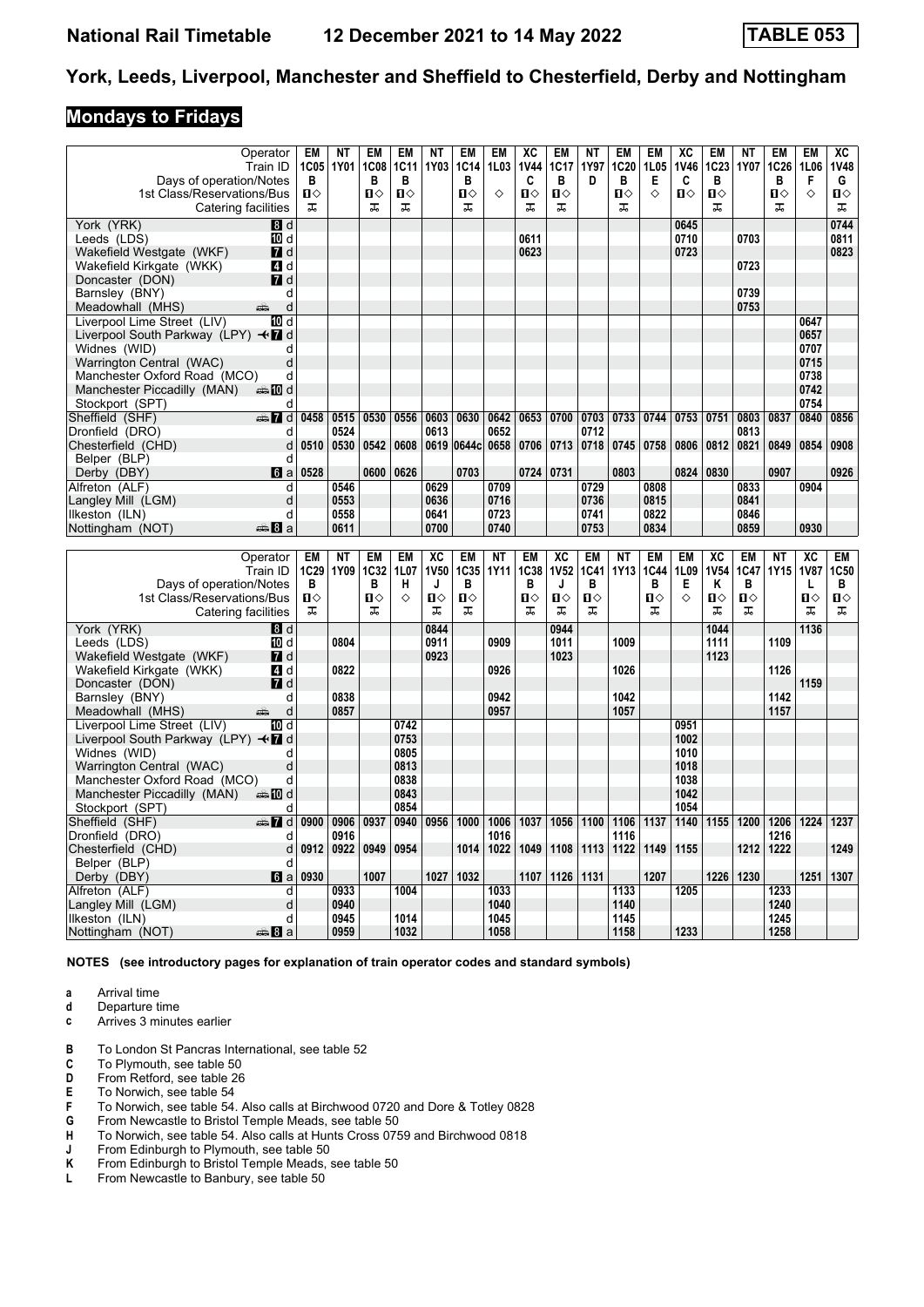#### **Mondays to Fridays**

| Train ID<br>Days of operation/Notes                                 | Operator                 | EM<br>1C05<br>в | ΝT<br>1Y01   | EM<br><b>1C08</b><br>в | <b>EM</b><br><b>1C11</b><br>в | ΝT<br>1Y03  | EM<br>1C14<br>В | EM<br>1L03<br>♦ | XC<br><b>1V44</b><br>C | <b>EM</b><br>1C17<br>в | NΤ<br>1Y97<br>D | <b>EM</b><br>1C <sub>20</sub><br>в | EM<br>1L05<br>Е | XC<br><b>1V46</b><br>C | EM<br>1C23<br>в | <b>NT</b><br>1Y07 | EM<br>1C26<br>в | <b>EM</b><br>1L06<br>F | XC<br><b>1V48</b><br>G |
|---------------------------------------------------------------------|--------------------------|-----------------|--------------|------------------------|-------------------------------|-------------|-----------------|-----------------|------------------------|------------------------|-----------------|------------------------------------|-----------------|------------------------|-----------------|-------------------|-----------------|------------------------|------------------------|
| 1st Class/Reservations/Bus<br>Catering facilities                   |                          | Ω⇔<br>ᅚ         |              | Π<br>ᠼ                 | п⇔<br>ᠼ                       |             | Ⅱ◇<br>ᠼ         |                 | Π<br>ᠼ                 | $\Pi$<br>ᠼ             |                 | П⇔<br>ᠼ                            | ♦               | Ω⇔                     | Ⅱ◇<br>ᠼ         |                   | П⇔<br>ᠼ         | ♦                      | Ⅱ♦<br>ᠼ                |
| York (YRK)                                                          | 8d                       |                 |              |                        |                               |             |                 |                 |                        |                        |                 |                                    |                 | 0645                   |                 |                   |                 |                        | 0744                   |
| Leeds (LDS)<br>Wakefield Westgate (WKF)                             | 10 d<br>$\blacksquare$ d |                 |              |                        |                               |             |                 |                 | 0611<br>0623           |                        |                 |                                    |                 | 0710<br>0723           |                 | 0703              |                 |                        | 0811<br>0823           |
| Wakefield Kirkgate (WKK)                                            | 4 d                      |                 |              |                        |                               |             |                 |                 |                        |                        |                 |                                    |                 |                        |                 | 0723              |                 |                        |                        |
| Doncaster (DON)                                                     | <b>7</b> d               |                 |              |                        |                               |             |                 |                 |                        |                        |                 |                                    |                 |                        |                 |                   |                 |                        |                        |
| Barnsley (BNY)                                                      | d                        |                 |              |                        |                               |             |                 |                 |                        |                        |                 |                                    |                 |                        |                 | 0739              |                 |                        |                        |
| Meadowhall (MHS)<br>and a series                                    | d                        |                 |              |                        |                               |             |                 |                 |                        |                        |                 |                                    |                 |                        |                 | 0753              |                 |                        |                        |
| Liverpool Lime Street (LIV)                                         | 10 d                     |                 |              |                        |                               |             |                 |                 |                        |                        |                 |                                    |                 |                        |                 |                   |                 | 0647                   |                        |
| Liverpool South Parkway (LPY) $\triangleleft \mathbf{\mathbf{Z}}$ d |                          |                 |              |                        |                               |             |                 |                 |                        |                        |                 |                                    |                 |                        |                 |                   |                 | 0657                   |                        |
| Widnes (WID)                                                        | d                        |                 |              |                        |                               |             |                 |                 |                        |                        |                 |                                    |                 |                        |                 |                   |                 | 0707                   |                        |
| Warrington Central (WAC)                                            | d                        |                 |              |                        |                               |             |                 |                 |                        |                        |                 |                                    |                 |                        |                 |                   |                 | 0715                   |                        |
| Manchester Oxford Road (MCO)<br><b>▲ID</b> d                        | d                        |                 |              |                        |                               |             |                 |                 |                        |                        |                 |                                    |                 |                        |                 |                   |                 | 0738<br>0742           |                        |
| Manchester Piccadilly (MAN)<br>Stockport (SPT)                      | d                        |                 |              |                        |                               |             |                 |                 |                        |                        |                 |                                    |                 |                        |                 |                   |                 | 0754                   |                        |
| Sheffield (SHF)<br>d ∏‱                                             |                          | 0458            | 0515         | 0530                   | 0556                          | 0603        | 0630            | 0642            | 0653                   | 0700                   | 0703            | 0733                               | 0744            | 0753                   | 0751            | 0803              | 0837            | 0840                   | 0856                   |
| Dronfield (DRO)                                                     | d                        |                 | 0524         |                        |                               | 0613        |                 | 0652            |                        |                        | 0712            |                                    |                 |                        |                 | 0813              |                 |                        |                        |
| Chesterfield (CHD)                                                  | d                        | 0510            | 0530         | 0542                   | 0608                          |             | 0619 0644c      | 0658            | 0706                   | 0713                   | 0718            | 0745                               | 0758            | 0806                   | 0812            | 0821              | 0849            | 0854                   | 0908                   |
| Belper (BLP)                                                        | d                        |                 |              |                        |                               |             |                 |                 |                        |                        |                 |                                    |                 |                        |                 |                   |                 |                        |                        |
| Derby (DBY)                                                         | 6 a                      | 0528            |              | 0600                   | 0626                          |             | 0703            |                 | 0724 0731              |                        |                 | 0803                               |                 | 0824 0830              |                 |                   | 0907            |                        | 0926                   |
| Alfreton (ALF)                                                      | d                        |                 | 0546         |                        |                               | 0629        |                 | 0709            |                        |                        | 0729            |                                    | 0808            |                        |                 | 0833              |                 | 0904                   |                        |
| Langley Mill (LGM)                                                  | d                        |                 | 0553         |                        |                               | 0636        |                 | 0716            |                        |                        | 0736            |                                    | 0815            |                        |                 | 0841              |                 |                        |                        |
| Ilkeston (ILN)                                                      | d                        |                 | 0558         |                        |                               | 0641        |                 | 0723            |                        |                        | 0741            |                                    | 0822            |                        |                 | 0846              |                 |                        |                        |
| $\oplus$ 8 a<br>Nottingham (NOT)                                    |                          |                 | 0611         |                        |                               | 0700        |                 | 0740            |                        |                        | 0753            |                                    | 0834            |                        |                 | 0859              |                 | 0930                   |                        |
|                                                                     |                          |                 |              |                        |                               |             |                 |                 |                        |                        |                 |                                    |                 |                        |                 |                   |                 |                        |                        |
|                                                                     |                          |                 |              |                        |                               |             |                 |                 |                        |                        |                 |                                    |                 |                        |                 |                   |                 |                        |                        |
| Operator                                                            |                          | <b>EM</b>       | <b>NT</b>    | EM                     | EM                            | XC          | <b>EM</b>       | <b>NT</b>       | <b>EM</b>              | XC                     | <b>EM</b>       | <b>NT</b>                          | EM              | <b>EM</b>              | XC              | <b>EM</b>         | <b>NT</b>       | XC                     | EM                     |
| Train ID                                                            |                          | 1C29            | 1Y09         | 1C32                   | 1L07                          | <b>1V50</b> | 1C35            | 1Y11            | 1C38                   | <b>1V52</b>            | 1C41            | 1Y13                               | 1C44<br>B       | 1L09                   | <b>1V54</b>     | 1C47              | 1Y15            | <b>1V87</b>            | 1C50                   |
| Days of operation/Notes<br>1st Class/Reservations/Bus               |                          | в<br>п⇔         |              | B<br>0                 | Н<br>◇                        | J<br>П⇔     | B<br>П⇔         |                 | B<br>П⇔                | J<br>Ⅱ♦                | B<br>П⇔         |                                    | П⇔              | Е<br>♦                 | Κ<br>п⇔         | B<br>п            |                 | L<br>$\blacksquare$    | В<br>0                 |
| Catering facilities                                                 |                          | ᠼ               |              | ᠼ                      |                               | ᠼ           | ᠼ               |                 | ᠼ                      | ᠼ                      | ᠼ               |                                    | ᠼ               |                        | ᠼ               | ᠼ                 |                 | ᠼ                      | ᠼ                      |
| York (YRK)                                                          | 8d                       |                 |              |                        |                               | 0844        |                 |                 |                        | 0944                   |                 |                                    |                 |                        | 1044            |                   |                 | 1136                   |                        |
| Leeds (LDS)                                                         | TO d                     |                 | 0804         |                        |                               | 0911        |                 | 0909            |                        | 1011                   |                 | 1009                               |                 |                        | 1111            |                   | 1109            |                        |                        |
| Wakefield Westgate (WKF)                                            | <b>7</b> d               |                 |              |                        |                               | 0923        |                 |                 |                        | 1023                   |                 |                                    |                 |                        | 1123            |                   |                 |                        |                        |
| Wakefield Kirkgate (WKK)                                            | 4 d                      |                 | 0822         |                        |                               |             |                 | 0926            |                        |                        |                 | 1026                               |                 |                        |                 |                   | 1126            |                        |                        |
| Doncaster (DON)                                                     | <b>7</b> d               |                 |              |                        |                               |             |                 |                 |                        |                        |                 |                                    |                 |                        |                 |                   |                 | 1159                   |                        |
| Barnsley (BNY)                                                      | d                        |                 | 0838         |                        |                               |             |                 | 0942            |                        |                        |                 | 1042                               |                 |                        |                 |                   | 1142            |                        |                        |
| Meadowhall (MHS)<br>and a series                                    | d                        |                 | 0857         |                        |                               |             |                 | 0957            |                        |                        |                 | 1057                               |                 |                        |                 |                   | 1157            |                        |                        |
| Liverpool Lime Street (LIV)                                         | 10 d                     |                 |              |                        | 0742                          |             |                 |                 |                        |                        |                 |                                    |                 | 0951                   |                 |                   |                 |                        |                        |
| Liverpool South Parkway (LPY) < 7 d                                 | d                        |                 |              |                        | 0753                          |             |                 |                 |                        |                        |                 |                                    |                 | 1002<br>1010           |                 |                   |                 |                        |                        |
| Widnes (WID)<br>Warrington Central (WAC)                            | d                        |                 |              |                        | 0805<br>0813                  |             |                 |                 |                        |                        |                 |                                    |                 | 1018                   |                 |                   |                 |                        |                        |
| Manchester Oxford Road (MCO)                                        | d                        |                 |              |                        | 0838                          |             |                 |                 |                        |                        |                 |                                    |                 | 1038                   |                 |                   |                 |                        |                        |
| Manchester Piccadilly (MAN)<br>dannam di                            |                          |                 |              |                        | 0843                          |             |                 |                 |                        |                        |                 |                                    |                 | 1042                   |                 |                   |                 |                        |                        |
| Stockport (SPT)                                                     | d                        |                 |              |                        | 0854                          |             |                 |                 |                        |                        |                 |                                    |                 | 1054                   |                 |                   |                 |                        |                        |
| Sheffield (SHF)<br>d and                                            |                          | 0900            | 0906         | 0937                   | 0940                          | 0956        | 1000            | 1006            | 1037                   | 1056                   | 1100            | 1106                               | 1137            | 1140                   | 1155            | 1200              | 1206            | 1224                   | 1237                   |
| Dronfield (DRO)                                                     | d                        |                 | 0916         |                        |                               |             |                 | 1016            |                        |                        |                 | 1116                               |                 |                        |                 |                   | 1216            |                        |                        |
| Chesterfield (CHD)                                                  | d                        | 0912            | 0922         | 0949                   | 0954                          |             | 1014            | 1022            | 1049                   | 1108                   | 1113            | 1122                               | 1149            | 1155                   |                 | 1212              | 1222            |                        | 1249                   |
| Belper (BLP)                                                        | d                        |                 |              |                        |                               |             |                 |                 |                        |                        |                 |                                    |                 |                        |                 |                   |                 |                        |                        |
| Derby (DBY)                                                         | $6 a$                    | 0930            |              | 1007                   |                               | 1027        | 1032            |                 | 1107                   | 1126                   | 1131            |                                    | 1207            |                        | 1226            | 1230              |                 | 1251                   | 1307                   |
| Alfreton (ALF)<br>Langley Mill (LGM)                                | d<br>d                   |                 | 0933<br>0940 |                        | 1004                          |             |                 | 1033<br>1040    |                        |                        |                 | 1133<br>1140                       |                 | 1205                   |                 |                   | 1233<br>1240    |                        |                        |
| Ilkeston (ILN)<br>$\clubsuit 8a$                                    | d                        |                 | 0945<br>0959 |                        | 1014<br>1032                  |             |                 | 1045<br>1058    |                        |                        |                 | 1145<br>1158                       |                 | 1233                   |                 |                   | 1245<br>1258    |                        |                        |

**NOTES (see introductory pages for explanation of train operator codes and standard symbols)**

- **a** Arrival time<br>**d** Departure t
- **d** Departure time **c** Arrives 3 minutes earlier
- **B** To London St Pancras International, see table 52 C To Plymouth. see table 50
- **C** To Plymouth, see table 50<br>**D** From Retford, see table 26
- **D** From Retford, see table 26<br>**E** To Norwich, see table 54
- **E** To Norwich, see table 54<br>**F** To Norwich, see table 54.
- **F** To Norwich, see table 54. Also calls at Birchwood 0720 and Dore & Totley 0828 **G** From Newcastle to Bristol Temple Meads, see table 50
- **6** From Newcastle to Bristol Temple Meads, see table 50<br>**H** To Norwich, see table 54. Also calls at Hunts Cross 075
- **+** To Norwich, see table 54. Also calls at Hunts Cross 0759 and Birchwood 0818<br>**J** From Edinburgh to Plymouth, see table 50
- **J** From Edinburgh to Plymouth, see table 50<br>**K** From Edinburgh to Bristol Temple Meads,
- **K** From Edinburgh to Bristol Temple Meads, see table 50<br>**L** From Newcastle to Banbury, see table 50
- From Newcastle to Banbury, see table 50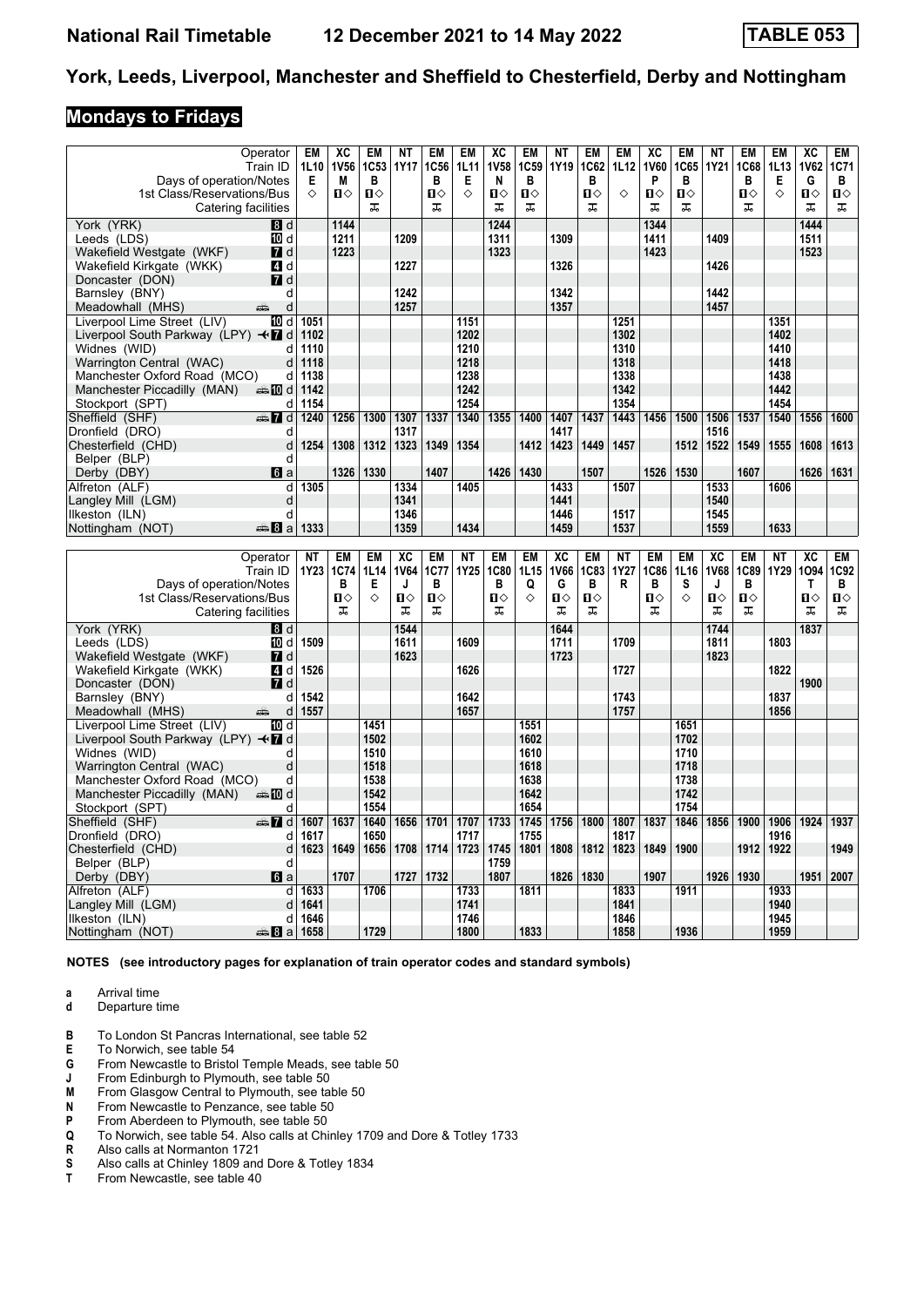#### **Mondays to Fridays**

|                                                 | Operator         | EM           | ХC          | EM           | NΤ          | EM           | EM           | XC           | EM               | ΝT           | EM           | <b>EM</b>    | XC           | <b>EM</b>    | NΤ          | EM           | EM               | XC                | EM           |
|-------------------------------------------------|------------------|--------------|-------------|--------------|-------------|--------------|--------------|--------------|------------------|--------------|--------------|--------------|--------------|--------------|-------------|--------------|------------------|-------------------|--------------|
|                                                 | Train ID         | 1L10         | <b>1V56</b> | 1C53         | <b>1Y17</b> | 1C56         | 1L11         | <b>1V58</b>  | 1C <sub>59</sub> | 1Y19         | 1C62         | 1L12         | <b>1V60</b>  | 1C65         | <b>1Y21</b> | 1C68         | 1L <sub>13</sub> | <b>1V62</b>       | 1C71         |
| Days of operation/Notes                         |                  | Е            | M           | в            |             | в            | Е            | N            | в                |              | в            |              | P            | в            |             | в            | Е                | G                 | В            |
| 1st Class/Reservations/Bus                      |                  | ♦            | п⇔          | $\mathbf{u}$ |             | $\mathbf{u}$ | ♦            | $\mathbf{u}$ | $\mathbf{u}$     |              | $\mathbf{u}$ | ♦            | $\mathbf{u}$ | $\mathbf{u}$ |             | $\mathbf{u}$ | ♦                | $\mathbf{u}$      | $\mathbf{u}$ |
| Catering facilities                             |                  |              |             | ᠼ            |             | ᠼ            |              | ᠼ            | ᠼ                |              | ᠼ            |              | ᠼ            | ᅚ            |             | ᠼ            |                  | ᠼ                 | ᠼ            |
| York (YRK)                                      | <b>B</b> d       |              | 1144        |              |             |              |              | 1244         |                  |              |              |              | 1344         |              |             |              |                  | 1444              |              |
| Leeds (LDS)                                     | 10 d             |              | 1211        |              | 1209        |              |              | 1311         |                  | 1309         |              |              | 1411         |              | 1409        |              |                  | 1511              |              |
|                                                 |                  |              |             |              |             |              |              |              |                  |              |              |              |              |              |             |              |                  |                   |              |
| Wakefield Westgate (WKF)                        | $\blacksquare$ d |              | 1223        |              |             |              |              | 1323         |                  |              |              |              | 1423         |              |             |              |                  | 1523              |              |
| Wakefield Kirkgate (WKK)                        | 4 d              |              |             |              | 1227        |              |              |              |                  | 1326         |              |              |              |              | 1426        |              |                  |                   |              |
| Doncaster (DON)                                 | $\blacksquare$ d |              |             |              |             |              |              |              |                  |              |              |              |              |              |             |              |                  |                   |              |
| Barnsley (BNY)                                  | d                |              |             |              | 1242        |              |              |              |                  | 1342         |              |              |              |              | 1442        |              |                  |                   |              |
| Meadowhall (MHS)                                | d<br>پېښ         |              |             |              | 1257        |              |              |              |                  | 1357         |              |              |              |              | 1457        |              |                  |                   |              |
| Liverpool Lime Street (LIV)                     | ii0 d            | 1051         |             |              |             |              | 1151         |              |                  |              |              | 1251         |              |              |             |              | 1351             |                   |              |
| Liverpool South Parkway (LPY) $\triangleleft$ d |                  | 1102         |             |              |             |              | 1202         |              |                  |              |              | 1302         |              |              |             |              | 1402             |                   |              |
| Widnes (WID)                                    | d                | 1110         |             |              |             |              | 1210         |              |                  |              |              | 1310         |              |              |             |              | 1410             |                   |              |
| Warrington Central (WAC)                        | d                | 1118         |             |              |             |              | 1218         |              |                  |              |              | 1318         |              |              |             |              | 1418             |                   |              |
| Manchester Oxford Road (MCO)                    | d                | 1138         |             |              |             |              | 1238         |              |                  |              |              | 1338         |              |              |             |              | 1438             |                   |              |
| Manchester Piccadilly (MAN)                     | d≣ 10 d          | 1142         |             |              |             |              | 1242         |              |                  |              |              | 1342         |              |              |             |              | 1442             |                   |              |
| Stockport (SPT)                                 | d                | 1154         |             |              |             |              | 1254         |              |                  |              |              | 1354         |              |              |             |              | 1454             |                   |              |
| Sheffield (SHF)                                 | $\oplus$ 7 d     | 1240         | 1256        | 1300         | 1307        | 1337         | 1340         | 1355         | 1400             | 1407         | 1437         | 1443         | 1456         | 1500         | 1506        | 1537         | 1540             | 1556              | 1600         |
| Dronfield (DRO)                                 | d                |              |             |              | 1317        |              |              |              |                  | 1417         |              |              |              |              | 1516        |              |                  |                   |              |
| Chesterfield (CHD)                              | d                | 1254         | 1308        | 1312         | 1323        | 1349         | 1354         |              | 1412             | 1423         | 1449         | 1457         |              | 1512         | 1522        | 1549         | 1555             | 1608              | 1613         |
| Belper (BLP)                                    | d                |              |             |              |             |              |              |              |                  |              |              |              |              |              |             |              |                  |                   |              |
| Derby (DBY)                                     | 6a               |              | 1326        | 1330         |             | 1407         |              | 1426         | 1430             |              | 1507         |              | 1526         | 1530         |             | 1607         |                  | 1626              | 1631         |
| Alfreton (ALF)                                  | d                | 1305         |             |              | 1334        |              | 1405         |              |                  | 1433         |              | 1507         |              |              | 1533        |              | 1606             |                   |              |
| Langley Mill (LGM)                              | d                |              |             |              | 1341        |              |              |              |                  | 1441         |              |              |              |              | 1540        |              |                  |                   |              |
| Ilkeston (ILN)                                  | d                |              |             |              | 1346        |              |              |              |                  | 1446         |              | 1517         |              |              | 1545        |              |                  |                   |              |
| Nottingham (NOT)                                | $\oplus$ 8 a     | 1333         |             |              | 1359        |              | 1434         |              |                  | 1459         |              | 1537         |              |              | 1559        |              | 1633             |                   |              |
|                                                 |                  |              |             |              |             |              |              |              |                  |              |              |              |              |              |             |              |                  |                   |              |
|                                                 | Operator         | <b>NT</b>    | EM          | <b>EM</b>    | XC          | EM           | <b>NT</b>    | <b>EM</b>    | <b>EM</b>        | XC           | <b>EM</b>    | <b>NT</b>    | <b>EM</b>    | <b>EM</b>    | XC          | <b>EM</b>    | <b>NT</b>        | XC                | <b>EM</b>    |
|                                                 | Train ID         | 1Y23         | <b>1C74</b> | 1L14         | <b>1V64</b> | 1C77         | 1Y25         | 1C80         | 1L15             | 1V66         | <b>1C83</b>  | 1Y27         | 1C86         | 1L16         | <b>1V68</b> | 1C89         |                  | 1Y29 1O94         | 1C92         |
|                                                 |                  |              | в           |              |             | B            |              | B            |                  | G            | B            | R            | B            | s            |             | B            |                  |                   | в            |
| Days of operation/Notes                         |                  |              | п           | Е<br>♦       | J<br>Ⅱ◇     | Ⅱ◇           |              | Ⅱ◇           | Q<br>♦           | $\mathbf{u}$ | $\mathbf{u}$ |              | Ⅱ◇           | ♦            | J           | п⇔           |                  | Т<br>$\mathbf{u}$ | О            |
| 1st Class/Reservations/Bus                      |                  |              | ᠼ           |              | ᠼ           | ᠼ            |              | ᠼ            |                  | ᠼ            | ᠼ            |              | ᠼ            |              | п⇔<br>ᠼ     | ᠼ            |                  | ᠼ                 | ᠼ            |
| Catering facilities                             |                  |              |             |              |             |              |              |              |                  |              |              |              |              |              |             |              |                  |                   |              |
| York (YRK)                                      | <b>B</b> d       |              |             |              | 1544        |              |              |              |                  | 1644         |              |              |              |              | 1744        |              |                  | 1837              |              |
| Leeds (LDS)                                     | [10] d           | 1509         |             |              | 1611        |              | 1609         |              |                  | 1711         |              | 1709         |              |              | 1811        |              | 1803             |                   |              |
| Wakefield Westgate (WKF)                        | $\blacksquare$ d |              |             |              | 1623        |              |              |              |                  | 1723         |              |              |              |              | 1823        |              |                  |                   |              |
| Wakefield Kirkgate (WKK)                        | 4 d              | 1526         |             |              |             |              | 1626         |              |                  |              |              | 1727         |              |              |             |              | 1822             |                   |              |
| Doncaster (DON)                                 | <b>7</b> d       |              |             |              |             |              |              |              |                  |              |              |              |              |              |             |              |                  | 1900              |              |
| Barnsley (BNY)                                  | d                | 1542         |             |              |             |              | 1642         |              |                  |              |              | 1743         |              |              |             |              | 1837             |                   |              |
| Meadowhall (MHS)                                | æ.<br>d          | 1557         |             |              |             |              | 1657         |              |                  |              |              | 1757         |              |              |             |              | 1856             |                   |              |
| Liverpool Lime Street (LIV)                     | 10 d             |              |             | 1451         |             |              |              |              | 1551             |              |              |              |              | 1651         |             |              |                  |                   |              |
| Liverpool South Parkway (LPY) – √ d             |                  |              |             | 1502         |             |              |              |              | 1602             |              |              |              |              | 1702         |             |              |                  |                   |              |
| Widnes (WID)                                    | d                |              |             | 1510         |             |              |              |              | 1610             |              |              |              |              | 1710         |             |              |                  |                   |              |
| Warrington Central (WAC)                        | d                |              |             | 1518         |             |              |              |              | 1618             |              |              |              |              | 1718         |             |              |                  |                   |              |
| Manchester Oxford Road (MCO)                    | d                |              |             | 1538         |             |              |              |              | 1638             |              |              |              |              | 1738         |             |              |                  |                   |              |
| Manchester Piccadilly (MAN)                     | d≣name.          |              |             | 1542         |             |              |              |              | 1642             |              |              |              |              | 1742         |             |              |                  |                   |              |
| Stockport (SPT)                                 | d                |              |             | 1554         |             |              |              |              | 1654             |              |              |              |              | 1754         |             |              |                  |                   |              |
| Sheffield (SHF)                                 | d Ma             | 1607         | 1637        | 1640         | 1656        | 1701         | 1707         | 1733         | 1745             | 1756         | 1800         | 1807         | 1837         | 1846         | 1856        | 1900         | 1906             | 1924              | 1937         |
| Dronfield (DRO)                                 | d                | 1617         |             | 1650         |             |              | 1717         |              | 1755             |              |              | 1817         |              |              |             |              | 1916             |                   |              |
| Chesterfield (CHD)                              | d                | 1623         | 1649        | 1656         | 1708        | 1714         | 1723         | 1745         | 1801             | 1808         | 1812         | 1823         | 1849         | 1900         |             | 1912         | 1922             |                   | 1949         |
| Belper (BLP)                                    |                  |              |             |              |             |              |              |              |                  |              |              |              |              |              |             |              |                  |                   |              |
| Derby (DBY)                                     | d                |              |             |              |             |              |              | 1759         |                  |              |              |              |              |              |             |              |                  |                   |              |
|                                                 |                  |              | 1707        |              |             |              |              | 1807         |                  |              |              |              | 1907         |              |             | 1930         |                  | 1951              | 2007         |
|                                                 | 6a               |              |             |              | 1727        | 1732         |              |              |                  | 1826         | 1830         |              |              |              | 1926        |              |                  |                   |              |
| Alfreton (ALF)                                  | d                | 1633         |             | 1706         |             |              | 1733         |              | 1811             |              |              | 1833         |              | 1911         |             |              | 1933             |                   |              |
| Langley Mill (LGM)<br>Ilkeston (ILN)            | d<br>d           | 1641<br>1646 |             |              |             |              | 1741<br>1746 |              |                  |              |              | 1841<br>1846 |              |              |             |              | 1940<br>1945     |                   |              |

**NOTES (see introductory pages for explanation of train operator codes and standard symbols)**

 Ilkeston (ILN) d **1646 1746 1846 1945**

**a** Arrival time<br>**d** Departure t

**Nottingham (NOT)** 

- **d** Departure time
- **B** To London St Pancras International, see table 52
- **E** To Norwich, see table 54<br>**G** From Newcastle to Bristo
- **6** From Newcastle to Bristol Temple Meads, see table 50<br>**J** From Edinburgh to Plymouth, see table 50
- **J** From Edinburgh to Plymouth, see table 50<br>**M** From Glasgow Central to Plymouth, see ta
- **M** From Glasgow Central to Plymouth, see table 50<br>**N** From Newcastle to Penzance, see table 50
- **N** From Newcastle to Penzance, see table 50<br>**P** From Aberdeen to Plymouth, see table 50
- **P** From Aberdeen to Plymouth, see table 50<br>**Q** To Norwich, see table 54. Also calls at Chi
- **4** To Norwich, see table 54. Also calls at Chinley 1709 and Dore & Totley 1733<br>**R** Also calls at Normanton 1721
- 
- **R** Also calls at Normanton 1721<br>**S** Also calls at Chinley 1809 and<br>**T** From Newcastle, see table 40 Also calls at Chinley 1809 and Dore & Totley 1834
- From Newcastle, see table 40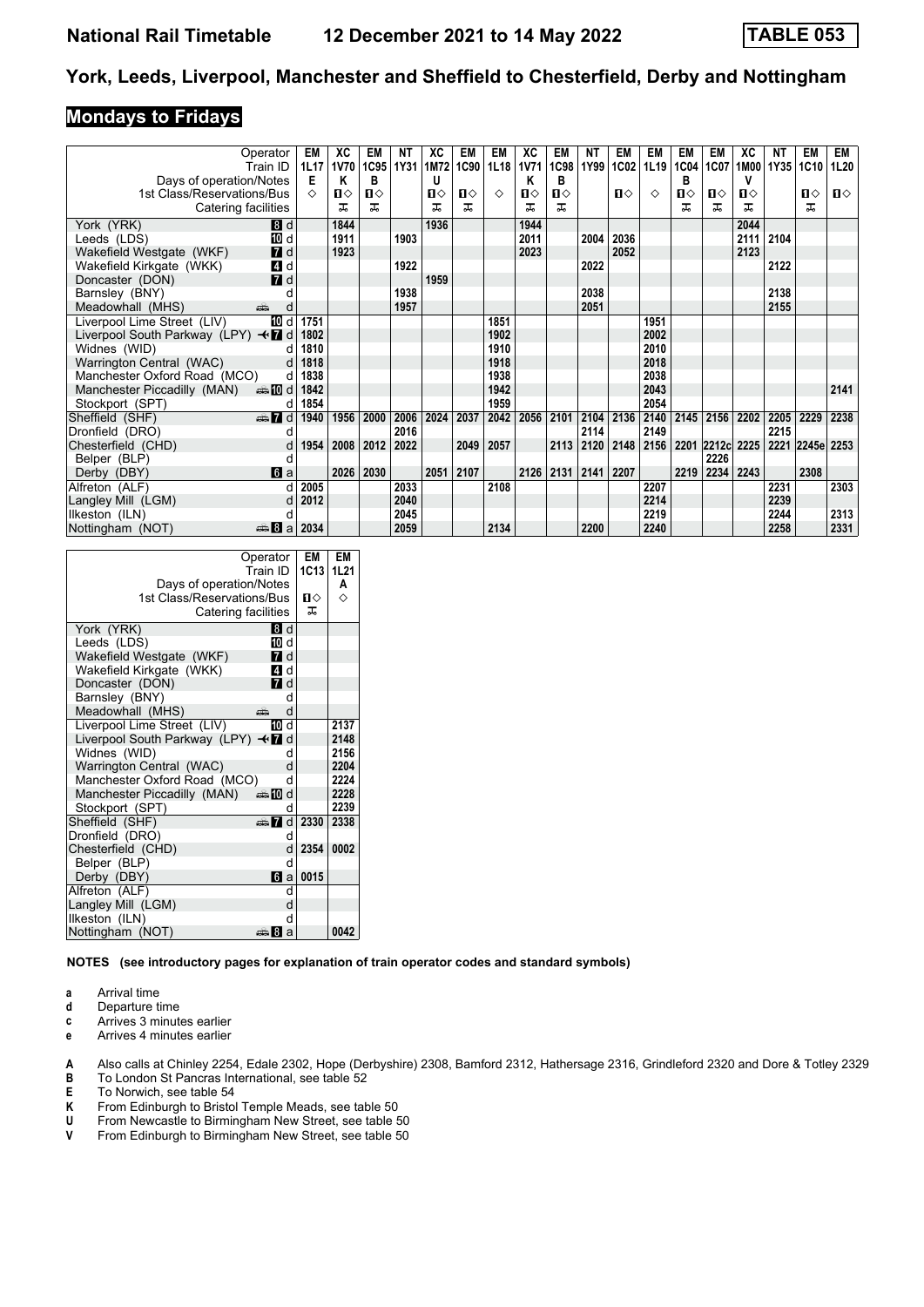#### **Mondays to Fridays**

|                                     | Operator<br>Train ID     | EM<br>1L17 | ХC<br>1V70 | EM        | NΤ<br>1C95 1Y31 | ХC<br>1M72 | EM<br>1C90 | EM<br>1L18 | ХC<br><b>1V71</b> | EM<br><b>1C98</b> | NT<br>1Y99    | EM<br>1C02     | EM<br>1L19 | EM<br>1C04 | EM<br>1C07      | ХC<br>1M00   | ΝT<br>1Y35      | EM<br>1C10 | EM<br>1L20 |
|-------------------------------------|--------------------------|------------|------------|-----------|-----------------|------------|------------|------------|-------------------|-------------------|---------------|----------------|------------|------------|-----------------|--------------|-----------------|------------|------------|
| Days of operation/Notes             |                          | Е          | Κ          | в         |                 | U          |            |            | Κ                 | в                 |               |                |            | в          |                 | v            |                 |            |            |
| 1st Class/Reservations/Bus          |                          | ♦          | ப⇔         | п⇔        |                 | п⇔         | ்ப         | ♦          | ப⇔                | Ⅱ♦                |               | $\blacksquare$ | ◇          | П⇔         | п⇔              | $\mathbf{n}$ |                 | п⇔         | ்ப         |
| Catering facilities                 |                          |            | ᅚ          | ᅚ         |                 | ᅚ          | ᅚ          |            | ᅚ                 | ᅚ                 |               |                |            | ᅚ          | ㅈ               | ㅈ            |                 | ㅈ          |            |
| York (YRK)                          | 8d                       |            | 1844       |           |                 | 1936       |            |            | 1944              |                   |               |                |            |            |                 | 2044         |                 |            |            |
| Leeds (LDS)                         | 10 d                     |            | 1911       |           | 1903            |            |            |            | 2011              |                   | 2004          | 2036           |            |            |                 | 2111         | 2104            |            |            |
| Wakefield Westgate (WKF)            | $I$ d                    |            | 1923       |           |                 |            |            |            | 2023              |                   |               | 2052           |            |            |                 | 2123         |                 |            |            |
| Wakefield Kirkgate (WKK)            | 4 d                      |            |            |           | 1922            |            |            |            |                   |                   | 2022          |                |            |            |                 |              | 2122            |            |            |
| Doncaster (DON)                     | $\overline{a}$ d         |            |            |           |                 | 1959       |            |            |                   |                   |               |                |            |            |                 |              |                 |            |            |
| Barnsley (BNY)                      |                          |            |            |           | 1938            |            |            |            |                   |                   | 2038          |                |            |            |                 |              | 2138            |            |            |
| Meadowhall (MHS)                    | پیشته                    |            |            |           | 1957            |            |            |            |                   |                   | 2051          |                |            |            |                 |              | 2155            |            |            |
| Liverpool Lime Street (LIV)         | <b>ID</b> d              | 1751       |            |           |                 |            |            | 1851       |                   |                   |               |                | 1951       |            |                 |              |                 |            |            |
| Liverpool South Parkway (LPY) < 7 d |                          | 1802       |            |           |                 |            |            | 1902       |                   |                   |               |                | 2002       |            |                 |              |                 |            |            |
| Widnes (WID)                        |                          | 1810       |            |           |                 |            |            | 1910       |                   |                   |               |                | 2010       |            |                 |              |                 |            |            |
| Warrington Central (WAC)            | d                        | 1818       |            |           |                 |            |            | 1918       |                   |                   |               |                | 2018       |            |                 |              |                 |            |            |
| Manchester Oxford Road (MCO)        | d                        | 1838       |            |           |                 |            |            | 1938       |                   |                   |               |                | 2038       |            |                 |              |                 |            |            |
| Manchester Piccadilly (MAN)         | d in the most of $\vert$ | 1842       |            |           |                 |            |            | 1942       |                   |                   |               |                | 2043       |            |                 |              |                 |            | 2141       |
| Stockport (SPT)                     | d                        | 1854       |            |           |                 |            |            | 1959       |                   |                   |               |                | 2054       |            |                 |              |                 |            |            |
| Sheffield (SHF)                     | <b>et 7</b> d            | 1940       | 1956       | 2000      | 2006            | 2024       | 2037       | 2042       | 2056              | 2101              | 2104          | 2136           | 2140       | 2145       | 2156            | 2202         | 2205            | 2229       | 2238       |
| Dronfield (DRO)                     |                          |            |            |           | 2016            |            |            |            |                   |                   | 2114          |                | 2149       |            |                 |              | 2215            |            |            |
| Chesterfield (CHD)                  | d                        | 1954       | 2008       | 2012      | $ 2022\rangle$  |            | 2049       | 2057       |                   |                   | $2113$   2120 | 2148           | 2156       |            | 2201 2212c 2225 |              | 2221 2245e 2253 |            |            |
| Belper (BLP)                        | а                        |            |            |           |                 |            |            |            |                   |                   |               |                |            |            | 2226            |              |                 |            |            |
| Derby (DBY)                         | 6a                       |            |            | 2026 2030 |                 |            | 2051 2107  |            | 2126              | 2131              | 2141          | 2207           |            | 2219       | 2234            | 2243         |                 | 2308       |            |
| Alfreton (ALF)                      |                          | 2005       |            |           | 2033            |            |            | 2108       |                   |                   |               |                | 2207       |            |                 |              | 2231            |            | 2303       |
| Langley Mill (LGM)                  | d                        | 2012       |            |           | 2040            |            |            |            |                   |                   |               |                | 2214       |            |                 |              | 2239            |            |            |
| Ilkeston (ILN)                      |                          |            |            |           | 2045            |            |            |            |                   |                   |               |                | 2219       |            |                 |              | 2244            |            | 2313       |
| Nottingham (NOT)                    | ا a ا <del>نت</del> ص    | 2034       |            |           | 2059            |            |            | 2134       |                   |                   | 2200          |                | 2240       |            |                 |              | 2258            |            | 2331       |

| Days of operation/Notes<br>1st Class/Reservations/Bus<br>Catering facilities | Operator<br>Train ID | EМ<br>1C13<br>п⇔<br>ᅚ          | EM<br><b>1L21</b><br>A<br>♦ |
|------------------------------------------------------------------------------|----------------------|--------------------------------|-----------------------------|
| York (YRK)                                                                   | 8d                   |                                |                             |
| Leeds (LDS)                                                                  | 10 d                 |                                |                             |
| Wakefield Westgate (WKF)                                                     | 7 d                  |                                |                             |
| Wakefield Kirkgate (WKK)                                                     | 4 d                  |                                |                             |
| Doncaster (DON)                                                              | <b>7</b> d           |                                |                             |
| Barnsley (BNY)                                                               | d                    |                                |                             |
| Meadowhall (MHS)                                                             | d<br>۵Ď              |                                |                             |
| Liverpool Lime Street (LIV)                                                  | 10<br>d              |                                | 2137                        |
| Liverpool South Parkway (LPY) $\triangleleft$                                | d                    |                                | 2148                        |
| Widnes (WID)                                                                 | q                    |                                | 2156                        |
| Warrington Central (WAC)                                                     | d                    |                                | 2204                        |
| Manchester Oxford Road (MCO)                                                 | q                    |                                | 2224                        |
| Manchester Piccadilly (MAN)                                                  | ্ৰ‱ 10 d             |                                | 2228                        |
| Stockport (SPT)                                                              | q                    |                                | 2239                        |
| Sheffield (SHF)                                                              |                      | $\oplus$ $\blacksquare$ d 2330 | 2338                        |
| Dronfield (DRO)                                                              | d                    |                                |                             |
| Chesterfield (CHD)                                                           | d                    | 2354                           | 0002                        |
| Belper (BLP)                                                                 | q                    |                                |                             |
| Derby (DBY)                                                                  | 6<br>a               | 0015                           |                             |
| Alfreton (ALF)                                                               | q                    |                                |                             |
| Langley Mill (LGM)                                                           | d                    |                                |                             |
| Ilkeston (ILN)                                                               | d                    |                                |                             |
| Nottingham (NOT)                                                             | di 20<br>a           |                                | 0042                        |

**NOTES (see introductory pages for explanation of train operator codes and standard symbols)**

- **a** Arrival time<br>**d** Departure t
- **d** Departure time
- **c** Arrives 3 minutes earlier
- **e** Arrives 4 minutes earlier

**A** Also calls at Chinley 2254, Edale 2302, Hope (Derbyshire) 2308, Bamford 2312, Hathersage 2316, Grindleford 2320 and Dore & Totley 2329

- **B** To London St Pancras International, see table 52
- **E** To Norwich, see table 54<br>**K** From Edinburgh to Bristo
- 
- **K** From Edinburgh to Bristol Temple Meads, see table 50<br>**U** From Newcastle to Birmingham New Street, see table 5<br>**V** From Edinburgh to Birmingham New Street, see table 5 From Newcastle to Birmingham New Street, see table 50
- From Edinburgh to Birmingham New Street, see table 50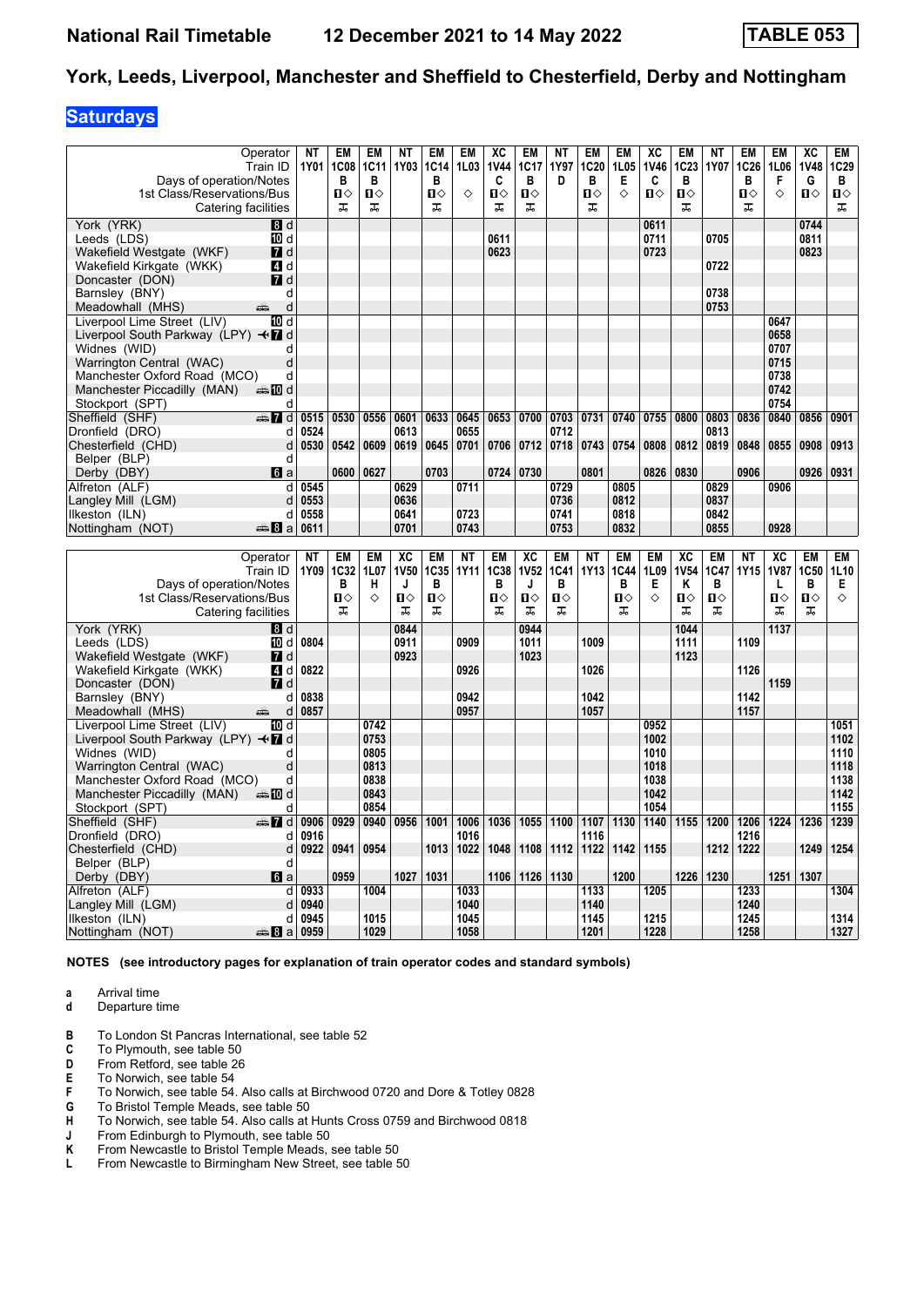### **Saturdays**

| Days of operation/Notes<br>1st Class/Reservations/Bus | Operator<br>Train ID<br>Catering facilities | NΤ<br>1Y01   | EM<br><b>1C08</b><br>в<br>Ⅱ◇<br>ᠼ | EM<br><b>1C11</b><br>в<br>$\mathbf{u}$<br>ᠼ | ΝT<br>1Y03  | EM<br><b>1C14</b><br>в<br>Ⅱ◇<br>ᠼ | <b>EM</b><br>1L03<br>♦ | XC<br><b>1V44</b><br>C<br>$\mathbf{u}$<br>ᠼ | EM<br>1C17<br>B<br>$\mathbf{u}$<br>ᠼ | ΝT<br>1Y97<br>D | <b>EM</b><br>1C <sub>20</sub><br>в<br>п<br>ᠼ | <b>EM</b><br>1L05<br>Е<br>♦ | XC<br><b>1V46</b><br>C<br>$\mathbf{u}$ | <b>EM</b><br><b>1C23</b><br>в<br>$\mathbf{u}$<br>ᅚ | ΝT<br>1Y07   | EM<br>1C26<br>в<br>$\mathbf{u}$<br>ᠼ | EM<br>1L06<br>F<br>♦ | XC<br><b>1V48</b><br>G<br>$\mathbf{u}$ | <b>EM</b><br>1C29<br>в<br>$\mathbf{u}$<br>ᠼ |
|-------------------------------------------------------|---------------------------------------------|--------------|-----------------------------------|---------------------------------------------|-------------|-----------------------------------|------------------------|---------------------------------------------|--------------------------------------|-----------------|----------------------------------------------|-----------------------------|----------------------------------------|----------------------------------------------------|--------------|--------------------------------------|----------------------|----------------------------------------|---------------------------------------------|
| York (YRK)                                            | B d                                         |              |                                   |                                             |             |                                   |                        |                                             |                                      |                 |                                              |                             | 0611                                   |                                                    |              |                                      |                      | 0744                                   |                                             |
| Leeds (LDS)                                           | 而 d                                         |              |                                   |                                             |             |                                   |                        | 0611                                        |                                      |                 |                                              |                             | 0711                                   |                                                    | 0705         |                                      |                      | 0811                                   |                                             |
| Wakefield Westgate (WKF)                              | <b>7</b> d                                  |              |                                   |                                             |             |                                   |                        | 0623                                        |                                      |                 |                                              |                             | 0723                                   |                                                    |              |                                      |                      | 0823                                   |                                             |
| Wakefield Kirkgate (WKK)                              | ZI d                                        |              |                                   |                                             |             |                                   |                        |                                             |                                      |                 |                                              |                             |                                        |                                                    | 0722         |                                      |                      |                                        |                                             |
| Doncaster (DON)                                       | $\blacksquare$ d                            |              |                                   |                                             |             |                                   |                        |                                             |                                      |                 |                                              |                             |                                        |                                                    |              |                                      |                      |                                        |                                             |
| Barnsley (BNY)                                        | d                                           |              |                                   |                                             |             |                                   |                        |                                             |                                      |                 |                                              |                             |                                        |                                                    | 0738         |                                      |                      |                                        |                                             |
| Meadowhall (MHS)                                      | d<br>پیشته                                  |              |                                   |                                             |             |                                   |                        |                                             |                                      |                 |                                              |                             |                                        |                                                    | 0753         |                                      |                      |                                        |                                             |
| Liverpool Lime Street (LIV)                           | 10 d                                        |              |                                   |                                             |             |                                   |                        |                                             |                                      |                 |                                              |                             |                                        |                                                    |              |                                      | 0647                 |                                        |                                             |
| Liverpool South Parkway (LPY) <■ d                    |                                             |              |                                   |                                             |             |                                   |                        |                                             |                                      |                 |                                              |                             |                                        |                                                    |              |                                      | 0658                 |                                        |                                             |
| Widnes (WID)                                          | d                                           |              |                                   |                                             |             |                                   |                        |                                             |                                      |                 |                                              |                             |                                        |                                                    |              |                                      | 0707                 |                                        |                                             |
| Warrington Central (WAC)                              | d                                           |              |                                   |                                             |             |                                   |                        |                                             |                                      |                 |                                              |                             |                                        |                                                    |              |                                      | 0715                 |                                        |                                             |
| Manchester Oxford Road (MCO)                          | d                                           |              |                                   |                                             |             |                                   |                        |                                             |                                      |                 |                                              |                             |                                        |                                                    |              |                                      | 0738                 |                                        |                                             |
| Manchester Piccadilly (MAN)                           | <b>▲ID</b> d                                |              |                                   |                                             |             |                                   |                        |                                             |                                      |                 |                                              |                             |                                        |                                                    |              |                                      | 0742                 |                                        |                                             |
| Stockport (SPT)                                       | d                                           |              |                                   |                                             |             |                                   |                        |                                             |                                      |                 |                                              |                             |                                        |                                                    |              |                                      | 0754                 |                                        |                                             |
| Sheffield (SHF)                                       | d and                                       | 0515         | 0530                              | 0556                                        | 0601        | 0633                              | 0645                   | 0653                                        | 0700                                 | 0703            | 0731                                         | 0740                        | 0755                                   | 0800                                               | 0803         | 0836                                 | 0840                 | 0856                                   | 0901                                        |
| Dronfield (DRO)                                       | d                                           | 0524         |                                   |                                             | 0613        |                                   | 0655                   |                                             |                                      | 0712            |                                              |                             |                                        |                                                    | 0813         |                                      |                      |                                        |                                             |
| Chesterfield (CHD)                                    | d                                           | 0530         | 0542                              | 0609                                        | 0619        | 0645                              | 0701                   | 0706                                        | 0712                                 | 0718            | 0743                                         | 0754                        | 0808                                   | 0812                                               | 0819         | 0848                                 | 0855                 | 0908                                   | 0913                                        |
| Belper (BLP)                                          | d                                           |              |                                   |                                             |             |                                   |                        |                                             |                                      |                 |                                              |                             |                                        |                                                    |              |                                      |                      |                                        |                                             |
| Derby (DBY)                                           | $\blacksquare$                              |              | 0600                              | 0627                                        |             | 0703                              |                        |                                             | 0724 0730                            |                 | 0801                                         |                             | 0826                                   | 0830                                               |              | 0906                                 |                      | 0926                                   | 0931                                        |
| Alfreton (ALF)                                        | d                                           | 0545         |                                   |                                             | 0629        |                                   | 0711                   |                                             |                                      | 0729            |                                              | 0805                        |                                        |                                                    | 0829         |                                      | 0906                 |                                        |                                             |
| Langley Mill (LGM)                                    | d                                           | 0553         |                                   |                                             | 0636        |                                   |                        |                                             |                                      | 0736            |                                              | 0812                        |                                        |                                                    | 0837         |                                      |                      |                                        |                                             |
| Ilkeston (ILN)                                        | d                                           | 0558         |                                   |                                             | 0641        |                                   | 0723                   |                                             |                                      | 0741            |                                              | 0818                        |                                        |                                                    | 0842         |                                      |                      |                                        |                                             |
| Nottingham (NOT)                                      | anna 8∃a                                    | 0611         |                                   |                                             | 0701        |                                   | 0743                   |                                             |                                      | 0753            |                                              | 0832                        |                                        |                                                    | 0855         |                                      | 0928                 |                                        |                                             |
|                                                       |                                             |              |                                   |                                             |             |                                   |                        |                                             |                                      |                 |                                              |                             |                                        |                                                    |              |                                      |                      |                                        |                                             |
|                                                       | Operator                                    | <b>NT</b>    | EM                                | EM                                          | XC          | EM                                | NΤ                     | EM                                          | XC                                   | <b>EM</b>       | NΤ                                           | <b>EM</b>                   | EM                                     | XC                                                 | EM           | NΤ                                   | XC                   | EM                                     |                                             |
|                                                       |                                             |              |                                   |                                             |             |                                   |                        |                                             |                                      |                 |                                              |                             |                                        |                                                    |              |                                      |                      |                                        | EM                                          |
|                                                       | Train ID                                    | 1Y09         | 1C32                              | 1L07                                        | <b>1V50</b> |                                   | 1Y11                   | <b>1C38</b>                                 | <b>1V52</b>                          | 1C41            | 1Y13                                         | 1C44                        | 1L09                                   | <b>1V54</b>                                        | 1C47         | 1Y15                                 | <b>1V87</b>          | 1C50                                   |                                             |
|                                                       |                                             |              | В                                 | н                                           | J           | <b>1C35</b><br>B                  |                        | B                                           | J                                    | в               |                                              | B                           | Е                                      | Κ                                                  | В            |                                      | L                    | B                                      | 1L10<br>E.                                  |
| Days of operation/Notes                               |                                             |              | $\mathbf{u}$                      | ♦                                           | Ⅱ◇          | $\mathbf{u}$                      |                        | $\mathbf{u}$                                | $\mathbf{u}$                         | $\mathbf{u}$    |                                              | $\mathbf{u}$                | ♦                                      | Π                                                  | $\mathbf{u}$ |                                      | $\mathbf{u}$         | $\mathbf{u}$                           | ♦                                           |
| 1st Class/Reservations/Bus                            |                                             |              | ᠼ                                 |                                             | 工           | ᠼ                                 |                        | ᠼ                                           | ᠼ                                    | 工               |                                              | ᠼ                           |                                        | 工                                                  | 工            |                                      | 工                    | ᅚ                                      |                                             |
|                                                       | Catering facilities                         |              |                                   |                                             |             |                                   |                        |                                             |                                      |                 |                                              |                             |                                        |                                                    |              |                                      |                      |                                        |                                             |
| York (YRK)                                            | B d                                         |              |                                   |                                             | 0844        |                                   |                        |                                             | 0944                                 |                 |                                              |                             |                                        | 1044                                               |              |                                      | 1137                 |                                        |                                             |
| Leeds (LDS)                                           | 10 d                                        | 0804         |                                   |                                             | 0911        |                                   | 0909                   |                                             | 1011                                 |                 | 1009                                         |                             |                                        | 1111                                               |              | 1109                                 |                      |                                        |                                             |
| Wakefield Westgate (WKF)                              | <b>7</b> d                                  |              |                                   |                                             | 0923        |                                   |                        |                                             | 1023                                 |                 |                                              |                             |                                        | 1123                                               |              |                                      |                      |                                        |                                             |
| Wakefield Kirkgate (WKK)                              | 4 d                                         | 0822         |                                   |                                             |             |                                   | 0926                   |                                             |                                      |                 | 1026                                         |                             |                                        |                                                    |              | 1126                                 |                      |                                        |                                             |
| Doncaster (DON)                                       | $\blacksquare$ d                            |              |                                   |                                             |             |                                   | 0942                   |                                             |                                      |                 | 1042                                         |                             |                                        |                                                    |              |                                      | 1159                 |                                        |                                             |
| Barnsley (BNY)                                        | d<br>پیشته<br>d                             | 0838         |                                   |                                             |             |                                   | 0957                   |                                             |                                      |                 | 1057                                         |                             |                                        |                                                    |              | 1142                                 |                      |                                        |                                             |
| Meadowhall (MHS)                                      |                                             | 0857         |                                   |                                             |             |                                   |                        |                                             |                                      |                 |                                              |                             |                                        |                                                    |              | 1157                                 |                      |                                        |                                             |
| Liverpool Lime Street (LIV)                           | 10 d                                        |              |                                   | 0742<br>0753                                |             |                                   |                        |                                             |                                      |                 |                                              |                             | 0952<br>1002                           |                                                    |              |                                      |                      |                                        | 1051                                        |
| Liverpool South Parkway (LPY) <■ d                    | d                                           |              |                                   |                                             |             |                                   |                        |                                             |                                      |                 |                                              |                             |                                        |                                                    |              |                                      |                      |                                        | 1102                                        |
| Widnes (WID)                                          |                                             |              |                                   | 0805                                        |             |                                   |                        |                                             |                                      |                 |                                              |                             | 1010                                   |                                                    |              |                                      |                      |                                        | 1110                                        |
| Warrington Central (WAC)                              | d                                           |              |                                   | 0813                                        |             |                                   |                        |                                             |                                      |                 |                                              |                             | 1018                                   |                                                    |              |                                      |                      |                                        | 1118                                        |
| Manchester Oxford Road (MCO)                          | d                                           |              |                                   | 0838                                        |             |                                   |                        |                                             |                                      |                 |                                              |                             | 1038<br>1042                           |                                                    |              |                                      |                      |                                        | 1138                                        |
| Manchester Piccadilly (MAN)                           | dan <b>m</b> ill                            |              |                                   | 0843                                        |             |                                   |                        |                                             |                                      |                 |                                              |                             | 1054                                   |                                                    |              |                                      |                      |                                        | 1142                                        |
| Stockport (SPT)                                       | d                                           |              |                                   | 0854                                        |             |                                   |                        |                                             |                                      |                 |                                              |                             |                                        |                                                    |              |                                      |                      |                                        | 1155                                        |
| Sheffield (SHF)                                       | d Ma<br>d                                   | 0906<br>0916 | 0929                              | 0940                                        | 0956        | 1001                              | 1006<br>1016           | 1036                                        | 1055                                 | 1100            | 1107<br>1116                                 | 1130                        | 1140                                   | 1155                                               | 1200         | 1206<br>1216                         | 1224                 | 1236                                   | 1239                                        |
| Dronfield (DRO)<br>Chesterfield (CHD)                 | d                                           | 0922         | 0941                              | 0954                                        |             | 1013                              | 1022                   | 1048                                        | 1108                                 | 1112            | 1122                                         | 1142                        | 1155                                   |                                                    | 1212         | 1222                                 |                      | 1249                                   | 1254                                        |
|                                                       | d                                           |              |                                   |                                             |             |                                   |                        |                                             |                                      |                 |                                              |                             |                                        |                                                    |              |                                      |                      |                                        |                                             |
| Belper (BLP)                                          | <b>G</b> a                                  |              | 0959                              |                                             | 1027        | 1031                              |                        | 1106                                        | 1126                                 | 1130            |                                              | 1200                        |                                        | 1226                                               | 1230         |                                      | 1251                 | 1307                                   |                                             |
| Derby (DBY)                                           |                                             | 0933         |                                   | 1004                                        |             |                                   | 1033                   |                                             |                                      |                 | 1133                                         |                             |                                        |                                                    |              |                                      |                      |                                        |                                             |
| Alfreton (ALF)                                        | d                                           |              |                                   |                                             |             |                                   |                        |                                             |                                      |                 |                                              |                             | 1205                                   |                                                    |              | 1233                                 |                      |                                        | 1304                                        |
| Langley Mill (LGM)                                    | d                                           | 0940         |                                   |                                             |             |                                   | 1040                   |                                             |                                      |                 | 1140                                         |                             |                                        |                                                    |              | 1240                                 |                      |                                        |                                             |
| Ilkeston (ILN)<br>Nottingham (NOT)                    | d<br>$\frac{1}{2}$ 3 a 0959                 | 0945         |                                   | 1015<br>1029                                |             |                                   | 1045<br>1058           |                                             |                                      |                 | 1145<br>1201                                 |                             | 1215<br>1228                           |                                                    |              | 1245<br>1258                         |                      |                                        | 1314<br>1327                                |

**NOTES (see introductory pages for explanation of train operator codes and standard symbols)**

**a** Arrival time<br>**d** Departure t

- **d** Departure time
- **B** To London St Pancras International, see table 52
- **C** To Plymouth, see table 50<br>**D** From Retford, see table 26
- **D** From Retford, see table 26<br>**E** To Norwich, see table 54
- **E** To Norwich, see table 54<br>**F** To Norwich, see table 54.
- **F** To Norwich, see table 54. Also calls at Birchwood 0720 and Dore & Totley 0828<br>**G** To Bristol Temple Meads, see table 50
- **6** To Bristol Temple Meads, see table 50
- **H** To Norwich, see table 54. Also calls at Hunts Cross 0759 and Birchwood 0818
- **J** From Edinburgh to Plymouth, see table 50<br>**K** From Newcastle to Bristol Temple Meads,
- **K** From Newcastle to Bristol Temple Meads, see table 50<br>**L** From Newcastle to Birmingham New Street, see table 5
- From Newcastle to Birmingham New Street, see table 50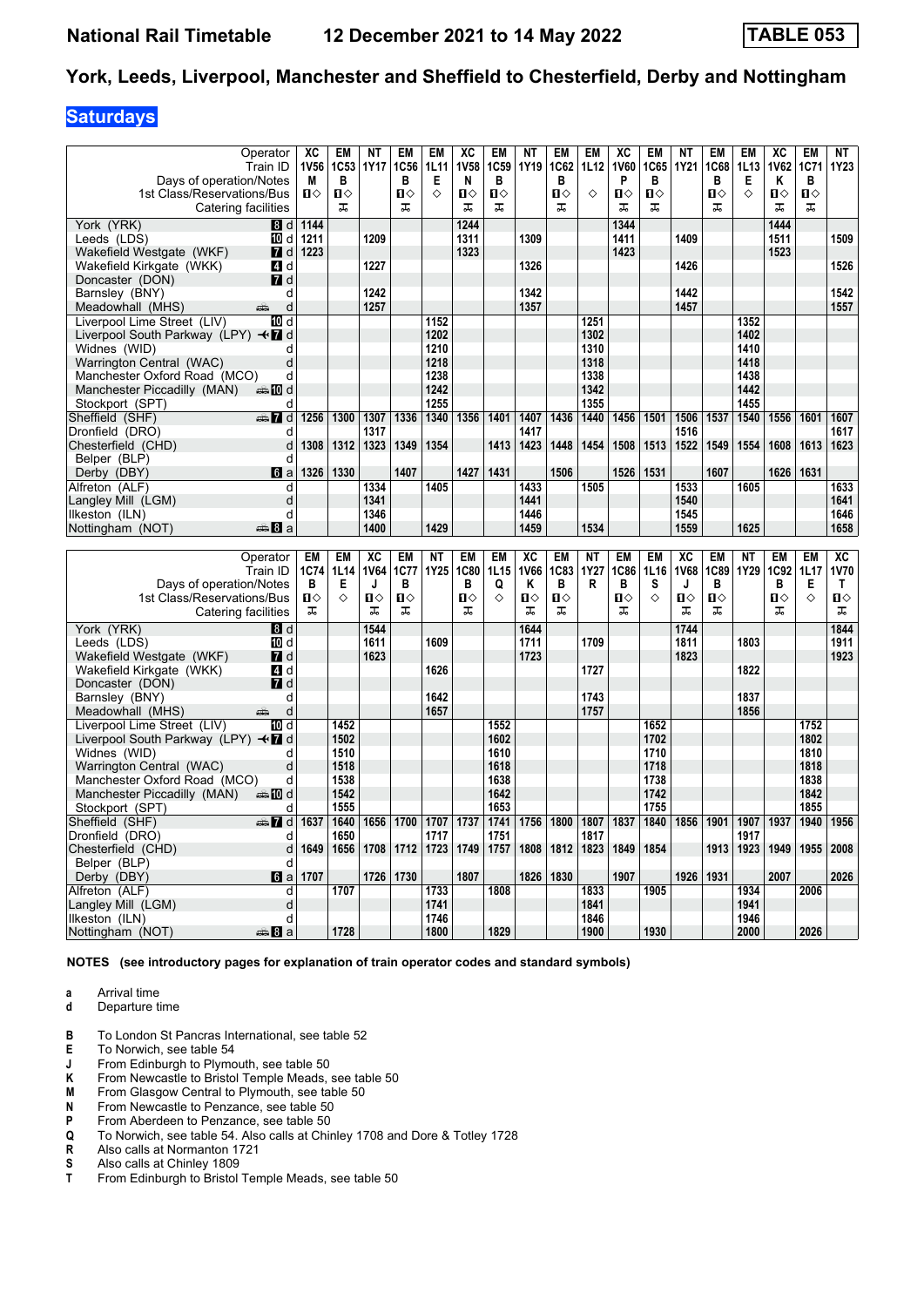### **Saturdays**

| Operator<br>Train ID<br>Days of operation/Notes<br>1st Class/Reservations/Bus<br>Catering facilities | XC<br>1V56<br>M<br>$\mathbf{u}$ | EM<br>1C53<br>B<br>$\blacksquare$<br>ᠼ | NΤ<br><b>1Y17</b> | EM<br>1C56<br>B<br>$\mathbf{u}$<br>ᠼ | EM<br><b>1L11</b><br>Е<br>♦ | XC<br><b>1V58</b><br>N<br>$\mathbf{u}$<br>ᠼ | EM<br>1C <sub>59</sub><br>B<br>$\mathbf{u}$<br>ᠼ | <b>NT</b><br>1Y19 | <b>EM</b><br>1C62<br>B<br>$\mathbf{u}$<br>ᠼ | EM<br>1L12<br>♦ | XC<br><b>1V60</b><br>P<br>$\blacksquare$<br>ᠼ | EM<br>1C65<br>B<br>$\mathbf{u}$<br>ᠼ | <b>NT</b><br><b>1Y21</b> | EM<br>1C68<br>B<br>$\mathbf{u}$<br>ᠼ | EM<br>1L13<br>Е<br>♦ | XC<br><b>1V62</b><br>Κ<br>$\mathbf{u}$<br>ᠼ | <b>EM</b><br>1C71<br>B<br>$\mathbf{u}$<br>ᠼ | <b>NT</b><br>1Y23 |
|------------------------------------------------------------------------------------------------------|---------------------------------|----------------------------------------|-------------------|--------------------------------------|-----------------------------|---------------------------------------------|--------------------------------------------------|-------------------|---------------------------------------------|-----------------|-----------------------------------------------|--------------------------------------|--------------------------|--------------------------------------|----------------------|---------------------------------------------|---------------------------------------------|-------------------|
| York (YRK)                                                                                           | $8$ d 1144                      |                                        |                   |                                      |                             | 1244                                        |                                                  |                   |                                             |                 | 1344                                          |                                      |                          |                                      |                      | 1444                                        |                                             |                   |
| Leeds (LDS)<br>10 d                                                                                  | 1211                            |                                        | 1209              |                                      |                             | 1311                                        |                                                  | 1309              |                                             |                 | 1411                                          |                                      | 1409                     |                                      |                      | 1511                                        |                                             | 1509              |
| Wakefield Westgate (WKF)                                                                             | $\blacksquare$ d   1223         |                                        |                   |                                      |                             | 1323                                        |                                                  |                   |                                             |                 | 1423                                          |                                      |                          |                                      |                      | 1523                                        |                                             |                   |
| Wakefield Kirkgate (WKK)<br>ZI d                                                                     |                                 |                                        | 1227              |                                      |                             |                                             |                                                  | 1326              |                                             |                 |                                               |                                      | 1426                     |                                      |                      |                                             |                                             | 1526              |
| $\blacksquare$ d<br>Doncaster (DON)                                                                  |                                 |                                        |                   |                                      |                             |                                             |                                                  |                   |                                             |                 |                                               |                                      |                          |                                      |                      |                                             |                                             |                   |
| Barnsley (BNY)<br>d                                                                                  |                                 |                                        | 1242              |                                      |                             |                                             |                                                  | 1342              |                                             |                 |                                               |                                      | 1442                     |                                      |                      |                                             |                                             | 1542              |
| Meadowhall (MHS)<br>æ<br>d                                                                           |                                 |                                        | 1257              |                                      |                             |                                             |                                                  | 1357              |                                             |                 |                                               |                                      | 1457                     |                                      |                      |                                             |                                             | 1557              |
| <b>10</b> d<br>Liverpool Lime Street (LIV)                                                           |                                 |                                        |                   |                                      | 1152                        |                                             |                                                  |                   |                                             | 1251            |                                               |                                      |                          |                                      | 1352                 |                                             |                                             |                   |
| Liverpool South Parkway (LPY) $\triangleleft \mathbf{Z}$ d                                           |                                 |                                        |                   |                                      | 1202                        |                                             |                                                  |                   |                                             | 1302            |                                               |                                      |                          |                                      | 1402                 |                                             |                                             |                   |
| Widnes (WID)<br>d                                                                                    |                                 |                                        |                   |                                      | 1210                        |                                             |                                                  |                   |                                             | 1310            |                                               |                                      |                          |                                      | 1410                 |                                             |                                             |                   |
| Warrington Central (WAC)<br>d                                                                        |                                 |                                        |                   |                                      | 1218                        |                                             |                                                  |                   |                                             | 1318            |                                               |                                      |                          |                                      | 1418                 |                                             |                                             |                   |
| Manchester Oxford Road (MCO)<br>d                                                                    |                                 |                                        |                   |                                      | 1238                        |                                             |                                                  |                   |                                             | 1338            |                                               |                                      |                          |                                      | 1438                 |                                             |                                             |                   |
| Manchester Piccadilly (MAN)<br>dan <b>in</b> d                                                       |                                 |                                        |                   |                                      | 1242                        |                                             |                                                  |                   |                                             | 1342            |                                               |                                      |                          |                                      | 1442                 |                                             |                                             |                   |
| Stockport (SPT)<br>d                                                                                 |                                 |                                        |                   |                                      | 1255                        |                                             |                                                  |                   |                                             | 1355            |                                               |                                      |                          |                                      | 1455                 |                                             |                                             |                   |
| Sheffield (SHF)<br>$\oplus$ 7<br>d                                                                   | 1256                            | 1300                                   | 1307              | 1336                                 | 1340                        | 1356                                        | 1401                                             | 1407              | 1436                                        | 1440            | 1456                                          | 1501                                 | 1506                     | 1537                                 | 1540                 | 1556                                        | 1601                                        | 1607              |
| Dronfield (DRO)<br>d                                                                                 |                                 |                                        | 1317              |                                      |                             |                                             |                                                  | 1417              |                                             |                 |                                               |                                      | 1516                     |                                      |                      |                                             |                                             | 1617              |
| Chesterfield (CHD)<br>d                                                                              | 1308                            | 1312                                   | 1323              | 1349                                 | 1354                        |                                             | 1413                                             | 1423              | 1448                                        | 1454            | 1508                                          | 1513                                 | 1522                     | 1549                                 | 1554                 | 1608                                        | 1613                                        | 1623              |
| Belper (BLP)<br>d                                                                                    |                                 |                                        |                   |                                      |                             |                                             |                                                  |                   |                                             |                 |                                               |                                      |                          |                                      |                      |                                             |                                             |                   |
| Derby (DBY)<br><b>6</b> a                                                                            | 1326                            | 1330                                   |                   | 1407                                 |                             | 1427                                        | 1431                                             |                   | 1506                                        |                 | 1526                                          | 1531                                 |                          | 1607                                 |                      | 1626                                        | 1631                                        |                   |
| Alfreton (ALF)<br>d                                                                                  |                                 |                                        | 1334              |                                      | 1405                        |                                             |                                                  | 1433              |                                             | 1505            |                                               |                                      | 1533                     |                                      | 1605                 |                                             |                                             | 1633              |
| Langley Mill (LGM)<br>d                                                                              |                                 |                                        | 1341              |                                      |                             |                                             |                                                  | 1441              |                                             |                 |                                               |                                      | 1540                     |                                      |                      |                                             |                                             | 1641              |
| d<br>llkeston (ILN)                                                                                  |                                 |                                        | 1346              |                                      |                             |                                             |                                                  | 1446              |                                             |                 |                                               |                                      | 1545                     |                                      |                      |                                             |                                             | 1646              |
| de 8 a<br>Nottingham (NOT)                                                                           |                                 |                                        | 1400              |                                      | 1429                        |                                             |                                                  | 1459              |                                             | 1534            |                                               |                                      | 1559                     |                                      | 1625                 |                                             |                                             | 1658              |
|                                                                                                      |                                 |                                        |                   |                                      |                             |                                             |                                                  |                   |                                             |                 |                                               |                                      |                          |                                      |                      |                                             |                                             |                   |
|                                                                                                      |                                 |                                        |                   |                                      |                             |                                             |                                                  |                   |                                             |                 |                                               |                                      |                          |                                      |                      |                                             |                                             |                   |
| Operator                                                                                             | <b>EM</b>                       | EM                                     | XC                | <b>EM</b>                            | <b>NT</b>                   | <b>EM</b>                                   | <b>EM</b>                                        | XC                | <b>EM</b>                                   | <b>NT</b>       | <b>EM</b>                                     | EM                                   | XC                       | <b>EM</b>                            | <b>NT</b>            | <b>EM</b>                                   | <b>EM</b>                                   | XC                |
| Train ID                                                                                             | 1C74                            | 1L14                                   | <b>1V64</b>       | 1C77                                 | 1Y25                        | <b>1C80</b>                                 | 1L15                                             | <b>1V66</b>       | 1C83                                        | 1Y27            | 1C86                                          | 1L16                                 | 1V68                     | 1C89                                 | 1Y29                 | 1C92                                        | 1L17                                        | <b>1V70</b>       |
| Days of operation/Notes                                                                              | B                               | Е                                      | J                 | в                                    |                             | в                                           | Q                                                | ĸ                 | B                                           | R               | B                                             | s                                    | J                        | B                                    |                      | в                                           | Е                                           | T.                |
| 1st Class/Reservations/Bus                                                                           | $\mathbf{u}$                    | ♦                                      | $\mathbf{u}$      | Ⅱ◇                                   |                             | $\mathbf{u}$                                | ♦                                                | $\P$ $\Diamond$   | $\mathbf{u}$                                |                 | $\mathbf{u}$                                  | ♦                                    | $\mathbf{u}$             | $\mathbf{u}$                         |                      | $\mathbf{u}$                                | ♦                                           | $\mathbf{u}$      |
| Catering facilities                                                                                  | ᠼ                               |                                        | ᠼ                 | ᠼ                                    |                             | ᠼ                                           |                                                  | ᠼ                 | ㅈ                                           |                 | ᠼ                                             |                                      | ᅚ                        | ᠼ                                    |                      | ᠼ                                           |                                             | ᠼ                 |
| York (YRK)<br><b>8 d</b>                                                                             |                                 |                                        | 1544              |                                      |                             |                                             |                                                  | 1644              |                                             |                 |                                               |                                      | 1744                     |                                      |                      |                                             |                                             | 1844              |
| Leeds (LDS)<br>10 d                                                                                  |                                 |                                        | 1611              |                                      | 1609                        |                                             |                                                  | 1711              |                                             | 1709            |                                               |                                      | 1811                     |                                      | 1803                 |                                             |                                             | 1911              |
| Wakefield Westgate (WKF)<br><b>7</b> d                                                               |                                 |                                        | 1623              |                                      |                             |                                             |                                                  | 1723              |                                             |                 |                                               |                                      | 1823                     |                                      |                      |                                             |                                             | 1923              |
| Wakefield Kirkgate (WKK)<br>4 d                                                                      |                                 |                                        |                   |                                      | 1626                        |                                             |                                                  |                   |                                             | 1727            |                                               |                                      |                          |                                      | 1822                 |                                             |                                             |                   |
| Doncaster (DON)<br><b>7</b> d                                                                        |                                 |                                        |                   |                                      |                             |                                             |                                                  |                   |                                             |                 |                                               |                                      |                          |                                      |                      |                                             |                                             |                   |
| Barnsley (BNY)<br>d                                                                                  |                                 |                                        |                   |                                      | 1642                        |                                             |                                                  |                   |                                             | 1743            |                                               |                                      |                          |                                      | 1837                 |                                             |                                             |                   |
| Meadowhall (MHS)<br>d<br>æ                                                                           |                                 |                                        |                   |                                      | 1657                        |                                             |                                                  |                   |                                             | 1757            |                                               |                                      |                          |                                      | 1856                 |                                             |                                             |                   |
| Liverpool Lime Street (LIV)<br>TO d                                                                  |                                 | 1452                                   |                   |                                      |                             |                                             | 1552                                             |                   |                                             |                 |                                               | 1652                                 |                          |                                      |                      |                                             | 1752                                        |                   |
| Liverpool South Parkway (LPY) <■ d                                                                   |                                 | 1502                                   |                   |                                      |                             |                                             | 1602                                             |                   |                                             |                 |                                               | 1702                                 |                          |                                      |                      |                                             | 1802                                        |                   |
| Widnes (WID)<br>d                                                                                    |                                 | 1510                                   |                   |                                      |                             |                                             | 1610                                             |                   |                                             |                 |                                               | 1710                                 |                          |                                      |                      |                                             | 1810                                        |                   |
| Warrington Central (WAC)<br>d                                                                        |                                 | 1518                                   |                   |                                      |                             |                                             | 1618                                             |                   |                                             |                 |                                               | 1718                                 |                          |                                      |                      |                                             | 1818                                        |                   |
| Manchester Oxford Road (MCO)<br>d                                                                    |                                 | 1538                                   |                   |                                      |                             |                                             | 1638                                             |                   |                                             |                 |                                               | 1738                                 |                          |                                      |                      |                                             | 1838                                        |                   |
| Manchester Piccadilly (MAN)<br>dan manufa                                                            |                                 | 1542                                   |                   |                                      |                             |                                             | 1642                                             |                   |                                             |                 |                                               | 1742                                 |                          |                                      |                      |                                             | 1842                                        |                   |
| Stockport (SPT)<br>d                                                                                 |                                 | 1555                                   |                   |                                      |                             |                                             | 1653                                             |                   |                                             |                 |                                               | 1755                                 |                          |                                      |                      |                                             | 1855                                        |                   |
| Sheffield (SHF)<br>$\Rightarrow$ 7<br>d                                                              | 1637                            | 1640                                   | 1656              | 1700                                 | 1707                        | 1737                                        | 1741                                             | 1756              | 1800                                        | 1807            | 1837                                          | 1840                                 | 1856                     | 1901                                 | 1907                 | 1937                                        | 1940                                        | 1956              |
| Dronfield (DRO)<br>d                                                                                 |                                 | 1650                                   |                   |                                      | 1717                        |                                             | 1751                                             |                   |                                             | 1817            |                                               |                                      |                          |                                      | 1917                 |                                             |                                             |                   |
| Chesterfield (CHD)<br>d                                                                              | 1649                            | 1656                                   | 1708              | 1712                                 | 1723                        | 1749                                        | 1757                                             | 1808              | 1812                                        | 1823            | 1849                                          | 1854                                 |                          | 1913                                 | 1923                 | 1949                                        | 1955                                        | 2008              |
| Belper (BLP)<br>d                                                                                    |                                 |                                        |                   |                                      |                             |                                             |                                                  |                   |                                             |                 |                                               |                                      |                          |                                      |                      |                                             |                                             |                   |
| Derby (DBY)<br> 6 a                                                                                  | 1707                            |                                        | 1726              | 1730                                 |                             | 1807                                        |                                                  | 1826              | 1830                                        |                 | 1907                                          |                                      | 1926                     | 1931                                 |                      | 2007                                        |                                             | 2026              |
| Alfreton (ALF)<br>d                                                                                  |                                 | 1707                                   |                   |                                      | 1733                        |                                             | 1808                                             |                   |                                             | 1833            |                                               | 1905                                 |                          |                                      | 1934                 |                                             | 2006                                        |                   |
| Langlev Mill(LGM)<br>d<br>d<br>Ilkeston (ILN)                                                        |                                 |                                        |                   |                                      | 1741<br>1746                |                                             |                                                  |                   |                                             | 1841<br>1846    |                                               |                                      |                          |                                      | 1941<br>1946         |                                             |                                             |                   |

**NOTES (see introductory pages for explanation of train operator codes and standard symbols)**

**a** Arrival time<br>**d** Departure t

- **d** Departure time
- **B** To London St Pancras International, see table 52<br>**E** To Norwich, see table 54
- **E** To Norwich, see table 54<br>**J** From Edinburgh to Plyme
- **J** From Edinburgh to Plymouth, see table 50<br>**K** From Newcastle to Bristol Temple Meads,
- **K** From Newcastle to Bristol Temple Meads, see table 50<br>**M** From Glasgow Central to Plymouth, see table 50
- **M** From Glasgow Central to Plymouth, see table 50<br>**N** From Newcastle to Penzance, see table 50
- **N** From Newcastle to Penzance, see table 50<br>**P** From Aberdeen to Penzance, see table 50
- **P** From Aberdeen to Penzance, see table 50<br>**Q** To Norwich, see table 54. Also calls at Chir
- **4** To Norwich, see table 54. Also calls at Chinley 1708 and Dore & Totley 1728<br>**R** Also calls at Normanton 1721
- **R** Also calls at Normanton 1721<br> **S** Also calls at Chinley 1809<br> **T** From Edinburgh to Bristol Ter
- **6** Also calls at Chinley 1
- From Edinburgh to Bristol Temple Meads, see table 50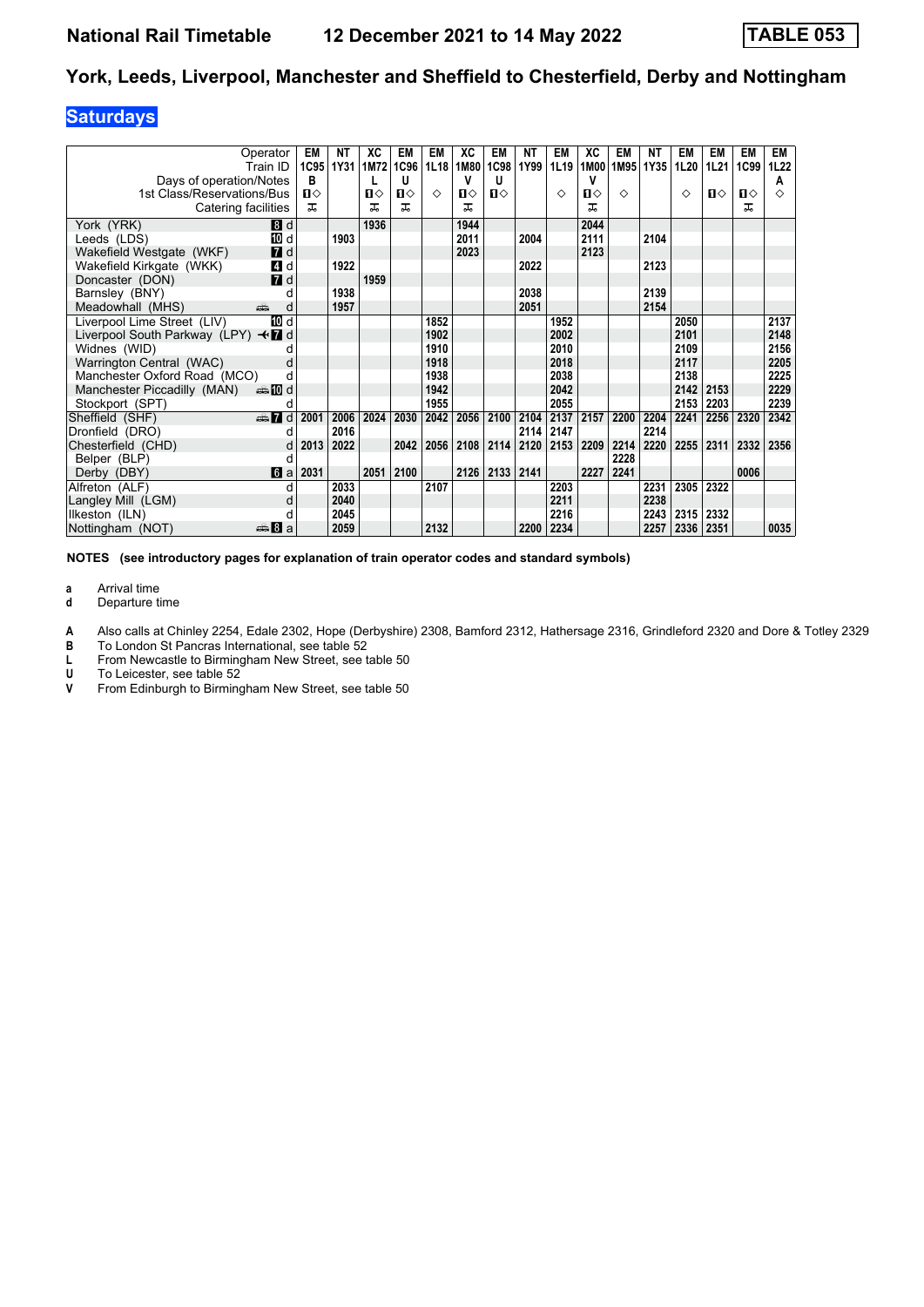### **Saturdays**

| Operator<br>Train ID<br>Days of operation/Notes            | EM<br>1C95<br>в | NΤ<br>1Y31 | XC<br>1M72 | EM<br>1C96<br>IJ | EM<br>1L18 | XC<br>1M80<br>v | EM<br>1C98<br>U | NΤ<br>1Y99 | EM<br>1L19 | ХC<br>1M00<br>٧ | EM<br>1M95 | ΝT<br>1Y35 | EM<br>1L20 | EM<br>1L21 | EM<br>1C99 | EM<br>1L22<br>А |
|------------------------------------------------------------|-----------------|------------|------------|------------------|------------|-----------------|-----------------|------------|------------|-----------------|------------|------------|------------|------------|------------|-----------------|
| 1st Class/Reservations/Bus                                 | $\mathbf{u}$    |            | п⇔         | Ⅱ♦               | ♦          | п⇔              | $\mathbf{u}$    |            | ♦          | $\mathbf{u}$    | ♦          |            | ♦          | п⇔         | ப⇔         | ♦               |
| Catering facilities                                        | ㅈ               |            | ㅈ          | ᅚ                |            | 굾               |                 |            |            | ᅚ               |            |            |            |            | ᅚ          |                 |
| 8d                                                         |                 |            | 1936       |                  |            | 1944            |                 |            |            | 2044            |            |            |            |            |            |                 |
| York (YRK)<br>10 d<br>Leeds (LDS)                          |                 | 1903       |            |                  |            | 2011            |                 | 2004       |            | 2111            |            | 2104       |            |            |            |                 |
| $I$ d<br>Wakefield Westgate (WKF)                          |                 |            |            |                  |            | 2023            |                 |            |            | 2123            |            |            |            |            |            |                 |
| 4 d<br>Wakefield Kirkgate (WKK)                            |                 | 1922       |            |                  |            |                 |                 | 2022       |            |                 |            | 2123       |            |            |            |                 |
| $I$ d<br>Doncaster (DON)                                   |                 |            | 1959       |                  |            |                 |                 |            |            |                 |            |            |            |            |            |                 |
| Barnsley (BNY)                                             | d               | 1938       |            |                  |            |                 |                 | 2038       |            |                 |            | 2139       |            |            |            |                 |
| Meadowhall (MHS)<br>۵Ť۵                                    | d               | 1957       |            |                  |            |                 |                 | 2051       |            |                 |            | 2154       |            |            |            |                 |
| Liverpool Lime Street (LIV)<br>TO d                        |                 |            |            |                  | 1852       |                 |                 |            | 1952       |                 |            |            | 2050       |            |            | 2137            |
| Liverpool South Parkway (LPY) $\triangleleft \mathbf{Z}$ d |                 |            |            |                  | 1902       |                 |                 |            | 2002       |                 |            |            | 2101       |            |            | 2148            |
| Widnes (WID)                                               |                 |            |            |                  | 1910       |                 |                 |            | 2010       |                 |            |            | 2109       |            |            | 2156            |
| Warrington Central (WAC)                                   | d               |            |            |                  | 1918       |                 |                 |            | 2018       |                 |            |            | 2117       |            |            | 2205            |
| Manchester Oxford Road (MCO)                               | d               |            |            |                  | 1938       |                 |                 |            | 2038       |                 |            |            | 2138       |            |            | 2225            |
| Manchester Piccadilly (MAN)                                |                 |            |            |                  | 1942       |                 |                 |            | 2042       |                 |            |            | 2142       | 2153       |            | 2229            |
| Stockport (SPT)                                            | d               |            |            |                  | 1955       |                 |                 |            | 2055       |                 |            |            | 2153       | 2203       |            | 2239            |
| Sheffield (SHF)<br>$\oplus$ 7 d                            | 2001            | 2006       | 2024       | 2030             | 2042       | 2056            | 2100            | 2104       | 2137       | 2157            | 2200       | 2204       | 2241       | 2256       | 2320       | 2342            |
| Dronfield (DRO)                                            | d               | 2016       |            |                  |            |                 |                 | 2114       | 2147       |                 |            | 2214       |            |            |            |                 |
| Chesterfield (CHD)                                         | 2013<br>d       | 2022       |            | 2042             | 2056       | 2108            | 2114            | 2120       | 2153       | 2209            | 2214       | 2220       | 2255       | 2311       | 2332       | 2356            |
| Belper (BLP)                                               | d               |            |            |                  |            |                 |                 |            |            |                 | 2228       |            |            |            |            |                 |
| 6a<br>Derby (DBY)                                          | 2031            |            | 2051       | 2100             |            | 2126            | 2133            | 2141       |            | 2227            | 2241       |            |            |            | 0006       |                 |
| Alfreton (ALF)                                             | d               | 2033       |            |                  | 2107       |                 |                 |            | 2203       |                 |            | 2231       | 2305       | 2322       |            |                 |
| Langley Mill (LGM)                                         | d               | 2040       |            |                  |            |                 |                 |            | 2211       |                 |            | 2238       |            |            |            |                 |
| Ilkeston (ILN)                                             | d               | 2045       |            |                  |            |                 |                 |            | 2216       |                 |            | 2243       | 2315       | 2332       |            |                 |
| Nottingham (NOT)<br>de 8 a                                 |                 | 2059       |            |                  | 2132       |                 |                 | 2200       | 2234       |                 |            | 2257       | 2336       | 2351       |            | 0035            |

**NOTES (see introductory pages for explanation of train operator codes and standard symbols)**

**a** Arrival time<br>**d** Departure t

**d** Departure time

**A** Also calls at Chinley 2254, Edale 2302, Hope (Derbyshire) 2308, Bamford 2312, Hathersage 2316, Grindleford 2320 and Dore & Totley 2329<br>**B** To London St Pancras International, see table 52

**B** To London St Pancras International, see table 52<br>**L** From Newcastle to Birmingham New Street, see t

**L** From Newcastle to Birmingham New Street, see table 50<br>**U** To Leicester, see table 52

**8** To Leicester, see table 52<br>**8** From Edinburgh to Birming

From Edinburgh to Birmingham New Street, see table 50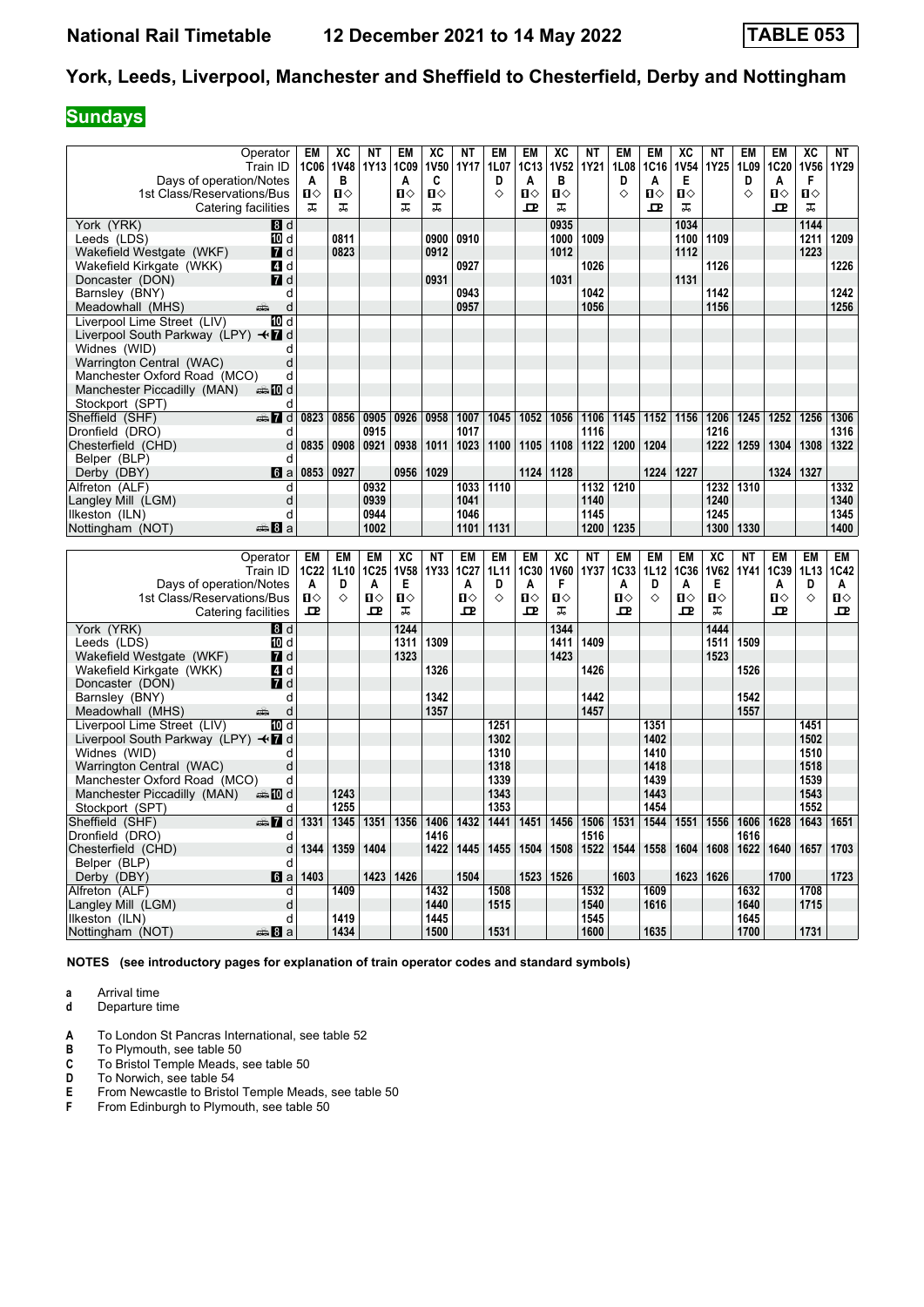### **Sundays**

| Days of operation/Notes                                             | Operator<br>Train ID           | EM<br>1C06<br>A | XC<br><b>1V48</b><br>в | NΤ<br><b>1Y13</b> | EM<br>1C <sub>09</sub><br>A | XC<br>1V50<br>C   | NΤ<br>1Y17   | <b>EM</b><br><b>1L07</b><br>D | EM<br><b>1C13</b><br>A | XC<br><b>1V52</b><br>в | NΤ<br>1Y21   | <b>EM</b><br>1L08<br>D | EM<br>1C16<br>A   | XC<br><b>1V54</b><br>Е | NΤ<br>1Y25   | EM<br>1L09<br>D | EM<br>1C20<br>A | XC<br><b>1V56</b><br>F | <b>NT</b><br>1Y29 |
|---------------------------------------------------------------------|--------------------------------|-----------------|------------------------|-------------------|-----------------------------|-------------------|--------------|-------------------------------|------------------------|------------------------|--------------|------------------------|-------------------|------------------------|--------------|-----------------|-----------------|------------------------|-------------------|
| 1st Class/Reservations/Bus<br>Catering facilities                   |                                | Π<br>ᠼ          | Ω<br>ᠼ                 |                   | Ⅱ◇<br>ᠼ                     | $\mathbf{u}$<br>ᠼ |              | ♦                             | П<br>ᇁ                 | Ω<br>ᠼ                 |              | ♦                      | $\mathbf{u}$<br>고 | п⇔<br>ᠼ                |              | ♦               | п⇔<br>고         | $\mathbf{u}$<br>ᠼ      |                   |
| York (YRK)                                                          | 8d                             |                 |                        |                   |                             |                   |              |                               |                        | 0935                   |              |                        |                   | 1034                   |              |                 |                 | 1144                   |                   |
| Leeds (LDS)                                                         | TO d                           |                 | 0811                   |                   |                             | 0900              | 0910         |                               |                        | 1000                   | 1009         |                        |                   | 1100                   | 1109         |                 |                 | 1211                   | 1209              |
| Wakefield Westgate (WKF)                                            | <b>7</b> d                     |                 | 0823                   |                   |                             | 0912              |              |                               |                        | 1012                   |              |                        |                   | 1112                   |              |                 |                 | 1223                   |                   |
| Wakefield Kirkgate (WKK)                                            | 4 d                            |                 |                        |                   |                             |                   | 0927         |                               |                        |                        | 1026         |                        |                   |                        | 1126         |                 |                 |                        | 1226              |
| Doncaster (DON)                                                     | <b>7</b> d                     |                 |                        |                   |                             | 0931              |              |                               |                        | 1031                   |              |                        |                   | 1131                   |              |                 |                 |                        |                   |
| Barnsley (BNY)                                                      | d<br>d<br>æ                    |                 |                        |                   |                             |                   | 0943<br>0957 |                               |                        |                        | 1042<br>1056 |                        |                   |                        | 1142<br>1156 |                 |                 |                        | 1242<br>1256      |
| Meadowhall (MHS)<br>Liverpool Lime Street (LIV)                     | 10 d                           |                 |                        |                   |                             |                   |              |                               |                        |                        |              |                        |                   |                        |              |                 |                 |                        |                   |
| Liverpool South Parkway (LPY) $\leftrightarrow$ 7 d                 |                                |                 |                        |                   |                             |                   |              |                               |                        |                        |              |                        |                   |                        |              |                 |                 |                        |                   |
| Widnes (WID)                                                        | d                              |                 |                        |                   |                             |                   |              |                               |                        |                        |              |                        |                   |                        |              |                 |                 |                        |                   |
| Warrington Central (WAC)                                            | d                              |                 |                        |                   |                             |                   |              |                               |                        |                        |              |                        |                   |                        |              |                 |                 |                        |                   |
| Manchester Oxford Road (MCO)                                        | d                              |                 |                        |                   |                             |                   |              |                               |                        |                        |              |                        |                   |                        |              |                 |                 |                        |                   |
| Manchester Piccadilly (MAN)                                         | <b>et 10</b> d                 |                 |                        |                   |                             |                   |              |                               |                        |                        |              |                        |                   |                        |              |                 |                 |                        |                   |
| Stockport (SPT)                                                     | d                              |                 |                        |                   |                             |                   |              |                               |                        |                        |              |                        |                   |                        |              |                 |                 |                        |                   |
| Sheffield (SHF)                                                     | $\mathbb{R}$ $\mathbb{Z}$<br>d | 0823            | 0856                   | 0905              | 0926                        | 0958              | 1007         | 1045                          | 1052                   | 1056                   | 1106         | 1145                   | 1152              | 1156                   | 1206         | 1245            | 1252            | 1256                   | 1306              |
| Dronfield (DRO)                                                     | d                              |                 |                        | 0915              |                             |                   | 1017         |                               |                        |                        | 1116         |                        |                   |                        | 1216         |                 |                 |                        | 1316              |
| Chesterfield (CHD)                                                  | d                              | 0835            | 0908                   | 0921              | 0938                        | 1011              | 1023         | 1100                          | 1105                   | 1108                   | 1122         | 1200                   | 1204              |                        | 1222         | 1259            | 1304            | 1308                   | 1322              |
| Belper (BLP)                                                        | d                              | 0853            | 0927                   |                   | 0956                        | 1029              |              |                               |                        | 1124 1128              |              |                        | 1224              | 1227                   |              |                 | 1324            | 1327                   |                   |
| Derby (DBY)                                                         | 6a<br>d                        |                 |                        | 0932              |                             |                   | 1033         | 1110                          |                        |                        | 1132         | 1210                   |                   |                        | 1232         | 1310            |                 |                        | 1332              |
| Alfreton (ALF)<br>Langley Mill (LGM)                                | d                              |                 |                        | 0939              |                             |                   | 1041         |                               |                        |                        | 1140         |                        |                   |                        | 1240         |                 |                 |                        | 1340              |
| Ilkeston (ILN)                                                      | d                              |                 |                        | 0944              |                             |                   | 1046         |                               |                        |                        | 1145         |                        |                   |                        | 1245         |                 |                 |                        | 1345              |
| Nottingham (NOT)                                                    | ্⇒ 8 a                         |                 |                        | 1002              |                             |                   | 1101         | 1131                          |                        |                        | 1200         | 1235                   |                   |                        | 1300         | 1330            |                 |                        | 1400              |
|                                                                     |                                |                 |                        |                   |                             |                   |              |                               |                        |                        |              |                        |                   |                        |              |                 |                 |                        |                   |
|                                                                     |                                |                 |                        |                   |                             |                   |              |                               |                        |                        |              |                        |                   |                        |              |                 |                 |                        |                   |
|                                                                     | Operator                       | EM              | <b>EM</b>              | <b>EM</b>         | XC                          | <b>NT</b>         | <b>EM</b>    | EM                            | <b>EM</b>              | XC                     | <b>NT</b>    | <b>EM</b>              | <b>EM</b>         | <b>EM</b>              | XC           | <b>NT</b>       | <b>EM</b>       | <b>EM</b>              | <b>EM</b>         |
|                                                                     | Train ID                       | 1C22            | 1L10                   | 1C25              | <b>1V58</b>                 | 1Y33              | 1C27         | <b>1L11</b>                   | 1C30                   | <b>1V60</b>            | 1Y37         | 1C33                   | 1L12              | 1C36                   | 1V62         | <b>1Y41</b>     | 1C39            | 1L13                   | 1C42              |
| Days of operation/Notes                                             |                                | A               | D                      | A                 | Е                           |                   | A            | D                             | A                      | F                      |              | A                      | D                 | A                      | Е            |                 | Α               | D                      | Α                 |
| 1st Class/Reservations/Bus                                          |                                | П⇔              | ♦                      | П⇔                | Ⅱ♦                          |                   | Ω⇔           | ♦                             | $\mathbf{u}$           | Ω                      |              | Ⅱ♦                     | ♦                 | п⇔                     | Ⅱ◇           |                 | п⇔              | ♦                      | Ⅱ♦                |
| Catering facilities                                                 |                                | 고               |                        | ᅭ                 | ᠼ                           |                   | 고            |                               | 고                      | ᠼ                      |              | ᇁ                      |                   | 고                      | ᠼ            |                 | 고               |                        | ᅭ                 |
| York (YRK)                                                          | <b>B</b> d                     |                 |                        |                   | 1244                        |                   |              |                               |                        | 1344                   |              |                        |                   |                        | 1444         |                 |                 |                        |                   |
| Leeds (LDS)                                                         | TO d                           |                 |                        |                   | 1311                        | 1309              |              |                               |                        | 1411                   | 1409         |                        |                   |                        | 1511         | 1509            |                 |                        |                   |
| Wakefield Westgate (WKF)                                            | <b>7</b> d                     |                 |                        |                   | 1323                        |                   |              |                               |                        | 1423                   |              |                        |                   |                        | 1523         |                 |                 |                        |                   |
| Wakefield Kirkgate (WKK)                                            | ZI d                           |                 |                        |                   |                             | 1326              |              |                               |                        |                        | 1426         |                        |                   |                        |              | 1526            |                 |                        |                   |
| Doncaster (DON)                                                     | <b>7</b> d                     |                 |                        |                   |                             |                   |              |                               |                        |                        |              |                        |                   |                        |              |                 |                 |                        |                   |
| Barnsley (BNY)                                                      | d<br>d                         |                 |                        |                   |                             | 1342<br>1357      |              |                               |                        |                        | 1442<br>1457 |                        |                   |                        |              | 1542<br>1557    |                 |                        |                   |
| Meadowhall (MHS)<br>Liverpool Lime Street (LIV)                     | 10 d                           |                 |                        |                   |                             |                   |              | 1251                          |                        |                        |              |                        | 1351              |                        |              |                 |                 | 1451                   |                   |
| Liverpool South Parkway (LPY) $\triangleleft \mathbf{\mathbf{Z}}$ d |                                |                 |                        |                   |                             |                   |              | 1302                          |                        |                        |              |                        | 1402              |                        |              |                 |                 | 1502                   |                   |
| Widnes (WID)                                                        | d                              |                 |                        |                   |                             |                   |              | 1310                          |                        |                        |              |                        | 1410              |                        |              |                 |                 | 1510                   |                   |
| Warrington Central (WAC)                                            | d                              |                 |                        |                   |                             |                   |              | 1318                          |                        |                        |              |                        | 1418              |                        |              |                 |                 | 1518                   |                   |
| Manchester Oxford Road (MCO)                                        | d                              |                 |                        |                   |                             |                   |              | 1339                          |                        |                        |              |                        | 1439              |                        |              |                 |                 | 1539                   |                   |
| Manchester Piccadilly (MAN)                                         | dan <b>m</b> ill               |                 | 1243                   |                   |                             |                   |              | 1343                          |                        |                        |              |                        | 1443              |                        |              |                 |                 | 1543                   |                   |
| Stockport (SPT)                                                     | d                              |                 | 1255                   |                   |                             |                   |              | 1353                          |                        |                        |              |                        | 1454              |                        |              |                 |                 | 1552                   |                   |
| Sheffield (SHF)                                                     | $\oplus$ 7<br>d                | 1331            | 1345                   | 1351              | 1356                        | 1406              | 1432         | 1441                          | 1451                   | 1456                   | 1506         | 1531                   | 1544              | 1551                   | 1556         | 1606            | 1628            | 1643                   | 1651              |
| Dronfield (DRO)                                                     | d                              |                 |                        |                   |                             | 1416              |              |                               |                        |                        | 1516         |                        |                   |                        |              | 1616            |                 |                        |                   |
| Chesterfield (CHD)                                                  | d                              | 1344            | 1359                   | 1404              |                             | 1422              | 1445         | 1455                          | 1504                   | 1508                   | 1522         | 1544                   | 1558              | 1604                   | 1608         | 1622            | 1640            | 1657                   | 1703              |
| Belper (BLP)<br>Derby (DBY)                                         | d<br>6a                        | 1403            |                        | 1423              | 1426                        |                   | 1504         |                               | 1523                   | 1526                   |              | 1603                   |                   | 1623                   | 1626         |                 | 1700            |                        | 1723              |
| Alfreton (ALF)                                                      | d                              |                 | 1409                   |                   |                             | 1432              |              | 1508                          |                        |                        | 1532         |                        | 1609              |                        |              | 1632            |                 | 1708                   |                   |
| Langley Mill (LGM)                                                  | d                              |                 |                        |                   |                             | 1440              |              | 1515                          |                        |                        | 1540         |                        | 1616              |                        |              | 1640            |                 | 1715                   |                   |
| Ilkeston (ILN)<br>Nottingham (NOT)                                  | d<br>den 8 a                   |                 | 1419<br>1434           |                   |                             | 1445<br>1500      |              | 1531                          |                        |                        | 1545<br>1600 |                        | 1635              |                        |              | 1645<br>1700    |                 | 1731                   |                   |

**NOTES (see introductory pages for explanation of train operator codes and standard symbols)**

**a** Arrival time<br>**d** Departure t

**d** Departure time

- **A** To London St Pancras International, see table 52<br>**B** To Plymouth, see table 50
- **B** To Plymouth, see table 50<br>**C** To Bristol Temple Meads,
- **C** To Bristol Temple Meads, see table 50<br>**D** To Norwich, see table 54
- **D** To Norwich, see table 54<br>**E** From Newcastle to Bristol
- **E** From Newcastle to Bristol Temple Meads, see table 50<br>**F** From Edinburgh to Plymouth, see table 50 From Edinburgh to Plymouth, see table 50